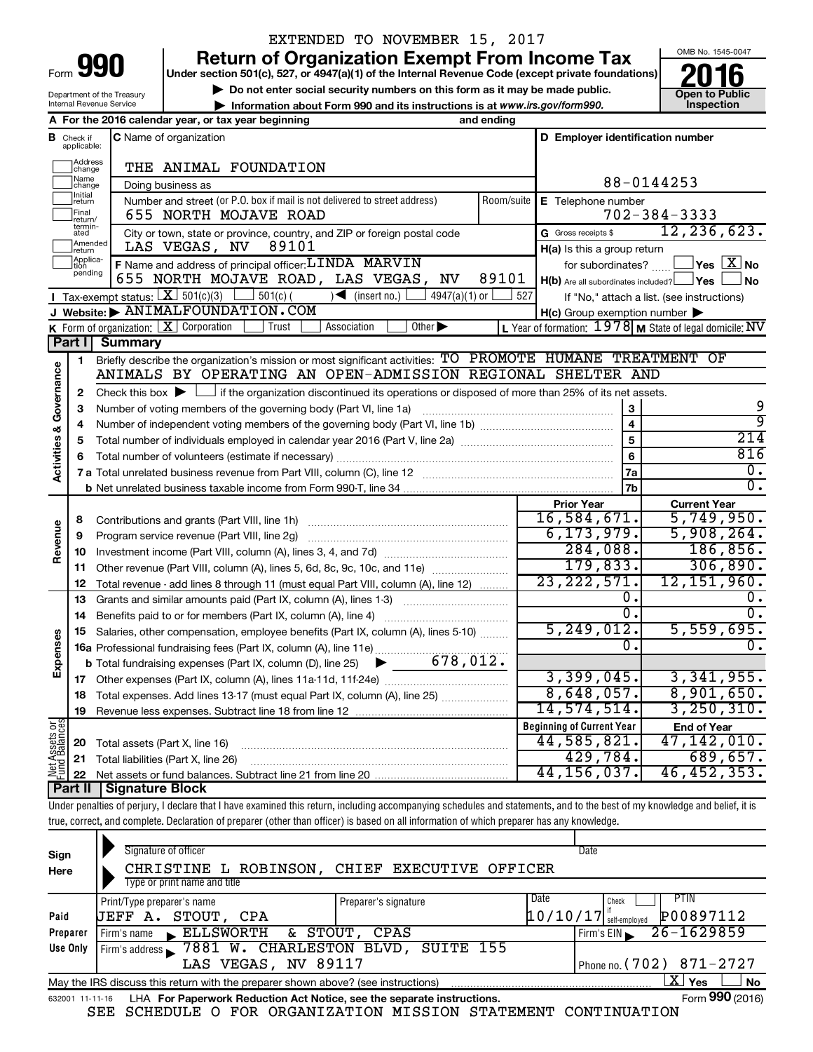| Form |  |
|------|--|

## EXTENDED TO NOVEMBER 15, 2017

**Return of Organization Exempt From Income Tax**<br>Under section 501(c), 527, or 4947(a)(1) of the Internal Revenue Code (except private foundations)<br> **2016** 

**Under section 501(c), 527, or 4947(a)(1) of the Internal Revenue Code (except private foundations) ■** Do not enter social security numbers on this form as it may be made public.<br>■ Do not enter social security numbers on this form as it may be made public. ● Open to Public **Dependence in the public of the United States** 

**• Information about Form 990 and its instructions is at www.irs.gov/form990. and inspection** 



Department of the Treasury Internal Revenue Service

|                         |                                  | A For the 2016 calendar year, or tax year beginning                                                                                                                        | and ending |                                                     |                                                           |
|-------------------------|----------------------------------|----------------------------------------------------------------------------------------------------------------------------------------------------------------------------|------------|-----------------------------------------------------|-----------------------------------------------------------|
|                         | <b>B</b> Check if<br>applicable: | <b>C</b> Name of organization                                                                                                                                              |            | D Employer identification number                    |                                                           |
|                         | Address<br> change               | THE ANIMAL FOUNDATION                                                                                                                                                      |            |                                                     |                                                           |
|                         | Name<br>change                   | Doing business as                                                                                                                                                          |            |                                                     | 88-0144253                                                |
|                         | Initial<br>return                | Number and street (or P.O. box if mail is not delivered to street address)                                                                                                 | Room/suite | E Telephone number                                  |                                                           |
|                         | Final<br> return/                | 655 NORTH MOJAVE ROAD                                                                                                                                                      |            |                                                     | $702 - 384 - 3333$                                        |
|                         | termin-<br>ated                  | City or town, state or province, country, and ZIP or foreign postal code                                                                                                   |            | G Gross receipts \$                                 | 12, 236, 623.                                             |
|                         | Amended<br>return                | 89101<br>LAS VEGAS, NV                                                                                                                                                     |            | H(a) Is this a group return                         |                                                           |
|                         | Applica-                         | F Name and address of principal officer: LINDA MARVIN                                                                                                                      |            | for subordinates?                                   | $\exists$ Yes $\boxed{\text{X}}$ No                       |
|                         | pending                          | 655 NORTH MOJAVE ROAD, LAS VEGAS, NV                                                                                                                                       | 89101      | $H(b)$ Are all subordinates included? $\Box$ Yes    | <b>No</b>                                                 |
|                         |                                  | Tax-exempt status: $X \mid 501(c)(3)$<br>$\Box$ 501(c) (<br>$4947(a)(1)$ or<br>$\sqrt{\frac{1}{1}}$ (insert no.)                                                           | 527        |                                                     | If "No," attach a list. (see instructions)                |
|                         |                                  | J Website: $\blacktriangleright$ ANIMALFOUNDATION. COM                                                                                                                     |            | $H(c)$ Group exemption number $\blacktriangleright$ |                                                           |
|                         |                                  | <b>K</b> Form of organization: $X$ Corporation<br>Association<br>Other $\blacktriangleright$<br>Trust                                                                      |            |                                                     | L Year of formation: $1978$ M State of legal domicile: NV |
|                         |                                  | <b>Part I</b> Summary                                                                                                                                                      |            |                                                     |                                                           |
|                         | 1                                | Briefly describe the organization's mission or most significant activities: TO PROMOTE HUMANE TREATMENT OF                                                                 |            |                                                     |                                                           |
| Governance              |                                  | ANIMALS BY OPERATING AN OPEN-ADMISSION REGIONAL SHELTER AND                                                                                                                |            |                                                     |                                                           |
|                         | 2                                | Check this box $\blacktriangleright \Box$ if the organization discontinued its operations or disposed of more than 25% of its net assets.                                  |            |                                                     |                                                           |
|                         | 3                                | Number of voting members of the governing body (Part VI, line 1a)                                                                                                          |            | 3                                                   | 9                                                         |
|                         | 4                                |                                                                                                                                                                            |            | $\overline{\mathbf{4}}$                             | ॺ                                                         |
|                         | 5                                |                                                                                                                                                                            |            | 5                                                   | 214                                                       |
| <b>Activities &amp;</b> | 6                                |                                                                                                                                                                            |            | 6                                                   | 816                                                       |
|                         |                                  |                                                                                                                                                                            |            | 7a                                                  | 0.                                                        |
|                         |                                  |                                                                                                                                                                            |            | 7b                                                  | $\overline{0}$ .                                          |
| Revenue                 |                                  |                                                                                                                                                                            |            | <b>Prior Year</b>                                   | <b>Current Year</b>                                       |
|                         | 8                                | Contributions and grants (Part VIII, line 1h)                                                                                                                              |            | 16,584,671.                                         | 5,749,950.                                                |
|                         | 9                                | Program service revenue (Part VIII, line 2g)                                                                                                                               |            | 6, 173, 979.                                        | 5,908,264.                                                |
|                         | 10                               |                                                                                                                                                                            |            | 284,088.                                            | 186, 856.                                                 |
|                         | 11                               | Other revenue (Part VIII, column (A), lines 5, 6d, 8c, 9c, 10c, and 11e)                                                                                                   |            | 179,833.                                            | 306,890.                                                  |
|                         | 12                               | Total revenue - add lines 8 through 11 (must equal Part VIII, column (A), line 12)                                                                                         |            | 23, 222, 571.                                       | 12,151,960.                                               |
|                         | 13                               | Grants and similar amounts paid (Part IX, column (A), lines 1-3)                                                                                                           |            | Ο.                                                  |                                                           |
| Expenses                | 14                               | Benefits paid to or for members (Part IX, column (A), line 4)                                                                                                              |            | ο.                                                  | 0.                                                        |
|                         | 15                               | Salaries, other compensation, employee benefits (Part IX, column (A), lines 5-10)                                                                                          |            | 5, 249, 012.                                        | 5,559,695.                                                |
|                         |                                  |                                                                                                                                                                            |            | 0.                                                  |                                                           |
|                         |                                  | <b>b</b> Total fundraising expenses (Part IX, column (D), line 25) $\bullet$ 678, 012.                                                                                     |            |                                                     |                                                           |
|                         |                                  |                                                                                                                                                                            |            | 3,399,045.                                          | 3,341,955.                                                |
|                         | 18                               | Total expenses. Add lines 13-17 (must equal Part IX, column (A), line 25)                                                                                                  |            | 8,648,057.                                          | 8,901,650.                                                |
|                         | 19                               | Revenue less expenses. Subtract line 18 from line 12                                                                                                                       |            | 14,574,514.                                         | 3,250,310.                                                |
| Net Assets or           |                                  |                                                                                                                                                                            |            | <b>Beginning of Current Year</b>                    | <b>End of Year</b>                                        |
|                         | 20                               | Total assets (Part X, line 16)                                                                                                                                             |            | 44,585,821.                                         | 47,142,010.                                               |
|                         | 21                               | Total liabilities (Part X, line 26)                                                                                                                                        |            | 429,784.                                            | 689,657.                                                  |
|                         | 22                               |                                                                                                                                                                            |            | 44, 156, 037.                                       | 46,452,353.                                               |
|                         | ∣ Part II                        | <b>Signature Block</b>                                                                                                                                                     |            |                                                     |                                                           |
|                         |                                  | Under penalties of perjury, I declare that I have examined this return, including accompanying schedules and statements, and to the best of my knowledge and belief, it is |            |                                                     |                                                           |
|                         |                                  | true, correct, and complete. Declaration of preparer (other than officer) is based on all information of which preparer has any knowledge.                                 |            |                                                     |                                                           |
|                         |                                  |                                                                                                                                                                            |            |                                                     |                                                           |

| Sign                                            | Signature of officer                                                              |                      | Date                     |                            |  |  |  |
|-------------------------------------------------|-----------------------------------------------------------------------------------|----------------------|--------------------------|----------------------------|--|--|--|
| Here                                            | CHRISTINE L ROBINSON, CHIEF EXECUTIVE OFFICER                                     |                      |                          |                            |  |  |  |
|                                                 | Type or print name and title                                                      |                      |                          |                            |  |  |  |
|                                                 | Print/Type preparer's name                                                        | Preparer's signature | Date<br>Check            | <b>PTIN</b>                |  |  |  |
| Paid                                            | UEFF A. STOUT, CPA                                                                |                      | $10/10/17$ self-employed | P00897112                  |  |  |  |
| Preparer                                        | Firm's name ELLSWORTH & STOUT,                                                    | CPAS                 | Firm's EIN               | 26-1629859                 |  |  |  |
| Use Only                                        | Firm's address 7881 W. CHARLESTON BLVD, SUITE 155                                 |                      |                          |                            |  |  |  |
| Phone no. (702) 871-2727<br>LAS VEGAS, NV 89117 |                                                                                   |                      |                          |                            |  |  |  |
|                                                 | May the IRS discuss this return with the preparer shown above? (see instructions) |                      |                          | $\mathbf{X}$<br>No.<br>Yes |  |  |  |
| 632001 11-11-16                                 | LHA For Paperwork Reduction Act Notice, see the separate instructions.            |                      |                          | Form 990 (2016)            |  |  |  |

SEE SCHEDULE O FOR ORGANIZATION MISSION STATEMENT CONTINUATION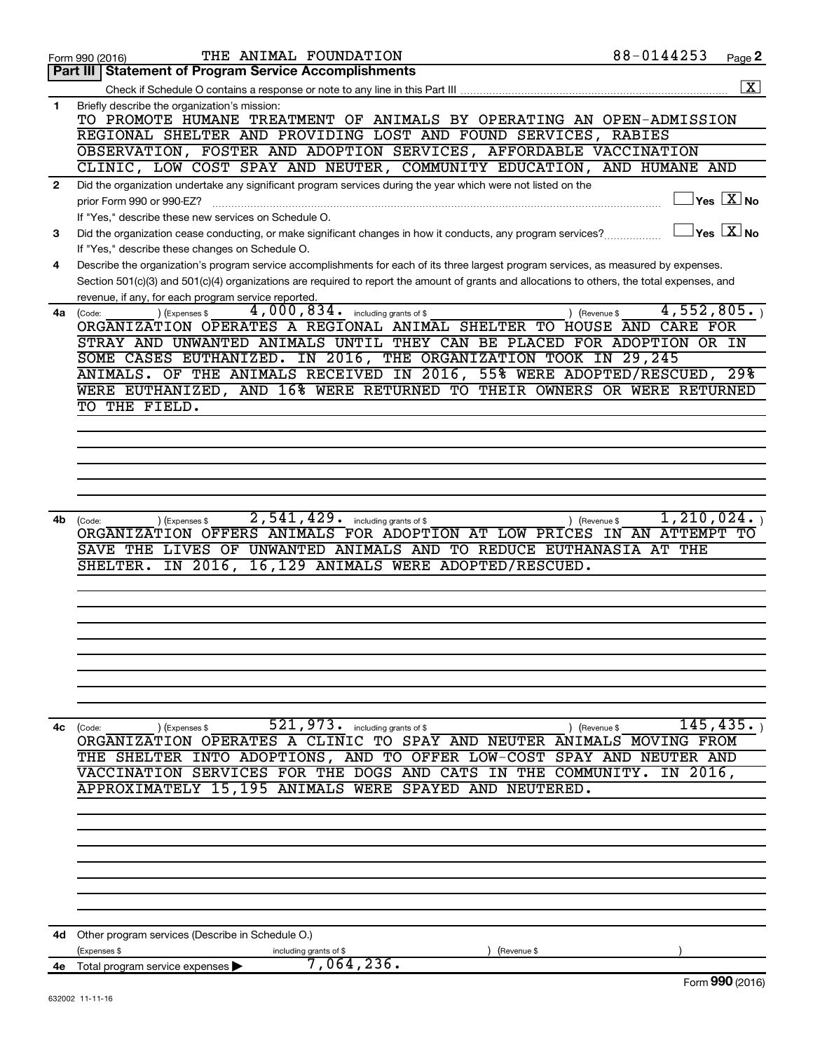|              | THE ANIMAL FOUNDATION<br>Form 990 (2016)                                                                                                         | 88-0144253                  | Page 2                                    |
|--------------|--------------------------------------------------------------------------------------------------------------------------------------------------|-----------------------------|-------------------------------------------|
|              | <b>Part III   Statement of Program Service Accomplishments</b>                                                                                   |                             |                                           |
|              |                                                                                                                                                  |                             | $\overline{\mathbf{X}}$                   |
| $\mathbf{1}$ | Briefly describe the organization's mission:<br>TO PROMOTE HUMANE TREATMENT OF ANIMALS BY OPERATING AN OPEN-ADMISSION                            |                             |                                           |
|              | REGIONAL SHELTER AND PROVIDING LOST AND FOUND SERVICES, RABIES                                                                                   |                             |                                           |
|              | OBSERVATION, FOSTER AND ADOPTION SERVICES, AFFORDABLE VACCINATION                                                                                |                             |                                           |
|              | CLINIC, LOW COST SPAY AND NEUTER, COMMUNITY EDUCATION, AND HUMANE AND                                                                            |                             |                                           |
| $\mathbf{2}$ | Did the organization undertake any significant program services during the year which were not listed on the<br>prior Form 990 or 990-EZ?        |                             | $\sqrt{\mathsf{Yes}\ \mathbb{X}}$ No      |
|              | If "Yes," describe these new services on Schedule O.                                                                                             |                             |                                           |
| 3            | Did the organization cease conducting, or make significant changes in how it conducts, any program services?                                     |                             | $\overline{\ }$ Yes $\overline{\ \ X}$ No |
|              | If "Yes," describe these changes on Schedule O.                                                                                                  |                             |                                           |
| 4            | Describe the organization's program service accomplishments for each of its three largest program services, as measured by expenses.             |                             |                                           |
|              | Section 501(c)(3) and 501(c)(4) organizations are required to report the amount of grants and allocations to others, the total expenses, and     |                             |                                           |
| 4a           | revenue, if any, for each program service reported.<br>4,000,834. including grants of \$<br>(Expenses \$                                         | 4,552,805.<br>) (Revenue \$ |                                           |
|              | (Code:<br>ORGANIZATION OPERATES A REGIONAL ANIMAL SHELTER TO HOUSE AND                                                                           | CARE FOR                    |                                           |
|              | STRAY AND UNWANTED ANIMALS UNTIL THEY CAN BE PLACED FOR ADOPTION OR IN                                                                           |                             |                                           |
|              | SOME CASES EUTHANIZED. IN 2016, THE ORGANIZATION TOOK IN 29,245                                                                                  |                             |                                           |
|              | ANIMALS. OF THE ANIMALS RECEIVED IN 2016, 55% WERE ADOPTED/RESCUED, 29%                                                                          |                             |                                           |
|              | WERE EUTHANIZED, AND 16% WERE RETURNED TO THEIR OWNERS OR WERE RETURNED                                                                          |                             |                                           |
|              | TO THE FIELD.                                                                                                                                    |                             |                                           |
|              |                                                                                                                                                  |                             |                                           |
|              |                                                                                                                                                  |                             |                                           |
|              |                                                                                                                                                  |                             |                                           |
|              |                                                                                                                                                  |                             |                                           |
|              |                                                                                                                                                  |                             |                                           |
|              |                                                                                                                                                  |                             |                                           |
| 4b           | 2,541,429.<br>including grants of \$<br>(Code:<br>(Expenses \$                                                                                   | 1,210,024.<br>) (Revenue \$ |                                           |
|              | ORGANIZATION OFFERS ANIMALS FOR ADOPTION AT LOW PRICES IN AN ATTEMPT TO<br>LIVES OF UNWANTED ANIMALS AND TO REDUCE EUTHANASIA AT THE<br>SAVE THE |                             |                                           |
|              | IN 2016,<br>16,129 ANIMALS WERE ADOPTED/RESCUED.<br>SHELTER.                                                                                     |                             |                                           |
|              |                                                                                                                                                  |                             |                                           |
|              |                                                                                                                                                  |                             |                                           |
|              |                                                                                                                                                  |                             |                                           |
|              |                                                                                                                                                  |                             |                                           |
|              |                                                                                                                                                  |                             |                                           |
|              |                                                                                                                                                  |                             |                                           |
|              |                                                                                                                                                  |                             |                                           |
|              |                                                                                                                                                  |                             |                                           |
|              |                                                                                                                                                  |                             |                                           |
| 4с           | $521, 973$ $\cdot$ including grants of \$<br>(Expenses \$<br>(Code:                                                                              | ) (Revenue \$               | 145,435.                                  |
|              | ORGANIZATION OPERATES A CLINIC TO SPAY AND NEUTER ANIMALS MOVING FROM                                                                            |                             |                                           |
|              | THE SHELTER INTO ADOPTIONS, AND TO OFFER LOW-COST SPAY AND NEUTER AND                                                                            |                             |                                           |
|              | VACCINATION SERVICES FOR THE DOGS AND CATS IN THE COMMUNITY.<br>APPROXIMATELY 15,195 ANIMALS WERE SPAYED AND NEUTERED.                           | IN 2016,                    |                                           |
|              |                                                                                                                                                  |                             |                                           |
|              |                                                                                                                                                  |                             |                                           |
|              |                                                                                                                                                  |                             |                                           |
|              |                                                                                                                                                  |                             |                                           |
|              |                                                                                                                                                  |                             |                                           |
|              |                                                                                                                                                  |                             |                                           |
|              |                                                                                                                                                  |                             |                                           |
|              |                                                                                                                                                  |                             |                                           |
| 4d -         | Other program services (Describe in Schedule O.)                                                                                                 |                             |                                           |
|              | (Expenses \$<br>including grants of \$<br>(Revenue \$                                                                                            |                             |                                           |
|              | 7,064,236.<br>4e Total program service expenses                                                                                                  |                             |                                           |
|              |                                                                                                                                                  |                             | Form 990 (2016)                           |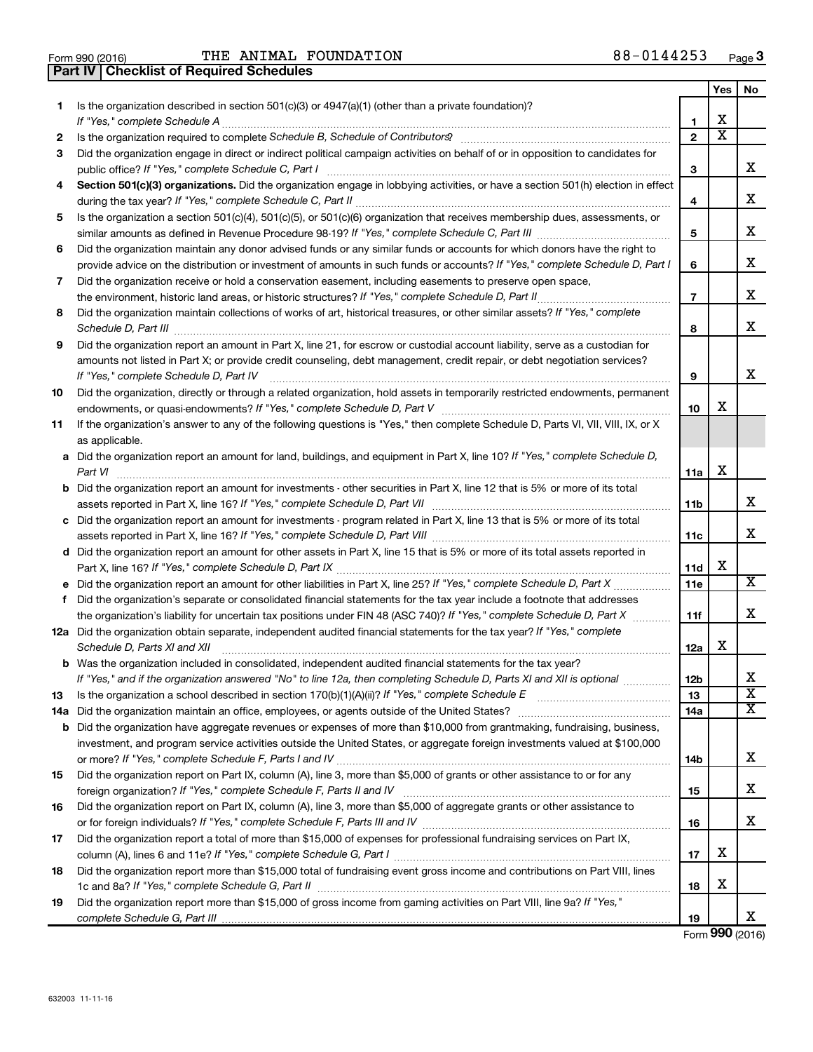| Form 990 (2016) |  |  |
|-----------------|--|--|

**Part IV Checklist of Required Schedules**

Form 990 (2016)  $\begin{array}{cccc} \text{THE} & \text{ANIMAL} & \text{FOUNDATION} \end{array}$  88 – 0144253  $\begin{array}{cccc} \text{Page} & \text{Page} \end{array}$ 

|    |                                                                                                                                                                                                                                                                                                                                                                     |                     | Yes                     | No |
|----|---------------------------------------------------------------------------------------------------------------------------------------------------------------------------------------------------------------------------------------------------------------------------------------------------------------------------------------------------------------------|---------------------|-------------------------|----|
| 1  | Is the organization described in section $501(c)(3)$ or $4947(a)(1)$ (other than a private foundation)?                                                                                                                                                                                                                                                             |                     | X                       |    |
|    |                                                                                                                                                                                                                                                                                                                                                                     | 1<br>$\overline{2}$ | $\overline{\textbf{x}}$ |    |
| 2  | Is the organization required to complete Schedule B, Schedule of Contributors? [11] The organization required to complete Schedule B, Schedule of Contributors?                                                                                                                                                                                                     |                     |                         |    |
| 3  | Did the organization engage in direct or indirect political campaign activities on behalf of or in opposition to candidates for                                                                                                                                                                                                                                     | з                   |                         | х  |
| 4  | Section 501(c)(3) organizations. Did the organization engage in lobbying activities, or have a section 501(h) election in effect                                                                                                                                                                                                                                    | 4                   |                         | x  |
| 5  | Is the organization a section 501(c)(4), 501(c)(5), or 501(c)(6) organization that receives membership dues, assessments, or                                                                                                                                                                                                                                        |                     |                         |    |
|    |                                                                                                                                                                                                                                                                                                                                                                     | 5                   |                         | x  |
| 6  | Did the organization maintain any donor advised funds or any similar funds or accounts for which donors have the right to                                                                                                                                                                                                                                           |                     |                         |    |
|    | provide advice on the distribution or investment of amounts in such funds or accounts? If "Yes," complete Schedule D, Part I                                                                                                                                                                                                                                        | 6                   |                         | х  |
| 7  | Did the organization receive or hold a conservation easement, including easements to preserve open space,                                                                                                                                                                                                                                                           |                     |                         |    |
|    |                                                                                                                                                                                                                                                                                                                                                                     | $\overline{7}$      |                         | x  |
| 8  | Did the organization maintain collections of works of art, historical treasures, or other similar assets? If "Yes," complete<br>Schedule D, Part III <b>Marting Communities</b> and the contract of the contract of the contract of the contract of the contract of the contract of the contract of the contract of the contract of the contract of the contract of | 8                   |                         | x  |
| 9  | Did the organization report an amount in Part X, line 21, for escrow or custodial account liability, serve as a custodian for                                                                                                                                                                                                                                       |                     |                         |    |
|    | amounts not listed in Part X; or provide credit counseling, debt management, credit repair, or debt negotiation services?                                                                                                                                                                                                                                           |                     |                         |    |
|    | If "Yes," complete Schedule D, Part IV                                                                                                                                                                                                                                                                                                                              | 9                   |                         | х  |
| 10 | Did the organization, directly or through a related organization, hold assets in temporarily restricted endowments, permanent                                                                                                                                                                                                                                       |                     |                         |    |
|    |                                                                                                                                                                                                                                                                                                                                                                     | 10                  | х                       |    |
| 11 | If the organization's answer to any of the following questions is "Yes," then complete Schedule D, Parts VI, VII, VIII, IX, or X                                                                                                                                                                                                                                    |                     |                         |    |
|    | as applicable.                                                                                                                                                                                                                                                                                                                                                      |                     |                         |    |
|    | a Did the organization report an amount for land, buildings, and equipment in Part X, line 10? If "Yes," complete Schedule D,<br>Part VI                                                                                                                                                                                                                            | 11a                 | х                       |    |
|    | <b>b</b> Did the organization report an amount for investments - other securities in Part X, line 12 that is 5% or more of its total                                                                                                                                                                                                                                |                     |                         |    |
|    |                                                                                                                                                                                                                                                                                                                                                                     | <b>11b</b>          |                         | x  |
|    | c Did the organization report an amount for investments - program related in Part X, line 13 that is 5% or more of its total                                                                                                                                                                                                                                        |                     |                         |    |
|    |                                                                                                                                                                                                                                                                                                                                                                     | 11c                 |                         | x  |
|    | d Did the organization report an amount for other assets in Part X, line 15 that is 5% or more of its total assets reported in                                                                                                                                                                                                                                      |                     |                         |    |
|    |                                                                                                                                                                                                                                                                                                                                                                     | 11d                 | х                       |    |
|    |                                                                                                                                                                                                                                                                                                                                                                     | 11e                 |                         | х  |
| f  | Did the organization's separate or consolidated financial statements for the tax year include a footnote that addresses                                                                                                                                                                                                                                             |                     |                         | x  |
|    | the organization's liability for uncertain tax positions under FIN 48 (ASC 740)? If "Yes," complete Schedule D, Part X                                                                                                                                                                                                                                              | 11f                 |                         |    |
|    | 12a Did the organization obtain separate, independent audited financial statements for the tax year? If "Yes," complete<br>Schedule D, Parts XI and XII                                                                                                                                                                                                             | 12a                 | х                       |    |
|    | <b>b</b> Was the organization included in consolidated, independent audited financial statements for the tax year?                                                                                                                                                                                                                                                  |                     |                         |    |
|    | If "Yes," and if the organization answered "No" to line 12a, then completing Schedule D, Parts XI and XII is optional                                                                                                                                                                                                                                               | 12b                 |                         | х  |
| 13 |                                                                                                                                                                                                                                                                                                                                                                     | 13                  |                         | х  |
|    | 14a Did the organization maintain an office, employees, or agents outside of the United States?                                                                                                                                                                                                                                                                     | 14a                 |                         | x  |
|    | <b>b</b> Did the organization have aggregate revenues or expenses of more than \$10,000 from grantmaking, fundraising, business,                                                                                                                                                                                                                                    |                     |                         |    |
|    | investment, and program service activities outside the United States, or aggregate foreign investments valued at \$100,000                                                                                                                                                                                                                                          |                     |                         | x  |
|    |                                                                                                                                                                                                                                                                                                                                                                     | 14b                 |                         |    |
| 15 | Did the organization report on Part IX, column (A), line 3, more than \$5,000 of grants or other assistance to or for any                                                                                                                                                                                                                                           |                     |                         | х  |
| 16 | Did the organization report on Part IX, column (A), line 3, more than \$5,000 of aggregate grants or other assistance to                                                                                                                                                                                                                                            | 15                  |                         |    |
|    |                                                                                                                                                                                                                                                                                                                                                                     | 16                  |                         | х  |
| 17 | Did the organization report a total of more than \$15,000 of expenses for professional fundraising services on Part IX,                                                                                                                                                                                                                                             |                     |                         |    |
|    |                                                                                                                                                                                                                                                                                                                                                                     | 17                  | х                       |    |
| 18 | Did the organization report more than \$15,000 total of fundraising event gross income and contributions on Part VIII, lines                                                                                                                                                                                                                                        |                     |                         |    |
|    |                                                                                                                                                                                                                                                                                                                                                                     | 18                  | х                       |    |
| 19 | Did the organization report more than \$15,000 of gross income from gaming activities on Part VIII, line 9a? If "Yes,"                                                                                                                                                                                                                                              | 19                  |                         | x  |

Form (2016) **990**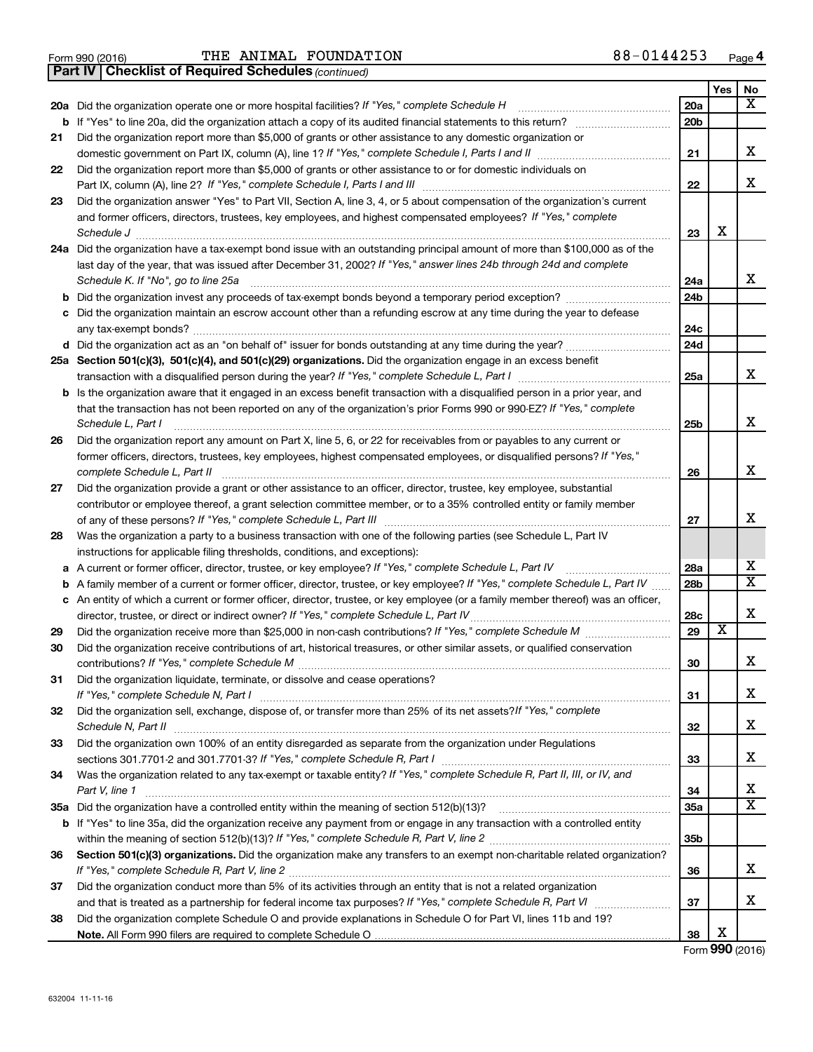Form 990 (2016)  $\begin{array}{cccc} \text{THE} & \text{ANIMAL} & \text{FOUNDATION} \end{array}$  88 – 0144253  $\begin{array}{cccc} \text{Page} & \text{Page} \end{array}$ 

*(continued)* **Part IV Checklist of Required Schedules**

|     |                                                                                                                                   |                 | Yes                     | No                      |
|-----|-----------------------------------------------------------------------------------------------------------------------------------|-----------------|-------------------------|-------------------------|
| 20a | Did the organization operate one or more hospital facilities? If "Yes," complete Schedule H                                       | 20a             |                         | X                       |
|     | <b>b</b> If "Yes" to line 20a, did the organization attach a copy of its audited financial statements to this return?             | 20 <sub>b</sub> |                         |                         |
| 21  | Did the organization report more than \$5,000 of grants or other assistance to any domestic organization or                       |                 |                         |                         |
|     |                                                                                                                                   | 21              |                         | x                       |
| 22  | Did the organization report more than \$5,000 of grants or other assistance to or for domestic individuals on                     |                 |                         |                         |
|     | Part IX, column (A), line 2? If "Yes," complete Schedule I, Parts I and III                                                       | 22              |                         | x                       |
| 23  | Did the organization answer "Yes" to Part VII, Section A, line 3, 4, or 5 about compensation of the organization's current        |                 |                         |                         |
|     | and former officers, directors, trustees, key employees, and highest compensated employees? If "Yes," complete                    |                 |                         |                         |
|     | Schedule J                                                                                                                        | 23              | x                       |                         |
| 24a | Did the organization have a tax-exempt bond issue with an outstanding principal amount of more than \$100,000 as of the           |                 |                         |                         |
|     | last day of the year, that was issued after December 31, 2002? If "Yes," answer lines 24b through 24d and complete                |                 |                         | x                       |
|     | Schedule K. If "No", go to line 25a                                                                                               | 24a             |                         |                         |
| b   |                                                                                                                                   | 24b             |                         |                         |
| с   | Did the organization maintain an escrow account other than a refunding escrow at any time during the year to defease              | 24c             |                         |                         |
|     |                                                                                                                                   | 24d             |                         |                         |
|     | 25a Section 501(c)(3), 501(c)(4), and 501(c)(29) organizations. Did the organization engage in an excess benefit                  |                 |                         |                         |
|     |                                                                                                                                   | 25a             |                         | x                       |
| b   | Is the organization aware that it engaged in an excess benefit transaction with a disqualified person in a prior year, and        |                 |                         |                         |
|     | that the transaction has not been reported on any of the organization's prior Forms 990 or 990-EZ? If "Yes," complete             |                 |                         |                         |
|     | Schedule L, Part I                                                                                                                | 25b             |                         | x                       |
| 26  | Did the organization report any amount on Part X, line 5, 6, or 22 for receivables from or payables to any current or             |                 |                         |                         |
|     | former officers, directors, trustees, key employees, highest compensated employees, or disqualified persons? If "Yes,"            |                 |                         |                         |
|     | complete Schedule L, Part II                                                                                                      | 26              |                         | x                       |
| 27  | Did the organization provide a grant or other assistance to an officer, director, trustee, key employee, substantial              |                 |                         |                         |
|     | contributor or employee thereof, a grant selection committee member, or to a 35% controlled entity or family member               |                 |                         |                         |
|     |                                                                                                                                   | 27              |                         | x                       |
| 28  | Was the organization a party to a business transaction with one of the following parties (see Schedule L, Part IV                 |                 |                         |                         |
|     | instructions for applicable filing thresholds, conditions, and exceptions):                                                       |                 |                         |                         |
| а   | A current or former officer, director, trustee, or key employee? If "Yes," complete Schedule L, Part IV                           | 28a             |                         | x                       |
| b   | A family member of a current or former officer, director, trustee, or key employee? If "Yes," complete Schedule L, Part IV        | 28 <sub>b</sub> |                         | $\overline{X}$          |
|     | c An entity of which a current or former officer, director, trustee, or key employee (or a family member thereof) was an officer, |                 |                         |                         |
|     | director, trustee, or direct or indirect owner? If "Yes," complete Schedule L, Part IV                                            | <b>28c</b>      |                         | x                       |
| 29  | Did the organization receive more than \$25,000 in non-cash contributions? If "Yes," complete Schedule M                          | 29              | $\overline{\textbf{X}}$ |                         |
| 30  | Did the organization receive contributions of art, historical treasures, or other similar assets, or qualified conservation       |                 |                         |                         |
|     |                                                                                                                                   | 30              |                         | x                       |
| 31  | Did the organization liquidate, terminate, or dissolve and cease operations?                                                      |                 |                         |                         |
|     | If "Yes," complete Schedule N, Part I                                                                                             | 31              |                         | х                       |
| 32  | Did the organization sell, exchange, dispose of, or transfer more than 25% of its net assets? If "Yes," complete                  | 32              |                         | x                       |
| 33  | Schedule N, Part II<br>Did the organization own 100% of an entity disregarded as separate from the organization under Regulations |                 |                         |                         |
|     |                                                                                                                                   | 33              |                         | x                       |
| 34  | Was the organization related to any tax-exempt or taxable entity? If "Yes," complete Schedule R, Part II, III, or IV, and         |                 |                         |                         |
|     | Part V, line 1                                                                                                                    | 34              |                         | x                       |
|     |                                                                                                                                   | 35a             |                         | $\overline{\mathbf{X}}$ |
|     | b If "Yes" to line 35a, did the organization receive any payment from or engage in any transaction with a controlled entity       |                 |                         |                         |
|     |                                                                                                                                   | 35b             |                         |                         |
| 36  | Section 501(c)(3) organizations. Did the organization make any transfers to an exempt non-charitable related organization?        |                 |                         |                         |
|     |                                                                                                                                   | 36              |                         | x                       |
| 37  | Did the organization conduct more than 5% of its activities through an entity that is not a related organization                  |                 |                         |                         |
|     |                                                                                                                                   | 37              |                         | x                       |
| 38  | Did the organization complete Schedule O and provide explanations in Schedule O for Part VI, lines 11b and 19?                    |                 |                         |                         |
|     |                                                                                                                                   | 38              | x                       |                         |

Form (2016) **990**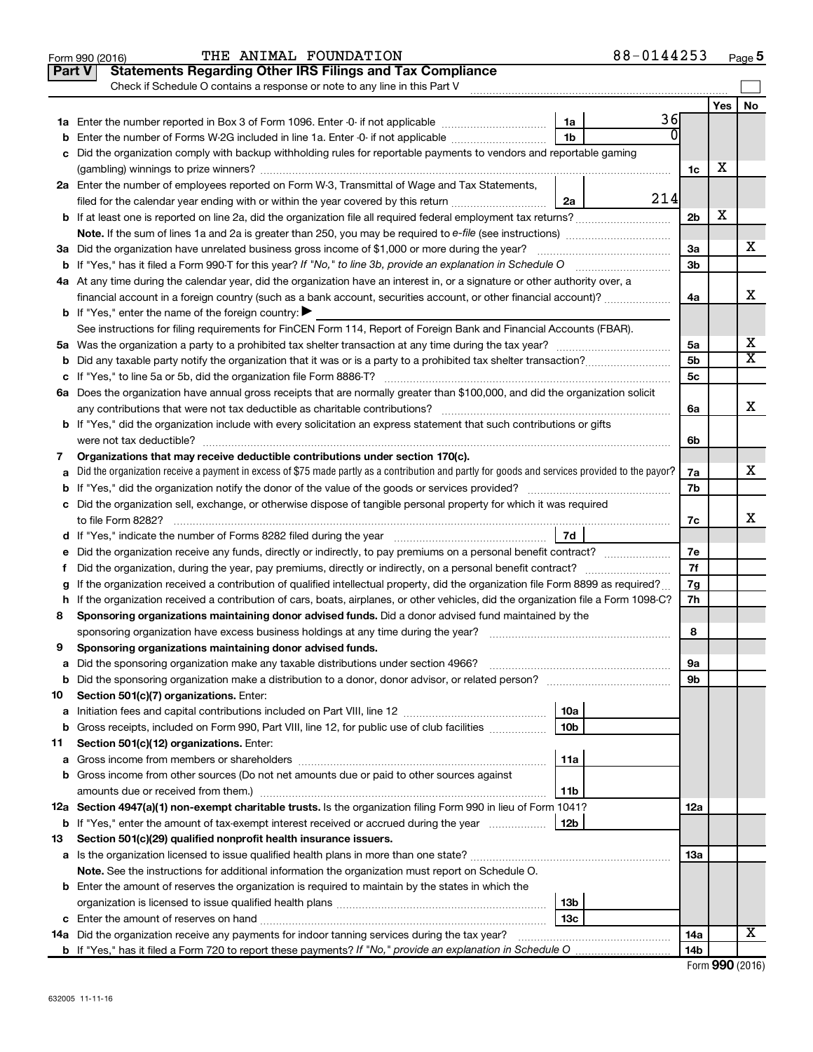|               | THE ANIMAL FOUNDATION<br>Form 990 (2016)                                                                                                        | 88-0144253      |                |     | Page 5                  |
|---------------|-------------------------------------------------------------------------------------------------------------------------------------------------|-----------------|----------------|-----|-------------------------|
| <b>Part V</b> | <b>Statements Regarding Other IRS Filings and Tax Compliance</b>                                                                                |                 |                |     |                         |
|               | Check if Schedule O contains a response or note to any line in this Part V                                                                      |                 |                |     |                         |
|               |                                                                                                                                                 |                 |                | Yes | No                      |
|               |                                                                                                                                                 | 1a              | 36             |     |                         |
| b             | Enter the number of Forms W-2G included in line 1a. Enter -0- if not applicable                                                                 | 1b              |                |     |                         |
| c             | Did the organization comply with backup withholding rules for reportable payments to vendors and reportable gaming                              |                 |                |     |                         |
|               |                                                                                                                                                 |                 | 1c             | X   |                         |
|               | 2a Enter the number of employees reported on Form W-3, Transmittal of Wage and Tax Statements,                                                  |                 |                |     |                         |
|               | filed for the calendar year ending with or within the year covered by this return                                                               | 2a              | 214            |     |                         |
|               | <b>b</b> If at least one is reported on line 2a, did the organization file all required federal employment tax returns?                         |                 | 2 <sub>b</sub> | X   |                         |
|               |                                                                                                                                                 |                 |                |     |                         |
|               | 3a Did the organization have unrelated business gross income of \$1,000 or more during the year?                                                |                 | За             |     | х                       |
|               |                                                                                                                                                 |                 | 3b             |     |                         |
|               | 4a At any time during the calendar year, did the organization have an interest in, or a signature or other authority over, a                    |                 |                |     |                         |
|               | financial account in a foreign country (such as a bank account, securities account, or other financial account)?                                |                 | 4a             |     | X                       |
|               | <b>b</b> If "Yes," enter the name of the foreign country: $\blacktriangleright$                                                                 |                 |                |     |                         |
|               | See instructions for filing requirements for FinCEN Form 114, Report of Foreign Bank and Financial Accounts (FBAR).                             |                 |                |     |                         |
|               |                                                                                                                                                 |                 | 5a             |     | х                       |
| b             |                                                                                                                                                 |                 | 5b             |     | $\overline{\texttt{x}}$ |
|               |                                                                                                                                                 |                 | 5c             |     |                         |
|               | 6a Does the organization have annual gross receipts that are normally greater than \$100,000, and did the organization solicit                  |                 |                |     |                         |
|               | any contributions that were not tax deductible as charitable contributions?                                                                     |                 | 6a             |     | x                       |
|               | b If "Yes," did the organization include with every solicitation an express statement that such contributions or gifts                          |                 |                |     |                         |
|               | were not tax deductible?                                                                                                                        |                 | 6b             |     |                         |
| 7             | Organizations that may receive deductible contributions under section 170(c).                                                                   |                 |                |     |                         |
| a             | Did the organization receive a payment in excess of \$75 made partly as a contribution and partly for goods and services provided to the payor? |                 | 7a             |     | x                       |
|               |                                                                                                                                                 |                 | 7b             |     |                         |
|               | c Did the organization sell, exchange, or otherwise dispose of tangible personal property for which it was required                             |                 |                |     |                         |
|               | to file Form 8282?                                                                                                                              |                 | 7c             |     | X                       |
|               |                                                                                                                                                 | 7d              |                |     |                         |
| е             | Did the organization receive any funds, directly or indirectly, to pay premiums on a personal benefit contract?                                 |                 | 7e             |     |                         |
| f.            | Did the organization, during the year, pay premiums, directly or indirectly, on a personal benefit contract?                                    |                 | 7f             |     |                         |
| g             | If the organization received a contribution of qualified intellectual property, did the organization file Form 8899 as required?                |                 | 7g             |     |                         |
|               | h If the organization received a contribution of cars, boats, airplanes, or other vehicles, did the organization file a Form 1098-C?            |                 | 7h             |     |                         |
| 8             | Sponsoring organizations maintaining donor advised funds. Did a donor advised fund maintained by the                                            |                 |                |     |                         |
|               | sponsoring organization have excess business holdings at any time during the year?                                                              |                 | 8              |     |                         |
| 9             | Sponsoring organizations maintaining donor advised funds.                                                                                       |                 |                |     |                         |
| а             | Did the sponsoring organization make any taxable distributions under section 4966?                                                              |                 | 9а             |     |                         |
| b             |                                                                                                                                                 |                 | 9b             |     |                         |
| 10            | Section 501(c)(7) organizations. Enter:                                                                                                         |                 |                |     |                         |
| а             |                                                                                                                                                 | 10a             |                |     |                         |
| b             | Gross receipts, included on Form 990, Part VIII, line 12, for public use of club facilities                                                     | 10 <sub>b</sub> |                |     |                         |
| 11            | Section 501(c)(12) organizations. Enter:                                                                                                        |                 |                |     |                         |
| а             |                                                                                                                                                 | 11a             |                |     |                         |
| b             | Gross income from other sources (Do not net amounts due or paid to other sources against                                                        |                 |                |     |                         |
|               |                                                                                                                                                 | 11b             |                |     |                         |
|               | 12a Section 4947(a)(1) non-exempt charitable trusts. Is the organization filing Form 990 in lieu of Form 1041?                                  |                 | 12a            |     |                         |
| b             | If "Yes," enter the amount of tax-exempt interest received or accrued during the year                                                           | 12b             |                |     |                         |
| 13            | Section 501(c)(29) qualified nonprofit health insurance issuers.                                                                                |                 |                |     |                         |
|               |                                                                                                                                                 |                 | 1За            |     |                         |
|               | Note. See the instructions for additional information the organization must report on Schedule O.                                               |                 |                |     |                         |
|               | <b>b</b> Enter the amount of reserves the organization is required to maintain by the states in which the                                       |                 |                |     |                         |
|               |                                                                                                                                                 | 13 <sub>b</sub> |                |     |                         |
|               |                                                                                                                                                 | 13с             |                |     |                         |
|               | <b>14a</b> Did the organization receive any payments for indoor tanning services during the tax year?                                           |                 | 14a            |     | х                       |
|               |                                                                                                                                                 |                 | 14b            |     |                         |

| Form 990 (2016) |  |
|-----------------|--|
|-----------------|--|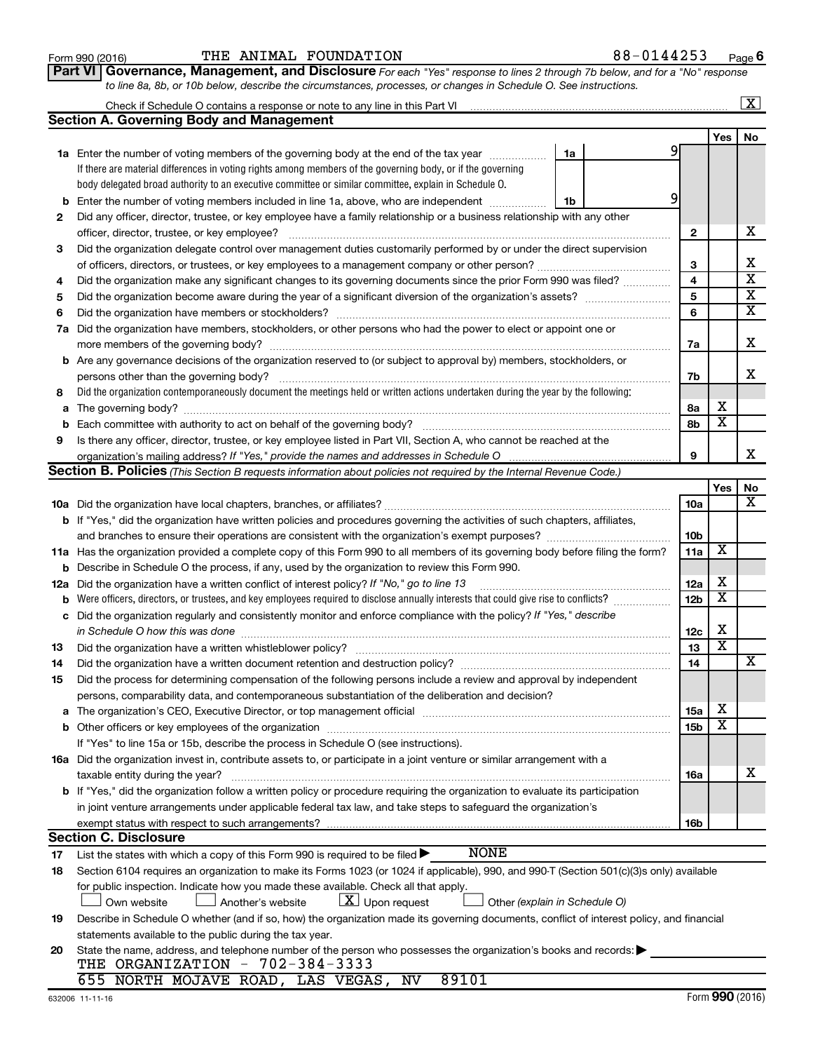|--|

#### $\frac{1}{100}$   $\frac{1}{100}$   $\frac{1}{100}$   $\frac{1}{100}$   $\frac{1}{100}$   $\frac{1}{100}$   $\frac{1}{100}$   $\frac{1}{100}$   $\frac{1}{100}$   $\frac{1}{100}$   $\frac{1}{100}$   $\frac{1}{100}$   $\frac{1}{100}$   $\frac{1}{100}$   $\frac{1}{100}$   $\frac{1}{100}$   $\frac{1}{100}$   $\frac{1}{100}$   $\frac{1$ THE ANIMAL FOUNDATION 88-0144253

*For each "Yes" response to lines 2 through 7b below, and for a "No" response to line 8a, 8b, or 10b below, describe the circumstances, processes, or changes in Schedule O. See instructions.* **Part VI Governance, Management, and Disclosure** 

|     |                                                                                                                                                                                                                               |    |    |                 |                         | $\mathbf{X}$            |
|-----|-------------------------------------------------------------------------------------------------------------------------------------------------------------------------------------------------------------------------------|----|----|-----------------|-------------------------|-------------------------|
|     | Section A. Governing Body and Management                                                                                                                                                                                      |    |    |                 |                         |                         |
|     |                                                                                                                                                                                                                               |    |    |                 | Yes                     | No                      |
|     | <b>1a</b> Enter the number of voting members of the governing body at the end of the tax year                                                                                                                                 | 1a | 91 |                 |                         |                         |
|     | If there are material differences in voting rights among members of the governing body, or if the governing                                                                                                                   |    |    |                 |                         |                         |
|     | body delegated broad authority to an executive committee or similar committee, explain in Schedule O.                                                                                                                         |    |    |                 |                         |                         |
| b   | Enter the number of voting members included in line 1a, above, who are independent                                                                                                                                            | 1b | 9  |                 |                         |                         |
| 2   | Did any officer, director, trustee, or key employee have a family relationship or a business relationship with any other                                                                                                      |    |    |                 |                         |                         |
|     | officer, director, trustee, or key employee?                                                                                                                                                                                  |    |    | 2               |                         | х                       |
| 3   | Did the organization delegate control over management duties customarily performed by or under the direct supervision                                                                                                         |    |    |                 |                         |                         |
|     |                                                                                                                                                                                                                               |    |    | 3               |                         | х                       |
| 4   | Did the organization make any significant changes to its governing documents since the prior Form 990 was filed?                                                                                                              |    |    | 4               |                         | $\overline{\textbf{x}}$ |
| 5   |                                                                                                                                                                                                                               |    |    | 5               |                         | $\overline{\textbf{X}}$ |
| 6   | Did the organization have members or stockholders?                                                                                                                                                                            |    |    | 6               |                         | $\overline{\textbf{X}}$ |
| 7a  | Did the organization have members, stockholders, or other persons who had the power to elect or appoint one or                                                                                                                |    |    |                 |                         |                         |
|     |                                                                                                                                                                                                                               |    |    | 7a              |                         | х                       |
|     | <b>b</b> Are any governance decisions of the organization reserved to (or subject to approval by) members, stockholders, or                                                                                                   |    |    |                 |                         |                         |
|     | persons other than the governing body?                                                                                                                                                                                        |    |    | 7b              |                         | x                       |
| 8   | Did the organization contemporaneously document the meetings held or written actions undertaken during the year by the following:                                                                                             |    |    |                 |                         |                         |
| a   |                                                                                                                                                                                                                               |    |    | 8а              | х                       |                         |
| b   |                                                                                                                                                                                                                               |    |    | 8b              | $\overline{\textbf{x}}$ |                         |
| 9   | Is there any officer, director, trustee, or key employee listed in Part VII, Section A, who cannot be reached at the                                                                                                          |    |    |                 |                         |                         |
|     |                                                                                                                                                                                                                               |    |    | 9               |                         | x                       |
|     | Section B. Policies (This Section B requests information about policies not required by the Internal Revenue Code.)                                                                                                           |    |    |                 |                         |                         |
|     |                                                                                                                                                                                                                               |    |    |                 | Yes                     | No                      |
|     |                                                                                                                                                                                                                               |    |    | 10a             |                         | х                       |
|     | <b>b</b> If "Yes," did the organization have written policies and procedures governing the activities of such chapters, affiliates,                                                                                           |    |    |                 |                         |                         |
|     | and branches to ensure their operations are consistent with the organization's exempt purposes? www.www.www.www.                                                                                                              |    |    | 10 <sub>b</sub> |                         |                         |
|     | 11a Has the organization provided a complete copy of this Form 990 to all members of its governing body before filing the form?                                                                                               |    |    | 11a             | X                       |                         |
| b   | Describe in Schedule O the process, if any, used by the organization to review this Form 990.                                                                                                                                 |    |    |                 |                         |                         |
| 12a | Did the organization have a written conflict of interest policy? If "No," go to line 13                                                                                                                                       |    |    | 12a             | х                       |                         |
| b   | Were officers, directors, or trustees, and key employees required to disclose annually interests that could give rise to conflicts?                                                                                           |    |    | 12 <sub>b</sub> | х                       |                         |
| с   | Did the organization regularly and consistently monitor and enforce compliance with the policy? If "Yes," describe                                                                                                            |    |    |                 |                         |                         |
|     | in Schedule O how this was done                                                                                                                                                                                               |    |    | 12c             | х                       |                         |
| 13  | Did the organization have a written whistleblower policy?                                                                                                                                                                     |    |    | 13              | $\overline{\textbf{x}}$ |                         |
| 14  | Did the organization have a written document retention and destruction policy? [111] [12] [13] Did the organization have a written document retention and destruction policy?                                                 |    |    | 14              |                         | х                       |
| 15  | Did the process for determining compensation of the following persons include a review and approval by independent                                                                                                            |    |    |                 |                         |                         |
|     | persons, comparability data, and contemporaneous substantiation of the deliberation and decision?                                                                                                                             |    |    |                 |                         |                         |
| а   | The organization's CEO, Executive Director, or top management official manufactured content content of the organization's CEO, executive Director, or top management official manufactured content of the original content of |    |    | 15a             | х                       |                         |
|     |                                                                                                                                                                                                                               |    |    | 15b             | X                       |                         |
|     | If "Yes" to line 15a or 15b, describe the process in Schedule O (see instructions).                                                                                                                                           |    |    |                 |                         |                         |
|     | 16a Did the organization invest in, contribute assets to, or participate in a joint venture or similar arrangement with a                                                                                                     |    |    |                 |                         |                         |
|     | taxable entity during the year?                                                                                                                                                                                               |    |    | 16a             |                         | x                       |
|     | b If "Yes," did the organization follow a written policy or procedure requiring the organization to evaluate its participation                                                                                                |    |    |                 |                         |                         |
|     | in joint venture arrangements under applicable federal tax law, and take steps to safeguard the organization's                                                                                                                |    |    |                 |                         |                         |
|     | exempt status with respect to such arrangements?                                                                                                                                                                              |    |    | 16b             |                         |                         |
|     | <b>Section C. Disclosure</b>                                                                                                                                                                                                  |    |    |                 |                         |                         |
| 17  | <b>NONE</b><br>List the states with which a copy of this Form 990 is required to be filed >                                                                                                                                   |    |    |                 |                         |                         |
| 18  | Section 6104 requires an organization to make its Forms 1023 (or 1024 if applicable), 990, and 990-T (Section 501(c)(3)s only) available                                                                                      |    |    |                 |                         |                         |
|     | for public inspection. Indicate how you made these available. Check all that apply.                                                                                                                                           |    |    |                 |                         |                         |
|     | $ \underline{X} $ Upon request<br>Another's website<br>Other (explain in Schedule O)<br>Own website                                                                                                                           |    |    |                 |                         |                         |
| 19  | Describe in Schedule O whether (and if so, how) the organization made its governing documents, conflict of interest policy, and financial                                                                                     |    |    |                 |                         |                         |
|     | statements available to the public during the tax year.                                                                                                                                                                       |    |    |                 |                         |                         |
| 20  | State the name, address, and telephone number of the person who possesses the organization's books and records:                                                                                                               |    |    |                 |                         |                         |
|     | THE ORGANIZATION - 702-384-3333<br>89101<br>655 NORTH MOJAVE ROAD, LAS VEGAS, NV                                                                                                                                              |    |    |                 |                         |                         |
|     |                                                                                                                                                                                                                               |    |    |                 |                         |                         |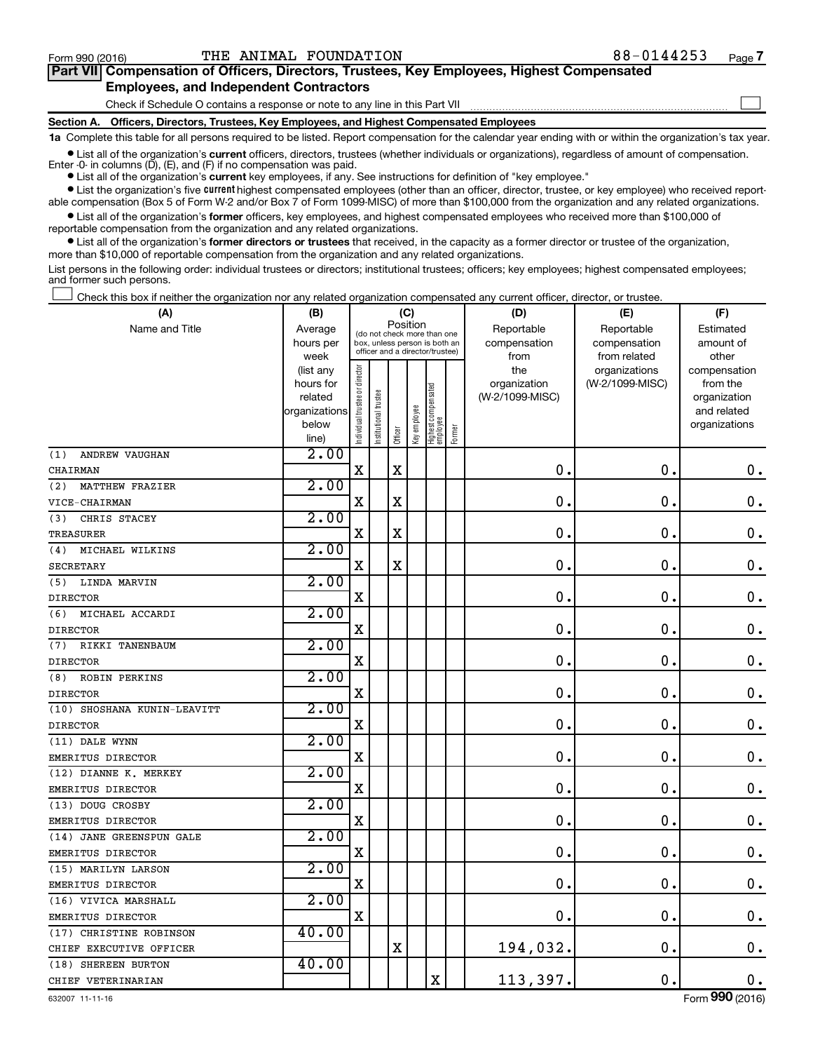$\Box$ 

| Part VII Compensation of Officers, Directors, Trustees, Key Employees, Highest Compensated |  |  |  |  |
|--------------------------------------------------------------------------------------------|--|--|--|--|
| <b>Employees, and Independent Contractors</b>                                              |  |  |  |  |

Check if Schedule O contains a response or note to any line in this Part VII

**Section A. Officers, Directors, Trustees, Key Employees, and Highest Compensated Employees**

**1a**  Complete this table for all persons required to be listed. Report compensation for the calendar year ending with or within the organization's tax year.

**•** List all of the organization's current officers, directors, trustees (whether individuals or organizations), regardless of amount of compensation. Enter -0- in columns  $(D)$ ,  $(E)$ , and  $(F)$  if no compensation was paid.

**•** List all of the organization's **current** key employees, if any. See instructions for definition of "key employee."

**•** List the organization's five current highest compensated employees (other than an officer, director, trustee, or key employee) who received reportable compensation (Box 5 of Form W-2 and/or Box 7 of Form 1099-MISC) of more than \$100,000 from the organization and any related organizations.

**•** List all of the organization's former officers, key employees, and highest compensated employees who received more than \$100,000 of reportable compensation from the organization and any related organizations.

**•** List all of the organization's former directors or trustees that received, in the capacity as a former director or trustee of the organization, more than \$10,000 of reportable compensation from the organization and any related organizations.

List persons in the following order: individual trustees or directors; institutional trustees; officers; key employees; highest compensated employees; and former such persons.

Check this box if neither the organization nor any related organization compensated any current officer, director, or trustee.  $\Box$ 

| (A)                           | (B)                    |                                |                                                                  |          | (C)          |                                   |        | (D)                 | (E)                              | (F)                      |
|-------------------------------|------------------------|--------------------------------|------------------------------------------------------------------|----------|--------------|-----------------------------------|--------|---------------------|----------------------------------|--------------------------|
| Name and Title                | Average                |                                | (do not check more than one                                      | Position |              |                                   |        | Reportable          | Reportable                       | Estimated                |
|                               | hours per              |                                | box, unless person is both an<br>officer and a director/trustee) |          |              |                                   |        | compensation        | compensation                     | amount of                |
|                               | week                   |                                |                                                                  |          |              |                                   |        | from                | from related                     | other                    |
|                               | (list any<br>hours for |                                |                                                                  |          |              |                                   |        | the<br>organization | organizations<br>(W-2/1099-MISC) | compensation<br>from the |
|                               | related                |                                |                                                                  |          |              |                                   |        | (W-2/1099-MISC)     |                                  | organization             |
|                               | organizations          |                                |                                                                  |          |              |                                   |        |                     |                                  | and related              |
|                               | below                  |                                |                                                                  |          |              |                                   |        |                     |                                  | organizations            |
|                               | line)                  | Individual trustee or director | Institutional trustee                                            | Officer  | Key employee | Highest compensated<br>  employee | Former |                     |                                  |                          |
| <b>ANDREW VAUGHAN</b><br>(1)  | 2.00                   |                                |                                                                  |          |              |                                   |        |                     |                                  |                          |
| CHAIRMAN                      |                        | $\rm X$                        |                                                                  | $\rm X$  |              |                                   |        | $\mathbf 0$         | $\mathbf 0$ .                    | $\mathbf 0$ .            |
| (2)<br><b>MATTHEW FRAZIER</b> | 2.00                   |                                |                                                                  |          |              |                                   |        |                     |                                  |                          |
| VICE-CHAIRMAN                 |                        | $\rm X$                        |                                                                  | X        |              |                                   |        | $\mathbf 0$         | $\mathbf 0$                      | 0.                       |
| (3)<br>CHRIS STACEY           | 2.00                   |                                |                                                                  |          |              |                                   |        |                     |                                  |                          |
| <b>TREASURER</b>              |                        | X                              |                                                                  | $\rm X$  |              |                                   |        | $\mathbf 0$         | 0                                | $\mathbf 0$ .            |
| MICHAEL WILKINS<br>(4)        | 2.00                   |                                |                                                                  |          |              |                                   |        |                     |                                  |                          |
| <b>SECRETARY</b>              |                        | $\rm X$                        |                                                                  | X        |              |                                   |        | $\mathbf 0$         | $\mathbf 0$                      | $\mathbf 0$ .            |
| LINDA MARVIN<br>(5)           | 2.00                   |                                |                                                                  |          |              |                                   |        |                     |                                  |                          |
| <b>DIRECTOR</b>               |                        | $\rm X$                        |                                                                  |          |              |                                   |        | 0                   | $\mathbf 0$                      | $\mathbf 0$ .            |
| (6)<br>MICHAEL ACCARDI        | 2.00                   |                                |                                                                  |          |              |                                   |        |                     |                                  |                          |
| <b>DIRECTOR</b>               |                        | X                              |                                                                  |          |              |                                   |        | $\mathbf 0$         | $\mathbf 0$                      | $\mathbf 0$ .            |
| (7)<br>RIKKI TANENBAUM        | 2.00                   |                                |                                                                  |          |              |                                   |        |                     |                                  |                          |
| <b>DIRECTOR</b>               |                        | $\mathbf X$                    |                                                                  |          |              |                                   |        | 0                   | 0                                | $\mathbf 0$ .            |
| (8)<br><b>ROBIN PERKINS</b>   | 2.00                   |                                |                                                                  |          |              |                                   |        |                     |                                  |                          |
| <b>DIRECTOR</b>               |                        | $\rm X$                        |                                                                  |          |              |                                   |        | $\mathbf 0$         | $\mathbf 0$                      | $0$ .                    |
| (10) SHOSHANA KUNIN-LEAVITT   | 2.00                   |                                |                                                                  |          |              |                                   |        |                     |                                  |                          |
| <b>DIRECTOR</b>               |                        | $\rm X$                        |                                                                  |          |              |                                   |        | $\mathbf 0$         | $\mathbf 0$                      | $\mathbf 0$ .            |
| (11) DALE WYNN                | 2.00                   |                                |                                                                  |          |              |                                   |        |                     |                                  |                          |
| EMERITUS DIRECTOR             |                        | X                              |                                                                  |          |              |                                   |        | $\mathbf 0$         | $\mathbf 0$                      | $\mathbf 0$ .            |
| (12) DIANNE K. MERKEY         | 2.00                   |                                |                                                                  |          |              |                                   |        |                     |                                  |                          |
| EMERITUS DIRECTOR             |                        | $\mathbf X$                    |                                                                  |          |              |                                   |        | 0                   | $\mathbf 0$                      | $\mathbf 0$ .            |
| (13) DOUG CROSBY              | 2.00                   |                                |                                                                  |          |              |                                   |        |                     |                                  |                          |
| EMERITUS DIRECTOR             |                        | $\rm X$                        |                                                                  |          |              |                                   |        | $\mathbf 0$         | $\mathbf 0$                      | $\mathbf 0$ .            |
| (14) JANE GREENSPUN GALE      | 2.00                   |                                |                                                                  |          |              |                                   |        |                     |                                  |                          |
| EMERITUS DIRECTOR             |                        | $\rm X$                        |                                                                  |          |              |                                   |        | $\mathbf 0$         | $\mathbf 0$                      | $\mathbf 0$ .            |
| (15) MARILYN LARSON           | 2.00                   |                                |                                                                  |          |              |                                   |        |                     |                                  |                          |
| EMERITUS DIRECTOR             |                        | $\rm X$                        |                                                                  |          |              |                                   |        | 0                   | $\mathbf 0$                      | $\mathbf 0$ .            |
| (16) VIVICA MARSHALL          | 2.00                   |                                |                                                                  |          |              |                                   |        |                     |                                  |                          |
| EMERITUS DIRECTOR             |                        | X                              |                                                                  |          |              |                                   |        | $\mathbf 0$         | $\mathbf 0$                      | $\mathbf 0$ .            |
| (17) CHRISTINE ROBINSON       | 40.00                  |                                |                                                                  |          |              |                                   |        |                     |                                  |                          |
| CHIEF EXECUTIVE OFFICER       |                        |                                |                                                                  | $\rm X$  |              |                                   |        | 194,032.            | $\mathbf 0$                      | 0.                       |
| (18) SHEREEN BURTON           | 40.00                  |                                |                                                                  |          |              |                                   |        |                     |                                  |                          |
| CHIEF VETERINARIAN            |                        |                                |                                                                  |          |              | $\rm X$                           |        | 113,397.            | $\mathbf 0$ .                    | 0.                       |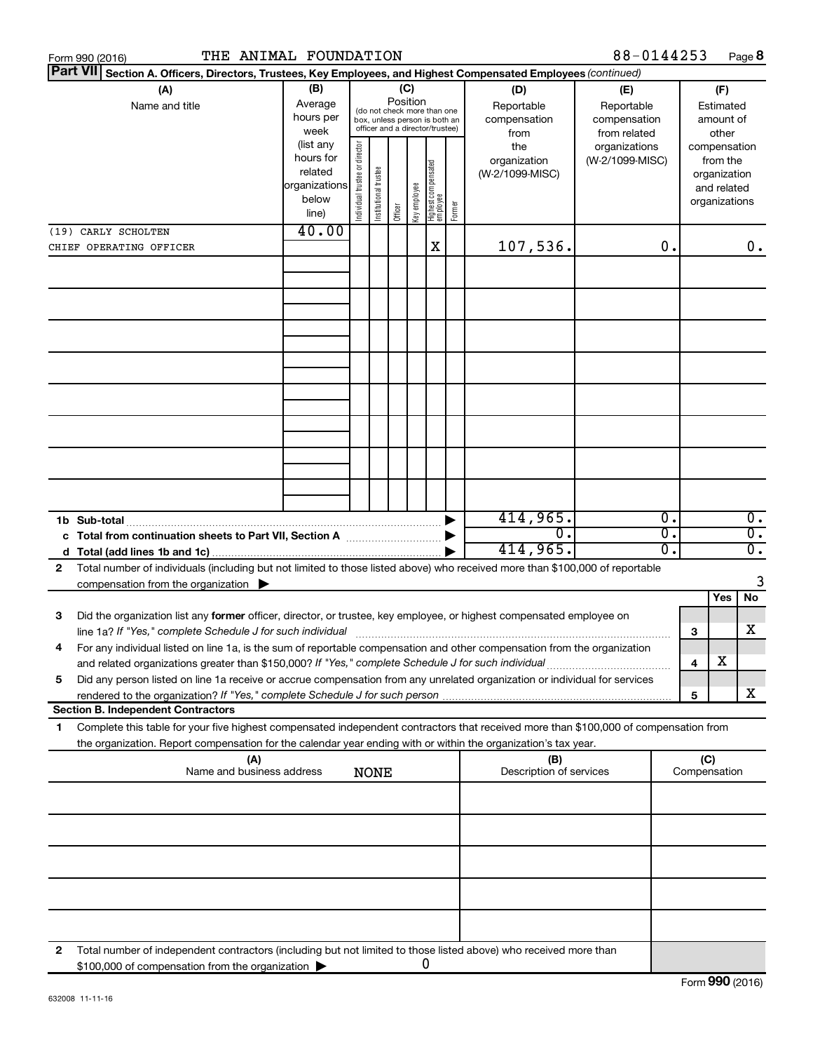|   | THE ANIMAL FOUNDATION<br>Form 990 (2016)                                                                                                                                                                                                               |                                                                      |                                |                       |                 |              |                                                                                                 |        |                                           | 88-0144253                                        |    |                     |                                                                          | Page 8           |
|---|--------------------------------------------------------------------------------------------------------------------------------------------------------------------------------------------------------------------------------------------------------|----------------------------------------------------------------------|--------------------------------|-----------------------|-----------------|--------------|-------------------------------------------------------------------------------------------------|--------|-------------------------------------------|---------------------------------------------------|----|---------------------|--------------------------------------------------------------------------|------------------|
|   | <b>Part VII</b><br>Section A. Officers, Directors, Trustees, Key Employees, and Highest Compensated Employees (continued)                                                                                                                              |                                                                      |                                |                       |                 |              |                                                                                                 |        |                                           |                                                   |    |                     |                                                                          |                  |
|   | (A)<br>Name and title                                                                                                                                                                                                                                  | (B)<br>Average<br>hours per<br>week                                  |                                |                       | (C)<br>Position |              | (do not check more than one<br>box, unless person is both an<br>officer and a director/trustee) |        | (D)<br>Reportable<br>compensation<br>from | (E)<br>Reportable<br>compensation<br>from related |    |                     | (F)<br>Estimated<br>amount of<br>other                                   |                  |
|   |                                                                                                                                                                                                                                                        | (list any<br>hours for<br>related<br>organizations<br>below<br>line) | Individual trustee or director | Institutional trustee | Officer         | Key employee | Highest compensated<br>  employee                                                               | Former | the<br>organization<br>(W-2/1099-MISC)    | organizations<br>(W-2/1099-MISC)                  |    |                     | compensation<br>from the<br>organization<br>and related<br>organizations |                  |
|   | (19) CARLY SCHOLTEN                                                                                                                                                                                                                                    | 40.00                                                                |                                |                       |                 |              |                                                                                                 |        |                                           |                                                   |    |                     |                                                                          |                  |
|   | CHIEF OPERATING OFFICER                                                                                                                                                                                                                                |                                                                      |                                |                       |                 |              | X                                                                                               |        | 107,536.                                  |                                                   | 0. |                     |                                                                          | 0.               |
|   |                                                                                                                                                                                                                                                        |                                                                      |                                |                       |                 |              |                                                                                                 |        |                                           |                                                   |    |                     |                                                                          |                  |
|   |                                                                                                                                                                                                                                                        |                                                                      |                                |                       |                 |              |                                                                                                 |        |                                           |                                                   |    |                     |                                                                          |                  |
|   |                                                                                                                                                                                                                                                        |                                                                      |                                |                       |                 |              |                                                                                                 |        |                                           |                                                   |    |                     |                                                                          |                  |
|   | 1b Sub-total                                                                                                                                                                                                                                           |                                                                      |                                |                       |                 |              |                                                                                                 |        | 414,965.                                  |                                                   | 0. |                     |                                                                          | $\overline{0}$ . |
|   | c Total from continuation sheets to Part VII, Section A manufactured by                                                                                                                                                                                |                                                                      |                                |                       |                 |              |                                                                                                 |        | $\overline{0}$ .                          |                                                   | σ. |                     |                                                                          | $\overline{0}$ . |
|   |                                                                                                                                                                                                                                                        |                                                                      |                                |                       |                 |              |                                                                                                 |        | 414,965.                                  |                                                   | σ. |                     |                                                                          | $\overline{0}$ . |
| 2 | Total number of individuals (including but not limited to those listed above) who received more than \$100,000 of reportable<br>compensation from the organization $\blacktriangleright$                                                               |                                                                      |                                |                       |                 |              |                                                                                                 |        |                                           |                                                   |    |                     |                                                                          | 3                |
|   |                                                                                                                                                                                                                                                        |                                                                      |                                |                       |                 |              |                                                                                                 |        |                                           |                                                   |    |                     | Yes                                                                      | No               |
| 3 | Did the organization list any former officer, director, or trustee, key employee, or highest compensated employee on                                                                                                                                   |                                                                      |                                |                       |                 |              |                                                                                                 |        |                                           |                                                   |    | 3                   |                                                                          | х                |
|   | For any individual listed on line 1a, is the sum of reportable compensation and other compensation from the organization<br>and related organizations greater than \$150,000? If "Yes," complete Schedule J for such individual                        |                                                                      |                                |                       |                 |              |                                                                                                 |        |                                           |                                                   |    | 4                   | х                                                                        |                  |
| 5 | Did any person listed on line 1a receive or accrue compensation from any unrelated organization or individual for services                                                                                                                             |                                                                      |                                |                       |                 |              |                                                                                                 |        |                                           |                                                   |    | 5                   |                                                                          | x                |
|   | <b>Section B. Independent Contractors</b>                                                                                                                                                                                                              |                                                                      |                                |                       |                 |              |                                                                                                 |        |                                           |                                                   |    |                     |                                                                          |                  |
| 1 | Complete this table for your five highest compensated independent contractors that received more than \$100,000 of compensation from<br>the organization. Report compensation for the calendar year ending with or within the organization's tax year. |                                                                      |                                |                       |                 |              |                                                                                                 |        |                                           |                                                   |    |                     |                                                                          |                  |
|   | (A)<br>Name and business address                                                                                                                                                                                                                       |                                                                      |                                | <b>NONE</b>           |                 |              |                                                                                                 |        | (B)<br>Description of services            |                                                   |    | (C)<br>Compensation |                                                                          |                  |
|   |                                                                                                                                                                                                                                                        |                                                                      |                                |                       |                 |              |                                                                                                 |        |                                           |                                                   |    |                     |                                                                          |                  |
|   |                                                                                                                                                                                                                                                        |                                                                      |                                |                       |                 |              |                                                                                                 |        |                                           |                                                   |    |                     |                                                                          |                  |
|   |                                                                                                                                                                                                                                                        |                                                                      |                                |                       |                 |              |                                                                                                 |        |                                           |                                                   |    |                     |                                                                          |                  |
|   |                                                                                                                                                                                                                                                        |                                                                      |                                |                       |                 |              |                                                                                                 |        |                                           |                                                   |    |                     |                                                                          |                  |
|   |                                                                                                                                                                                                                                                        |                                                                      |                                |                       |                 |              |                                                                                                 |        |                                           |                                                   |    |                     |                                                                          |                  |
| 2 | Total number of independent contractors (including but not limited to those listed above) who received more than<br>\$100,000 of compensation from the organization                                                                                    |                                                                      |                                |                       |                 |              | 0                                                                                               |        |                                           |                                                   |    |                     |                                                                          |                  |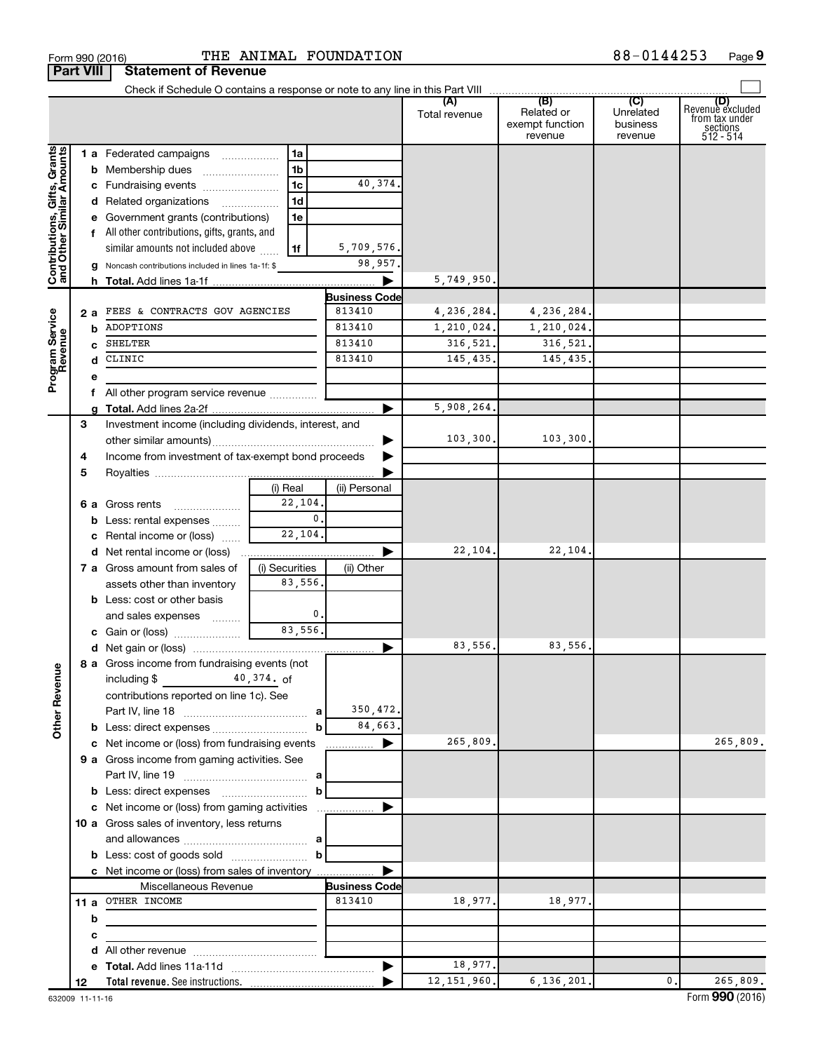|                                                           | <b>Part VIII</b> | <b>Statement of Revenue</b>                            |                |                      |                      |                                                 |                                         |                                                                    |
|-----------------------------------------------------------|------------------|--------------------------------------------------------|----------------|----------------------|----------------------|-------------------------------------------------|-----------------------------------------|--------------------------------------------------------------------|
|                                                           |                  |                                                        |                |                      |                      |                                                 |                                         |                                                                    |
|                                                           |                  |                                                        |                |                      | (A)<br>Total revenue | (B)<br>Related or<br>exempt function<br>revenue | (C)<br>Unrelated<br>business<br>revenue | (D)<br>Revenue excluded<br>from tax under<br>sections<br>512 - 514 |
|                                                           |                  | 1 a Federated campaigns                                | 1a             |                      |                      |                                                 |                                         |                                                                    |
|                                                           |                  | <b>b</b> Membership dues                               | 1 <sub>b</sub> |                      |                      |                                                 |                                         |                                                                    |
|                                                           |                  | c Fundraising events                                   | 1 <sub>c</sub> | 40,374.              |                      |                                                 |                                         |                                                                    |
|                                                           |                  | d Related organizations<br>.                           | 1 <sub>d</sub> |                      |                      |                                                 |                                         |                                                                    |
|                                                           |                  | e Government grants (contributions)                    | 1e             |                      |                      |                                                 |                                         |                                                                    |
|                                                           |                  | f All other contributions, gifts, grants, and          |                |                      |                      |                                                 |                                         |                                                                    |
|                                                           |                  | similar amounts not included above                     | 1f             | 5,709,576.           |                      |                                                 |                                         |                                                                    |
| Contributions, Gifts, Grants<br>and Other Similar Amounts |                  | Noncash contributions included in lines 1a-1f: \$<br>g |                | 98,957.              |                      |                                                 |                                         |                                                                    |
|                                                           |                  |                                                        |                | ▶                    | 5,749,950            |                                                 |                                         |                                                                    |
|                                                           |                  |                                                        |                | <b>Business Code</b> |                      |                                                 |                                         |                                                                    |
| Program Service<br>Revenue                                | 2а               | FEES & CONTRACTS GOV AGENCIES                          |                | 813410               | 4,236,284.           | 4,236,284.                                      |                                         |                                                                    |
|                                                           |                  | ADOPTIONS<br>b                                         |                | 813410               | 1,210,024.           | 1,210,024.                                      |                                         |                                                                    |
|                                                           |                  | SHELTER<br>c                                           |                | 813410               | 316,521.             | 316,521.                                        |                                         |                                                                    |
|                                                           |                  | CLINIC<br>d                                            |                | 813410               | 145,435.             | 145,435                                         |                                         |                                                                    |
|                                                           | е                |                                                        |                |                      |                      |                                                 |                                         |                                                                    |
|                                                           |                  | f All other program service revenue                    |                | ▶                    |                      |                                                 |                                         |                                                                    |
|                                                           | 3                | Investment income (including dividends, interest, and  |                |                      | 5,908,264            |                                                 |                                         |                                                                    |
|                                                           |                  |                                                        |                |                      | 103, 300.            | 103,300.                                        |                                         |                                                                    |
|                                                           | 4                | Income from investment of tax-exempt bond proceeds     |                |                      |                      |                                                 |                                         |                                                                    |
|                                                           | 5                |                                                        |                |                      |                      |                                                 |                                         |                                                                    |
|                                                           |                  |                                                        | (i) Real       | (ii) Personal        |                      |                                                 |                                         |                                                                    |
|                                                           |                  | 6 a Gross rents                                        | 22,104.        |                      |                      |                                                 |                                         |                                                                    |
|                                                           |                  | Less: rental expenses<br>b                             | $\mathbf{0}$ . |                      |                      |                                                 |                                         |                                                                    |
|                                                           |                  | c Rental income or (loss)                              | 22,104.        |                      |                      |                                                 |                                         |                                                                    |
|                                                           |                  | <b>d</b> Net rental income or (loss)                   |                |                      | 22,104.              | 22,104                                          |                                         |                                                                    |
|                                                           |                  | 7 a Gross amount from sales of                         | (i) Securities | (ii) Other           |                      |                                                 |                                         |                                                                    |
|                                                           |                  | assets other than inventory                            | 83,556.        |                      |                      |                                                 |                                         |                                                                    |
|                                                           |                  | <b>b</b> Less: cost or other basis                     |                |                      |                      |                                                 |                                         |                                                                    |
|                                                           |                  | and sales expenses                                     | 0.             |                      |                      |                                                 |                                         |                                                                    |
|                                                           |                  |                                                        | 83,556.        |                      |                      |                                                 |                                         |                                                                    |
|                                                           |                  |                                                        |                | ▶                    | 83,556.              | 83,556.                                         |                                         |                                                                    |
|                                                           |                  | 8 a Gross income from fundraising events (not          |                |                      |                      |                                                 |                                         |                                                                    |
| <b>Other Revenue</b>                                      |                  | $40,374.$ of<br>including $$$                          |                |                      |                      |                                                 |                                         |                                                                    |
|                                                           |                  | contributions reported on line 1c). See                |                |                      |                      |                                                 |                                         |                                                                    |
|                                                           |                  |                                                        |                | 350,472.             |                      |                                                 |                                         |                                                                    |
|                                                           |                  |                                                        | b              | 84,663.              |                      |                                                 |                                         |                                                                    |
|                                                           |                  | c Net income or (loss) from fundraising events         |                | ▶<br>.               | 265,809.             |                                                 |                                         | 265,809.                                                           |
|                                                           |                  | 9 a Gross income from gaming activities. See           |                |                      |                      |                                                 |                                         |                                                                    |
|                                                           |                  |                                                        |                |                      |                      |                                                 |                                         |                                                                    |
|                                                           |                  | c Net income or (loss) from gaming activities          | b              |                      |                      |                                                 |                                         |                                                                    |
|                                                           |                  | 10 a Gross sales of inventory, less returns            |                |                      |                      |                                                 |                                         |                                                                    |
|                                                           |                  |                                                        |                |                      |                      |                                                 |                                         |                                                                    |
|                                                           |                  |                                                        |                |                      |                      |                                                 |                                         |                                                                    |
|                                                           |                  | c Net income or (loss) from sales of inventory         |                |                      |                      |                                                 |                                         |                                                                    |
|                                                           |                  | Miscellaneous Revenue                                  |                | <b>Business Code</b> |                      |                                                 |                                         |                                                                    |
|                                                           |                  | 11 a OTHER INCOME                                      |                | 813410               | 18,977.              | 18,977.                                         |                                         |                                                                    |
|                                                           |                  | b                                                      |                |                      |                      |                                                 |                                         |                                                                    |
|                                                           | с                |                                                        |                |                      |                      |                                                 |                                         |                                                                    |
|                                                           |                  |                                                        |                |                      |                      |                                                 |                                         |                                                                    |
|                                                           |                  |                                                        |                |                      | 18,977.              |                                                 |                                         |                                                                    |
|                                                           | 12               |                                                        |                |                      | 12, 151, 960.        | 6, 136, 201.                                    | 0.                                      | 265,809.                                                           |

 $\frac{1}{100}$  Form 990 (2016) The High Andrea Foundation (2016)  $88-0144253$  Page

THE ANIMAL FOUNDATION 88-0144253

**9**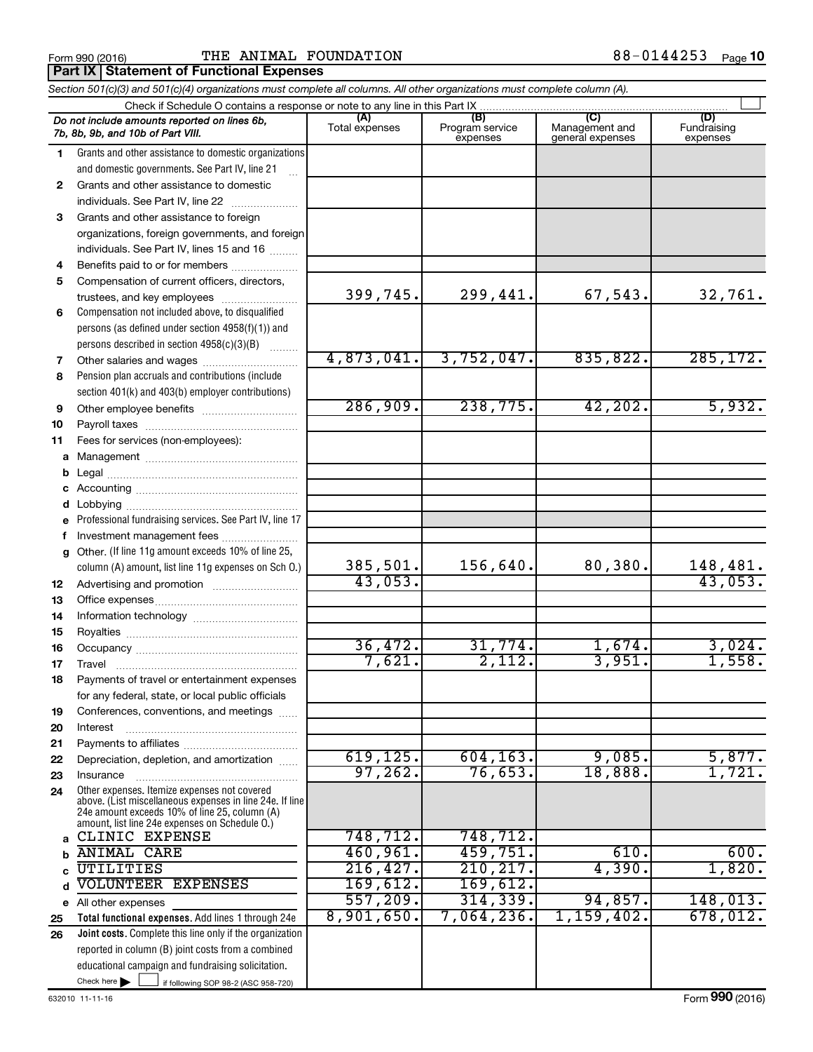#### Form 990 (2016)  $\begin{array}{cccc} \text{THE} & \text{ANIMAL} & \text{FOUNDATION} \end{array}$  88-0144253  $_{\text{Page}}$ **Part IX Statement of Functional Expenses**

|              | Section 501(c)(3) and 501(c)(4) organizations must complete all columns. All other organizations must complete column (A).                                                                                  |                |                             |                                    |                         |
|--------------|-------------------------------------------------------------------------------------------------------------------------------------------------------------------------------------------------------------|----------------|-----------------------------|------------------------------------|-------------------------|
|              |                                                                                                                                                                                                             | (A)            | (B)                         | (C)                                | (D)                     |
|              | Do not include amounts reported on lines 6b,<br>7b, 8b, 9b, and 10b of Part VIII.                                                                                                                           | Total expenses | Program service<br>expenses | Management and<br>general expenses | Fundraising<br>expenses |
| 1            | Grants and other assistance to domestic organizations                                                                                                                                                       |                |                             |                                    |                         |
|              | and domestic governments. See Part IV, line 21                                                                                                                                                              |                |                             |                                    |                         |
| $\mathbf{2}$ | Grants and other assistance to domestic                                                                                                                                                                     |                |                             |                                    |                         |
|              | individuals. See Part IV, line 22                                                                                                                                                                           |                |                             |                                    |                         |
| 3            | Grants and other assistance to foreign                                                                                                                                                                      |                |                             |                                    |                         |
|              | organizations, foreign governments, and foreign                                                                                                                                                             |                |                             |                                    |                         |
|              | individuals. See Part IV, lines 15 and 16                                                                                                                                                                   |                |                             |                                    |                         |
| 4            | Benefits paid to or for members                                                                                                                                                                             |                |                             |                                    |                         |
| 5            | Compensation of current officers, directors,                                                                                                                                                                | 399,745.       | 299,441.                    |                                    | 32,761.                 |
|              | trustees, and key employees                                                                                                                                                                                 |                |                             | 67,543.                            |                         |
| 6            | Compensation not included above, to disqualified                                                                                                                                                            |                |                             |                                    |                         |
|              | persons (as defined under section 4958(f)(1)) and                                                                                                                                                           |                |                             |                                    |                         |
|              | persons described in section 4958(c)(3)(B)<br>1.1.1.1.1.1.1                                                                                                                                                 | 4,873,041.     | 3,752,047.                  | 835,822.                           | 285, 172.               |
| 7            |                                                                                                                                                                                                             |                |                             |                                    |                         |
| 8            | Pension plan accruals and contributions (include                                                                                                                                                            |                |                             |                                    |                         |
| 9            | section 401(k) and 403(b) employer contributions)                                                                                                                                                           | 286,909.       | 238,775.                    | 42, 202.                           | 5,932.                  |
| 10           |                                                                                                                                                                                                             |                |                             |                                    |                         |
| 11           | Fees for services (non-employees):                                                                                                                                                                          |                |                             |                                    |                         |
|              |                                                                                                                                                                                                             |                |                             |                                    |                         |
| b            |                                                                                                                                                                                                             |                |                             |                                    |                         |
|              |                                                                                                                                                                                                             |                |                             |                                    |                         |
| d            |                                                                                                                                                                                                             |                |                             |                                    |                         |
|              | e Professional fundraising services. See Part IV, line 17                                                                                                                                                   |                |                             |                                    |                         |
| f            | Investment management fees                                                                                                                                                                                  |                |                             |                                    |                         |
| g            | Other. (If line 11g amount exceeds 10% of line 25,                                                                                                                                                          |                |                             |                                    |                         |
|              | column (A) amount, list line 11g expenses on Sch O.)                                                                                                                                                        | 385,501.       | 156,640.                    | 80,380.                            | 148,481.                |
| 12           |                                                                                                                                                                                                             | 43,053.        |                             |                                    | 43,053.                 |
| 13           |                                                                                                                                                                                                             |                |                             |                                    |                         |
| 14           |                                                                                                                                                                                                             |                |                             |                                    |                         |
| 15           |                                                                                                                                                                                                             |                |                             |                                    |                         |
| 16           |                                                                                                                                                                                                             | 36,472.        | 31,774.                     | 1,674.                             | 3,024.                  |
| 17           |                                                                                                                                                                                                             | 7,621.         | 2,112.                      | 3,951.                             | 1,558.                  |
| 18           | Payments of travel or entertainment expenses                                                                                                                                                                |                |                             |                                    |                         |
|              | for any federal, state, or local public officials                                                                                                                                                           |                |                             |                                    |                         |
| 19           | Conferences, conventions, and meetings                                                                                                                                                                      |                |                             |                                    |                         |
| 20           | Interest                                                                                                                                                                                                    |                |                             |                                    |                         |
| 21           |                                                                                                                                                                                                             |                |                             |                                    |                         |
| 22           | Depreciation, depletion, and amortization                                                                                                                                                                   | 619, 125.      | 604, 163.                   | 9,085.                             | 5,877.                  |
| 23           | Insurance                                                                                                                                                                                                   | 97, 262.       | 76,653.                     | 18,888.                            | 1,721.                  |
| 24           | Other expenses. Itemize expenses not covered<br>above. (List miscellaneous expenses in line 24e. If line<br>24e amount exceeds 10% of line 25, column (A)<br>amount, list line 24e expenses on Schedule O.) |                |                             |                                    |                         |
|              | CLINIC EXPENSE                                                                                                                                                                                              | 748,712.       | 748,712.                    |                                    |                         |
| b            | <b>ANIMAL CARE</b>                                                                                                                                                                                          | 460,961.       | 459,751.                    | 610.                               | 600.                    |
|              | UTILITIES                                                                                                                                                                                                   | 216, 427.      | 210, 217.                   | 4,390.                             | 1,820.                  |
|              | VOLUNTEER EXPENSES                                                                                                                                                                                          | 169,612.       | 169,612.                    |                                    |                         |
|              | e All other expenses                                                                                                                                                                                        | 557,209.       | 314, 339.                   | 94,857.                            | 148,013.                |
| 25           | Total functional expenses. Add lines 1 through 24e                                                                                                                                                          | 8,901,650.     | $7,064,236$ .               | 1,159,402.                         | 678,012.                |
| 26           | Joint costs. Complete this line only if the organization                                                                                                                                                    |                |                             |                                    |                         |
|              | reported in column (B) joint costs from a combined                                                                                                                                                          |                |                             |                                    |                         |
|              | educational campaign and fundraising solicitation.                                                                                                                                                          |                |                             |                                    |                         |
|              | Check here $\blacktriangleright$<br>if following SOP 98-2 (ASC 958-720)                                                                                                                                     |                |                             |                                    |                         |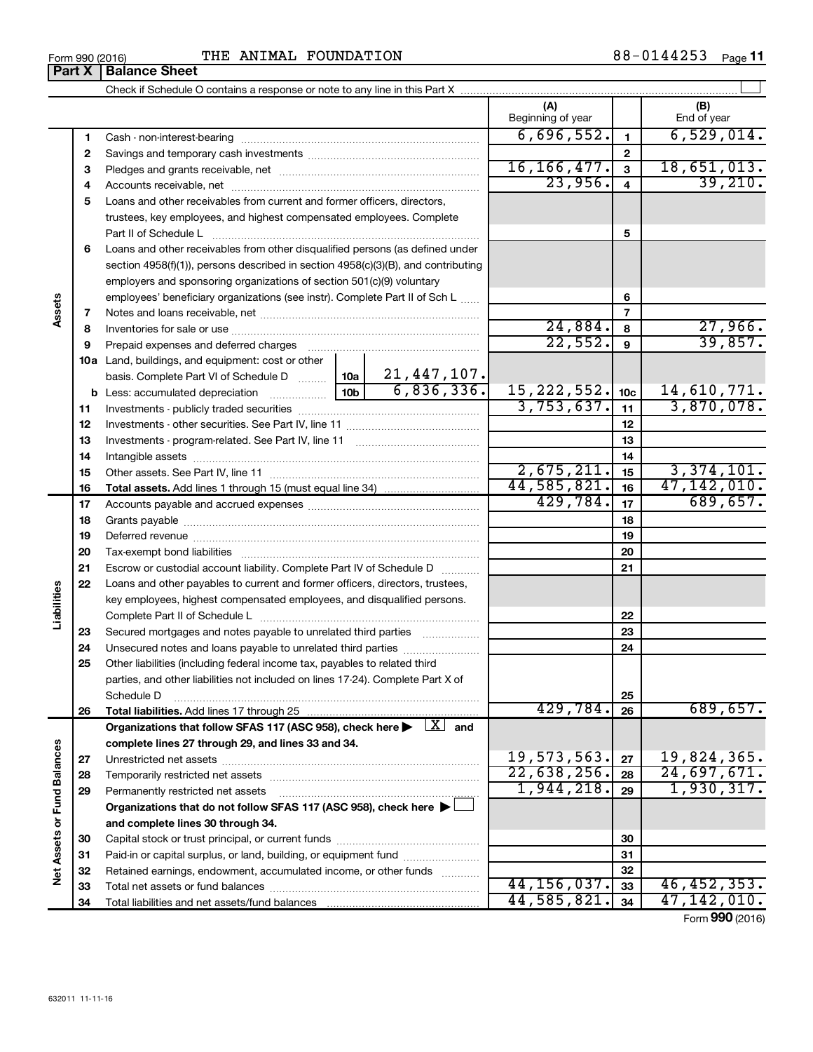**34**

Total liabilities and net assets/fund balances

| Form 990 (2016) | ANIMAL FOUNDATION<br>THE | 88-0144253<br>Page 11 |
|-----------------|--------------------------|-----------------------|
|-----------------|--------------------------|-----------------------|

|                      |          |                                                                                                                                                                                                                               |  |                   | (A)                        |                          | (B)                        |
|----------------------|----------|-------------------------------------------------------------------------------------------------------------------------------------------------------------------------------------------------------------------------------|--|-------------------|----------------------------|--------------------------|----------------------------|
|                      |          |                                                                                                                                                                                                                               |  |                   | Beginning of year          |                          | End of year                |
|                      | 1        |                                                                                                                                                                                                                               |  |                   | 6,696,552.                 | 1                        | 6,529,014.                 |
|                      | 2        |                                                                                                                                                                                                                               |  |                   |                            | $\mathbf{2}$             |                            |
|                      | 3        |                                                                                                                                                                                                                               |  |                   | 16, 166, 477.              | 3                        | 18,651,013.                |
|                      | 4        |                                                                                                                                                                                                                               |  |                   |                            |                          | 39,210.                    |
|                      | 5        | Loans and other receivables from current and former officers, directors,                                                                                                                                                      |  |                   | 23,956.                    |                          |                            |
|                      |          | trustees, key employees, and highest compensated employees. Complete                                                                                                                                                          |  |                   |                            |                          |                            |
|                      |          | Part II of Schedule L                                                                                                                                                                                                         |  |                   |                            | 5                        |                            |
|                      | 6        | Loans and other receivables from other disqualified persons (as defined under                                                                                                                                                 |  |                   |                            |                          |                            |
|                      |          | section $4958(f)(1)$ , persons described in section $4958(c)(3)(B)$ , and contributing                                                                                                                                        |  |                   |                            |                          |                            |
|                      |          | employers and sponsoring organizations of section 501(c)(9) voluntary                                                                                                                                                         |  |                   |                            |                          |                            |
|                      |          | employees' beneficiary organizations (see instr). Complete Part II of Sch L                                                                                                                                                   |  |                   |                            | 6                        |                            |
| Assets               | 7        |                                                                                                                                                                                                                               |  |                   |                            | $\overline{\phantom{a}}$ |                            |
|                      | 8        |                                                                                                                                                                                                                               |  |                   | 24,884.                    | 8                        | 27,966.                    |
|                      | 9        | Prepaid expenses and deferred charges [11] [11] Prepaid expenses and deferred charges [11] [11] Martin Marian Marian Marian Marian Marian Marian Marian Marian Marian Marian Marian Marian Marian Marian Marian Marian Marian |  |                   | 22,552.                    | 9                        | 39,857.                    |
|                      |          | 10a Land, buildings, and equipment: cost or other                                                                                                                                                                             |  |                   |                            |                          |                            |
|                      |          | basis. Complete Part VI of Schedule D    10a   21, 447, 107.                                                                                                                                                                  |  |                   |                            |                          |                            |
|                      |          |                                                                                                                                                                                                                               |  | 6,836,336.        | 15, 222, 552.              | 10 <sub>c</sub>          | 14,610,771.                |
|                      | 11       |                                                                                                                                                                                                                               |  |                   | 3,753,637.                 | 11                       | 3,870,078.                 |
|                      | 12       |                                                                                                                                                                                                                               |  |                   |                            | 12                       |                            |
|                      | 13       |                                                                                                                                                                                                                               |  |                   |                            | 13                       |                            |
|                      | 14       |                                                                                                                                                                                                                               |  |                   |                            | 14                       |                            |
|                      | 15       |                                                                                                                                                                                                                               |  |                   | 2,675,211.                 | 15                       | 3,374,101.                 |
|                      | 16       |                                                                                                                                                                                                                               |  |                   | 44,585,821.                | 16                       | 47,142,010.                |
|                      | 17       |                                                                                                                                                                                                                               |  |                   | 429,784.                   | 17                       | 689,657.                   |
|                      | 18       |                                                                                                                                                                                                                               |  |                   |                            | 18                       |                            |
|                      | 19       |                                                                                                                                                                                                                               |  |                   |                            | 19                       |                            |
|                      | 20       |                                                                                                                                                                                                                               |  |                   |                            | 20                       |                            |
|                      | 21       | Escrow or custodial account liability. Complete Part IV of Schedule D                                                                                                                                                         |  |                   |                            | 21                       |                            |
|                      | 22       | Loans and other payables to current and former officers, directors, trustees,                                                                                                                                                 |  |                   |                            |                          |                            |
|                      |          | key employees, highest compensated employees, and disqualified persons.                                                                                                                                                       |  |                   |                            |                          |                            |
| Liabilities          |          |                                                                                                                                                                                                                               |  |                   |                            | 22                       |                            |
|                      | 23       | Secured mortgages and notes payable to unrelated third parties                                                                                                                                                                |  |                   |                            | 23                       |                            |
|                      | 24       | Unsecured notes and loans payable to unrelated third parties                                                                                                                                                                  |  |                   |                            | 24                       |                            |
|                      | 25       | Other liabilities (including federal income tax, payables to related third                                                                                                                                                    |  |                   |                            |                          |                            |
|                      |          | parties, and other liabilities not included on lines 17-24). Complete Part X of                                                                                                                                               |  |                   |                            |                          |                            |
|                      |          | Schedule D                                                                                                                                                                                                                    |  |                   |                            | 25                       |                            |
|                      | 26       |                                                                                                                                                                                                                               |  |                   | 429,784.                   | 26                       | 689,657.                   |
|                      |          | Organizations that follow SFAS 117 (ASC 958), check here $\blacktriangleright \begin{array}{c} \boxed{X} \\ \end{array}$ and                                                                                                  |  |                   |                            |                          |                            |
|                      |          | complete lines 27 through 29, and lines 33 and 34.                                                                                                                                                                            |  |                   |                            |                          |                            |
|                      | 27       |                                                                                                                                                                                                                               |  |                   | 19,573,563.<br>22,638,256. | 27                       | 19,824,365.<br>24,697,671. |
|                      | 28       |                                                                                                                                                                                                                               |  |                   | 1,944,218.                 | 28                       | 1,930,317.                 |
| <b>Fund Balances</b> | 29       | Permanently restricted net assets                                                                                                                                                                                             |  |                   |                            | 29                       |                            |
|                      |          | Organizations that do not follow SFAS 117 (ASC 958), check here $\blacktriangleright$                                                                                                                                         |  |                   |                            |                          |                            |
|                      |          | and complete lines 30 through 34.                                                                                                                                                                                             |  |                   |                            |                          |                            |
|                      | 30       |                                                                                                                                                                                                                               |  |                   |                            | 30                       |                            |
| Net Assets or        | 31       | Paid-in or capital surplus, or land, building, or equipment fund                                                                                                                                                              |  |                   |                            | 31<br>32                 |                            |
|                      | 32<br>33 | Retained earnings, endowment, accumulated income, or other funds                                                                                                                                                              |  | 1.1.1.1.1.1.1.1.1 | 44, 156, 037.              | 33                       | 46,452,353.                |
|                      |          |                                                                                                                                                                                                                               |  |                   |                            |                          |                            |

Form (2016) **990**

**34**

44,585,821. 34 47,142,010.

## **Part X Balance Sheet**

| Form 990 (2016) |  |  |
|-----------------|--|--|
|                 |  |  |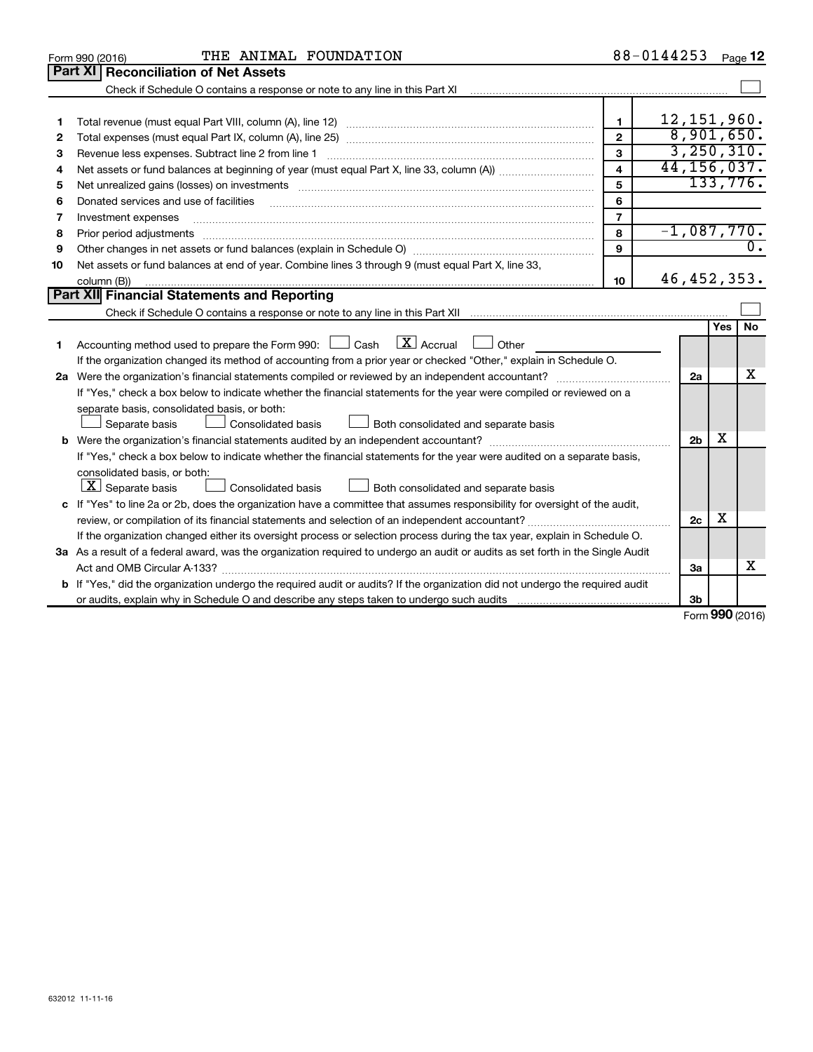|    | THE ANIMAL FOUNDATION<br>Form 990 (2016)                                                                                        |                         | 88-0144253     |     | Page 12   |
|----|---------------------------------------------------------------------------------------------------------------------------------|-------------------------|----------------|-----|-----------|
|    | <b>Part XI Reconciliation of Net Assets</b>                                                                                     |                         |                |     |           |
|    | Check if Schedule O contains a response or note to any line in this Part XI                                                     |                         |                |     |           |
|    |                                                                                                                                 |                         |                |     |           |
| 1  |                                                                                                                                 | 1                       | 12, 151, 960.  |     |           |
| 2  |                                                                                                                                 | $\mathbf{2}$            | 8,901,650.     |     |           |
| з  | Revenue less expenses. Subtract line 2 from line 1                                                                              | 3                       | 3, 250, 310.   |     |           |
| 4  |                                                                                                                                 | $\overline{\mathbf{4}}$ | 44, 156, 037.  |     |           |
| 5  |                                                                                                                                 | 5                       |                |     | 133,776.  |
| 6  | Donated services and use of facilities                                                                                          | 6                       |                |     |           |
| 7  | Investment expenses                                                                                                             | $\overline{7}$          |                |     |           |
| 8  | Prior period adjustments                                                                                                        | 8                       | $-1,087,770$ . |     |           |
| 9  |                                                                                                                                 | 9                       |                |     |           |
| 10 | Net assets or fund balances at end of year. Combine lines 3 through 9 (must equal Part X, line 33,                              |                         |                |     |           |
|    | column (B))                                                                                                                     | 10                      | 46, 452, 353.  |     |           |
|    | <b>Part XII Financial Statements and Reporting</b>                                                                              |                         |                |     |           |
|    |                                                                                                                                 |                         |                |     |           |
|    |                                                                                                                                 |                         |                | Yes | <b>No</b> |
| 1  | $\mathbf{X}$ Accrual<br>Accounting method used to prepare the Form 990: [130] Cash<br>$\Box$ Other                              |                         |                |     |           |
|    | If the organization changed its method of accounting from a prior year or checked "Other," explain in Schedule O.               |                         |                |     |           |
|    | 2a Were the organization's financial statements compiled or reviewed by an independent accountant?                              |                         | 2a             |     | x         |
|    | If "Yes," check a box below to indicate whether the financial statements for the year were compiled or reviewed on a            |                         |                |     |           |
|    | separate basis, consolidated basis, or both:                                                                                    |                         |                |     |           |
|    | Separate basis<br>Consolidated basis<br>Both consolidated and separate basis                                                    |                         |                |     |           |
|    |                                                                                                                                 |                         | 2 <sub>b</sub> | x   |           |
|    | If "Yes," check a box below to indicate whether the financial statements for the year were audited on a separate basis,         |                         |                |     |           |
|    | consolidated basis, or both:                                                                                                    |                         |                |     |           |
|    | $ \mathbf{X} $ Separate basis<br>Consolidated basis<br>Both consolidated and separate basis                                     |                         |                |     |           |
| c  | If "Yes" to line 2a or 2b, does the organization have a committee that assumes responsibility for oversight of the audit,       |                         |                |     |           |
|    | review, or compilation of its financial statements and selection of an independent accountant?                                  |                         | 2c             | х   |           |
|    | If the organization changed either its oversight process or selection process during the tax year, explain in Schedule O.       |                         |                |     |           |
|    | 3a As a result of a federal award, was the organization required to undergo an audit or audits as set forth in the Single Audit |                         |                |     |           |
|    | Act and OMB Circular A-133?                                                                                                     |                         | За             |     | x         |
|    | b If "Yes," did the organization undergo the required audit or audits? If the organization did not undergo the required audit   |                         |                |     |           |
|    |                                                                                                                                 |                         | 3 <sub>b</sub> |     |           |

Form (2016) **990**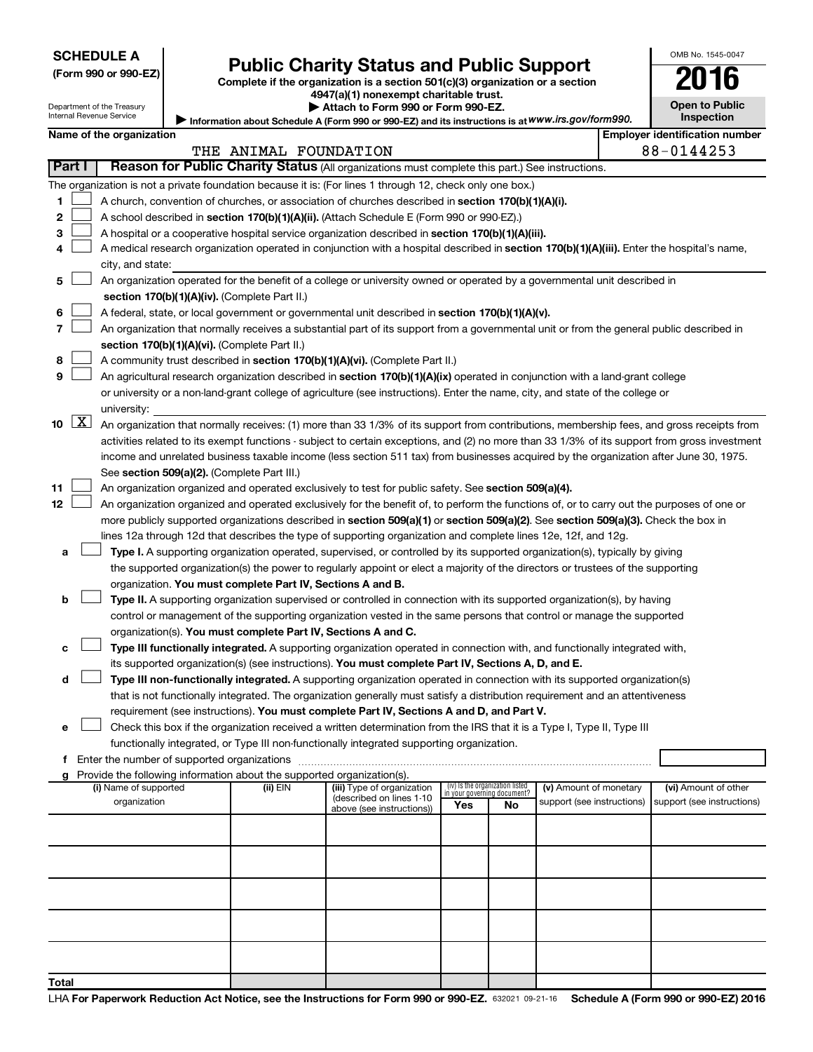| <b>SCHEDULE A</b> |  |
|-------------------|--|
|-------------------|--|

| (Form 990 or 990-EZ |  |  |  |  |
|---------------------|--|--|--|--|
|---------------------|--|--|--|--|

# Form 990 or 990-EZ) **Public Charity Status and Public Support**<br>
Complete if the organization is a section 501(c)(3) organization or a section<br> **2016**

**4947(a)(1) nonexempt charitable trust. | Attach to Form 990 or Form 990-EZ.** 

|  | <b>Open to Public</b> |
|--|-----------------------|
|  | <b>Inspection</b>     |

OMB No. 1545-0047

| Department of the Treasury |
|----------------------------|
| Internal Revenue Service   |
|                            |

Information about Schedule A (Form 990 or 990-EZ) and its instructions is at WWW.irs.gov/form990.

|       | Name of the organization<br><b>Employer identification number</b>                                                |                                                                                                                                                                                                                      |          |                            |                                    |    |                            |  |                            |
|-------|------------------------------------------------------------------------------------------------------------------|----------------------------------------------------------------------------------------------------------------------------------------------------------------------------------------------------------------------|----------|----------------------------|------------------------------------|----|----------------------------|--|----------------------------|
|       |                                                                                                                  | 88-0144253<br>THE ANIMAL FOUNDATION                                                                                                                                                                                  |          |                            |                                    |    |                            |  |                            |
|       | <b>Part I</b><br>Reason for Public Charity Status (All organizations must complete this part.) See instructions. |                                                                                                                                                                                                                      |          |                            |                                    |    |                            |  |                            |
|       |                                                                                                                  | The organization is not a private foundation because it is: (For lines 1 through 12, check only one box.)                                                                                                            |          |                            |                                    |    |                            |  |                            |
| 1.    |                                                                                                                  | A church, convention of churches, or association of churches described in section 170(b)(1)(A)(i).                                                                                                                   |          |                            |                                    |    |                            |  |                            |
| 2     |                                                                                                                  | A school described in section 170(b)(1)(A)(ii). (Attach Schedule E (Form 990 or 990-EZ).)                                                                                                                            |          |                            |                                    |    |                            |  |                            |
| з     |                                                                                                                  | A hospital or a cooperative hospital service organization described in section 170(b)(1)(A)(iii).                                                                                                                    |          |                            |                                    |    |                            |  |                            |
| 4     |                                                                                                                  | A medical research organization operated in conjunction with a hospital described in section 170(b)(1)(A)(iii). Enter the hospital's name,                                                                           |          |                            |                                    |    |                            |  |                            |
|       |                                                                                                                  | city, and state:                                                                                                                                                                                                     |          |                            |                                    |    |                            |  |                            |
| 5     |                                                                                                                  | An organization operated for the benefit of a college or university owned or operated by a governmental unit described in                                                                                            |          |                            |                                    |    |                            |  |                            |
|       |                                                                                                                  | section 170(b)(1)(A)(iv). (Complete Part II.)                                                                                                                                                                        |          |                            |                                    |    |                            |  |                            |
| 6     |                                                                                                                  | A federal, state, or local government or governmental unit described in section 170(b)(1)(A)(v).                                                                                                                     |          |                            |                                    |    |                            |  |                            |
| 7     |                                                                                                                  | An organization that normally receives a substantial part of its support from a governmental unit or from the general public described in                                                                            |          |                            |                                    |    |                            |  |                            |
|       |                                                                                                                  | section 170(b)(1)(A)(vi). (Complete Part II.)                                                                                                                                                                        |          |                            |                                    |    |                            |  |                            |
| 8     |                                                                                                                  | A community trust described in section 170(b)(1)(A)(vi). (Complete Part II.)                                                                                                                                         |          |                            |                                    |    |                            |  |                            |
| 9     |                                                                                                                  | An agricultural research organization described in section 170(b)(1)(A)(ix) operated in conjunction with a land-grant college                                                                                        |          |                            |                                    |    |                            |  |                            |
|       |                                                                                                                  | or university or a non-land-grant college of agriculture (see instructions). Enter the name, city, and state of the college or                                                                                       |          |                            |                                    |    |                            |  |                            |
|       | $\boxed{\text{X}}$                                                                                               | university:                                                                                                                                                                                                          |          |                            |                                    |    |                            |  |                            |
| 10    |                                                                                                                  | An organization that normally receives: (1) more than 33 1/3% of its support from contributions, membership fees, and gross receipts from                                                                            |          |                            |                                    |    |                            |  |                            |
|       |                                                                                                                  | activities related to its exempt functions - subject to certain exceptions, and (2) no more than 33 1/3% of its support from gross investment                                                                        |          |                            |                                    |    |                            |  |                            |
|       |                                                                                                                  | income and unrelated business taxable income (less section 511 tax) from businesses acquired by the organization after June 30, 1975.                                                                                |          |                            |                                    |    |                            |  |                            |
|       |                                                                                                                  | See section 509(a)(2). (Complete Part III.)                                                                                                                                                                          |          |                            |                                    |    |                            |  |                            |
| 11    |                                                                                                                  | An organization organized and operated exclusively to test for public safety. See section 509(a)(4).                                                                                                                 |          |                            |                                    |    |                            |  |                            |
| 12    |                                                                                                                  | An organization organized and operated exclusively for the benefit of, to perform the functions of, or to carry out the purposes of one or                                                                           |          |                            |                                    |    |                            |  |                            |
|       |                                                                                                                  | more publicly supported organizations described in section 509(a)(1) or section 509(a)(2). See section 509(a)(3). Check the box in                                                                                   |          |                            |                                    |    |                            |  |                            |
|       |                                                                                                                  | lines 12a through 12d that describes the type of supporting organization and complete lines 12e, 12f, and 12g.                                                                                                       |          |                            |                                    |    |                            |  |                            |
| a     |                                                                                                                  | Type I. A supporting organization operated, supervised, or controlled by its supported organization(s), typically by giving                                                                                          |          |                            |                                    |    |                            |  |                            |
|       |                                                                                                                  | the supported organization(s) the power to regularly appoint or elect a majority of the directors or trustees of the supporting                                                                                      |          |                            |                                    |    |                            |  |                            |
|       |                                                                                                                  | organization. You must complete Part IV, Sections A and B.                                                                                                                                                           |          |                            |                                    |    |                            |  |                            |
| b     |                                                                                                                  | Type II. A supporting organization supervised or controlled in connection with its supported organization(s), by having                                                                                              |          |                            |                                    |    |                            |  |                            |
|       |                                                                                                                  | control or management of the supporting organization vested in the same persons that control or manage the supported                                                                                                 |          |                            |                                    |    |                            |  |                            |
|       |                                                                                                                  | organization(s). You must complete Part IV, Sections A and C.                                                                                                                                                        |          |                            |                                    |    |                            |  |                            |
| с     |                                                                                                                  | Type III functionally integrated. A supporting organization operated in connection with, and functionally integrated with,                                                                                           |          |                            |                                    |    |                            |  |                            |
|       |                                                                                                                  | its supported organization(s) (see instructions). You must complete Part IV, Sections A, D, and E.                                                                                                                   |          |                            |                                    |    |                            |  |                            |
| d     |                                                                                                                  | Type III non-functionally integrated. A supporting organization operated in connection with its supported organization(s)                                                                                            |          |                            |                                    |    |                            |  |                            |
|       |                                                                                                                  | that is not functionally integrated. The organization generally must satisfy a distribution requirement and an attentiveness                                                                                         |          |                            |                                    |    |                            |  |                            |
|       |                                                                                                                  | requirement (see instructions). You must complete Part IV, Sections A and D, and Part V.                                                                                                                             |          |                            |                                    |    |                            |  |                            |
|       |                                                                                                                  | Check this box if the organization received a written determination from the IRS that it is a Type I, Type II, Type III<br>functionally integrated, or Type III non-functionally integrated supporting organization. |          |                            |                                    |    |                            |  |                            |
|       |                                                                                                                  |                                                                                                                                                                                                                      |          |                            |                                    |    |                            |  |                            |
|       |                                                                                                                  | g Provide the following information about the supported organization(s).                                                                                                                                             |          |                            |                                    |    |                            |  |                            |
|       |                                                                                                                  | (i) Name of supported                                                                                                                                                                                                | (ii) EIN | (iii) Type of organization | (iv) Is the organization listed    |    | (v) Amount of monetary     |  | (vi) Amount of other       |
|       |                                                                                                                  | organization                                                                                                                                                                                                         |          | (described on lines 1-10   | in your governing document?<br>Yes | No | support (see instructions) |  | support (see instructions) |
|       |                                                                                                                  |                                                                                                                                                                                                                      |          | above (see instructions))  |                                    |    |                            |  |                            |
|       |                                                                                                                  |                                                                                                                                                                                                                      |          |                            |                                    |    |                            |  |                            |
|       |                                                                                                                  |                                                                                                                                                                                                                      |          |                            |                                    |    |                            |  |                            |
|       |                                                                                                                  |                                                                                                                                                                                                                      |          |                            |                                    |    |                            |  |                            |
|       |                                                                                                                  |                                                                                                                                                                                                                      |          |                            |                                    |    |                            |  |                            |
|       |                                                                                                                  |                                                                                                                                                                                                                      |          |                            |                                    |    |                            |  |                            |
|       |                                                                                                                  |                                                                                                                                                                                                                      |          |                            |                                    |    |                            |  |                            |
|       |                                                                                                                  |                                                                                                                                                                                                                      |          |                            |                                    |    |                            |  |                            |
| Total |                                                                                                                  |                                                                                                                                                                                                                      |          |                            |                                    |    |                            |  |                            |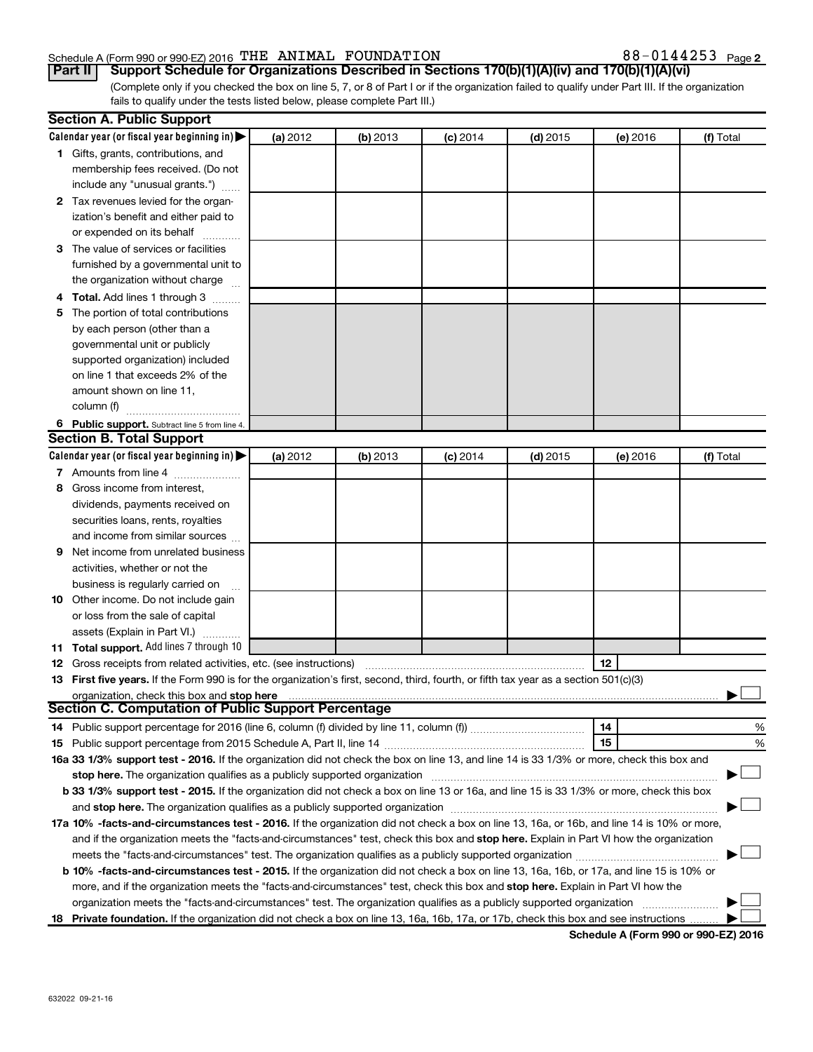#### Schedule A (Form 990 or 990-EZ) 2016 Page THE ANIMAL FOUNDATION 88-0144253

88-0144253 Page 2

(Complete only if you checked the box on line 5, 7, or 8 of Part I or if the organization failed to qualify under Part III. If the organization fails to qualify under the tests listed below, please complete Part III.) **Part II Support Schedule for Organizations Described in Sections 170(b)(1)(A)(iv) and 170(b)(1)(A)(vi)**

|    | <b>Section A. Public Support</b>                                                                                                           |                 |            |            |            |          |           |
|----|--------------------------------------------------------------------------------------------------------------------------------------------|-----------------|------------|------------|------------|----------|-----------|
|    | Calendar year (or fiscal year beginning in)                                                                                                | <b>(a)</b> 2012 | $(b)$ 2013 | $(c)$ 2014 | $(d)$ 2015 | (e) 2016 | (f) Total |
|    | 1 Gifts, grants, contributions, and                                                                                                        |                 |            |            |            |          |           |
|    | membership fees received. (Do not                                                                                                          |                 |            |            |            |          |           |
|    | include any "unusual grants.")                                                                                                             |                 |            |            |            |          |           |
|    | 2 Tax revenues levied for the organ-                                                                                                       |                 |            |            |            |          |           |
|    | ization's benefit and either paid to                                                                                                       |                 |            |            |            |          |           |
|    | or expended on its behalf                                                                                                                  |                 |            |            |            |          |           |
|    | 3 The value of services or facilities                                                                                                      |                 |            |            |            |          |           |
|    | furnished by a governmental unit to                                                                                                        |                 |            |            |            |          |           |
|    | the organization without charge                                                                                                            |                 |            |            |            |          |           |
|    | <b>Total.</b> Add lines 1 through 3                                                                                                        |                 |            |            |            |          |           |
| 5  | The portion of total contributions                                                                                                         |                 |            |            |            |          |           |
|    | by each person (other than a                                                                                                               |                 |            |            |            |          |           |
|    | governmental unit or publicly                                                                                                              |                 |            |            |            |          |           |
|    | supported organization) included                                                                                                           |                 |            |            |            |          |           |
|    | on line 1 that exceeds 2% of the                                                                                                           |                 |            |            |            |          |           |
|    | amount shown on line 11,                                                                                                                   |                 |            |            |            |          |           |
|    | column (f)                                                                                                                                 |                 |            |            |            |          |           |
|    | 6 Public support. Subtract line 5 from line 4.                                                                                             |                 |            |            |            |          |           |
|    | <b>Section B. Total Support</b>                                                                                                            |                 |            |            |            |          |           |
|    | Calendar year (or fiscal year beginning in)                                                                                                | (a) 2012        | (b) 2013   | $(c)$ 2014 | $(d)$ 2015 | (e) 2016 | (f) Total |
|    | 7 Amounts from line 4                                                                                                                      |                 |            |            |            |          |           |
| 8  | Gross income from interest,                                                                                                                |                 |            |            |            |          |           |
|    | dividends, payments received on                                                                                                            |                 |            |            |            |          |           |
|    | securities loans, rents, royalties                                                                                                         |                 |            |            |            |          |           |
|    | and income from similar sources                                                                                                            |                 |            |            |            |          |           |
| 9  | Net income from unrelated business                                                                                                         |                 |            |            |            |          |           |
|    | activities, whether or not the                                                                                                             |                 |            |            |            |          |           |
|    | business is regularly carried on                                                                                                           |                 |            |            |            |          |           |
| 10 | Other income. Do not include gain                                                                                                          |                 |            |            |            |          |           |
|    | or loss from the sale of capital                                                                                                           |                 |            |            |            |          |           |
|    | assets (Explain in Part VI.)                                                                                                               |                 |            |            |            |          |           |
|    | 11 Total support. Add lines 7 through 10                                                                                                   |                 |            |            |            |          |           |
|    | <b>12</b> Gross receipts from related activities, etc. (see instructions)                                                                  |                 |            |            |            | 12       |           |
|    | 13 First five years. If the Form 990 is for the organization's first, second, third, fourth, or fifth tax year as a section 501(c)(3)      |                 |            |            |            |          |           |
|    | organization, check this box and stop here                                                                                                 |                 |            |            |            |          |           |
|    | <b>Section C. Computation of Public Support Percentage</b>                                                                                 |                 |            |            |            |          |           |
|    |                                                                                                                                            |                 |            |            |            | 14       | %         |
|    |                                                                                                                                            |                 |            |            |            | 15       | %         |
|    | 16a 33 1/3% support test - 2016. If the organization did not check the box on line 13, and line 14 is 33 1/3% or more, check this box and  |                 |            |            |            |          |           |
|    | stop here. The organization qualifies as a publicly supported organization                                                                 |                 |            |            |            |          |           |
|    | b 33 1/3% support test - 2015. If the organization did not check a box on line 13 or 16a, and line 15 is 33 1/3% or more, check this box   |                 |            |            |            |          |           |
|    |                                                                                                                                            |                 |            |            |            |          |           |
|    | 17a 10% -facts-and-circumstances test - 2016. If the organization did not check a box on line 13, 16a, or 16b, and line 14 is 10% or more, |                 |            |            |            |          |           |
|    | and if the organization meets the "facts-and-circumstances" test, check this box and stop here. Explain in Part VI how the organization    |                 |            |            |            |          |           |
|    | meets the "facts-and-circumstances" test. The organization qualifies as a publicly supported organization <i>manumumum</i>                 |                 |            |            |            |          |           |
|    | b 10% -facts-and-circumstances test - 2015. If the organization did not check a box on line 13, 16a, 16b, or 17a, and line 15 is 10% or    |                 |            |            |            |          |           |
|    | more, and if the organization meets the "facts-and-circumstances" test, check this box and stop here. Explain in Part VI how the           |                 |            |            |            |          |           |
|    | organization meets the "facts-and-circumstances" test. The organization qualifies as a publicly supported organization                     |                 |            |            |            |          |           |
| 18 | Private foundation. If the organization did not check a box on line 13, 16a, 16b, 17a, or 17b, check this box and see instructions         |                 |            |            |            |          |           |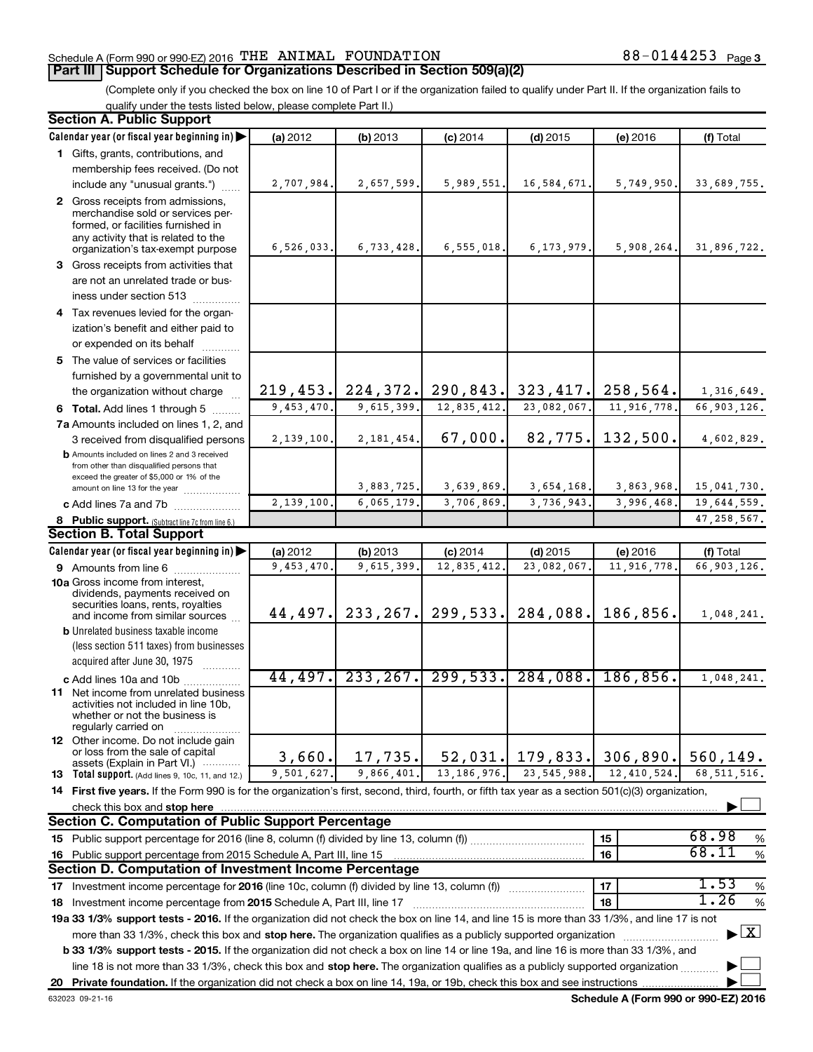### Schedule A (Form 990 or 990-EZ) 2016 Page THE ANIMAL FOUNDATION 88-0144253

88-0144253 Page 3

(Complete only if you checked the box on line 10 of Part I or if the organization failed to qualify under Part II. If the organization fails to qualify under the tests listed below, please complete Part II.)

| <b>Section A. Public Support</b>                                                                                                                    |            |                                            |               |                |               |                                    |
|-----------------------------------------------------------------------------------------------------------------------------------------------------|------------|--------------------------------------------|---------------|----------------|---------------|------------------------------------|
| Calendar year (or fiscal year beginning in)                                                                                                         | (a) 2012   | (b) 2013                                   | $(c)$ 2014    | $(d)$ 2015     | (e) 2016      | (f) Total                          |
| 1 Gifts, grants, contributions, and                                                                                                                 |            |                                            |               |                |               |                                    |
| membership fees received. (Do not                                                                                                                   |            |                                            |               |                |               |                                    |
| include any "unusual grants.")                                                                                                                      | 2,707,984. | 2,657,599.                                 | 5,989,551.    | 16,584,671.    | 5,749,950.    | 33,689,755.                        |
| 2 Gross receipts from admissions,                                                                                                                   |            |                                            |               |                |               |                                    |
| merchandise sold or services per-<br>formed, or facilities furnished in                                                                             |            |                                            |               |                |               |                                    |
| any activity that is related to the                                                                                                                 |            |                                            |               |                |               |                                    |
| organization's tax-exempt purpose                                                                                                                   | 6,526,033. | 6,733,428.                                 | 6,555,018.    | 6, 173, 979.   | 5,908,264.    | 31,896,722.                        |
| 3 Gross receipts from activities that                                                                                                               |            |                                            |               |                |               |                                    |
| are not an unrelated trade or bus-                                                                                                                  |            |                                            |               |                |               |                                    |
| iness under section 513                                                                                                                             |            |                                            |               |                |               |                                    |
| 4 Tax revenues levied for the organ-                                                                                                                |            |                                            |               |                |               |                                    |
| ization's benefit and either paid to                                                                                                                |            |                                            |               |                |               |                                    |
| or expended on its behalf                                                                                                                           |            |                                            |               |                |               |                                    |
| 5 The value of services or facilities                                                                                                               |            |                                            |               |                |               |                                    |
| furnished by a governmental unit to                                                                                                                 |            |                                            |               |                |               |                                    |
| the organization without charge                                                                                                                     |            | $219, 453$ , 224, 372, 290, 843, 323, 417, |               |                | 258,564.      | 1,316,649.                         |
| 6 Total. Add lines 1 through 5                                                                                                                      | 9,453,470. | 9,615,399.                                 | 12,835,412.   | $23,082,067$ . | 11,916,778.   | $\overline{66,903,126}$ .          |
| 7a Amounts included on lines 1, 2, and                                                                                                              |            |                                            |               |                |               |                                    |
| 3 received from disqualified persons                                                                                                                | 2,139,100. | 2, 181, 454.                               | 67,000.       | 82,775.        | 132,500.      | 4,602,829.                         |
| <b>b</b> Amounts included on lines 2 and 3 received                                                                                                 |            |                                            |               |                |               |                                    |
| from other than disqualified persons that<br>exceed the greater of \$5,000 or 1% of the                                                             |            |                                            |               |                |               |                                    |
| amount on line 13 for the year                                                                                                                      |            | 3,883,725.                                 | 3,639,869.    | 3,654,168.     | 3,863,968.    | 15,041,730.                        |
| c Add lines 7a and 7b                                                                                                                               | 2,139,100  | 6,065,179.                                 | 3,706,869.    | 3,736,943.     | 3,996,468     | 19,644,559.                        |
| 8 Public support. (Subtract line 7c from line 6.)                                                                                                   |            |                                            |               |                |               | 47, 258, 567.                      |
| <b>Section B. Total Support</b>                                                                                                                     |            |                                            |               |                |               |                                    |
| Calendar year (or fiscal year beginning in)                                                                                                         | (a) 2012   | (b) 2013                                   | $(c)$ 2014    | $(d)$ 2015     | (e) 2016      | (f) Total                          |
| 9 Amounts from line 6                                                                                                                               | 9,453,470  | 9,615,399.                                 | 12,835,412    | 23,082,067     | 11,916,778    | 66,903,126.                        |
| <b>10a</b> Gross income from interest,<br>dividends, payments received on                                                                           |            |                                            |               |                |               |                                    |
| securities loans, rents, royalties                                                                                                                  |            |                                            |               |                |               |                                    |
| and income from similar sources                                                                                                                     | 44,497.    | 233, 267.                                  | 299,533.      | 284,088.       | 186,856.      | 1,048,241.                         |
| <b>b</b> Unrelated business taxable income                                                                                                          |            |                                            |               |                |               |                                    |
| (less section 511 taxes) from businesses                                                                                                            |            |                                            |               |                |               |                                    |
| acquired after June 30, 1975                                                                                                                        |            |                                            |               |                |               |                                    |
| c Add lines 10a and 10b                                                                                                                             | 44,497.    | 233, 267.                                  | 299,533.      | 284,088.       | 186, 856.     | 1,048,241.                         |
| <b>11</b> Net income from unrelated business<br>activities not included in line 10b.                                                                |            |                                            |               |                |               |                                    |
| whether or not the business is                                                                                                                      |            |                                            |               |                |               |                                    |
| regularly carried on                                                                                                                                |            |                                            |               |                |               |                                    |
| <b>12</b> Other income. Do not include gain<br>or loss from the sale of capital                                                                     |            |                                            |               |                |               |                                    |
| assets (Explain in Part VI.) $\cdots$                                                                                                               | 3,660.     | 17,735.                                    | 52,031.       | 179,833.       | 306,890.      | 560,149.                           |
| <b>13</b> Total support. (Add lines 9, 10c, 11, and 12.)                                                                                            | 9,501,627. | 9,866,401.                                 | 13, 186, 976. | 23, 545, 988.  | 12, 410, 524. | 68.511.516.                        |
| 14 First five years. If the Form 990 is for the organization's first, second, third, fourth, or fifth tax year as a section 501(c)(3) organization, |            |                                            |               |                |               |                                    |
| check this box and stop here                                                                                                                        |            |                                            |               |                |               |                                    |
| Section C. Computation of Public Support Percentage                                                                                                 |            |                                            |               |                |               |                                    |
|                                                                                                                                                     |            |                                            |               |                | 15            | 68.98<br>%<br>68.11                |
| 16 Public support percentage from 2015 Schedule A, Part III, line 15                                                                                |            |                                            |               |                | 16            | $\%$                               |
| Section D. Computation of Investment Income Percentage                                                                                              |            |                                            |               |                |               |                                    |
| 17 Investment income percentage for 2016 (line 10c, column (f) divided by line 13, column (f))                                                      |            |                                            |               |                | 17            | 1.53<br>$\%$                       |
| 18 Investment income percentage from 2015 Schedule A, Part III, line 17                                                                             |            |                                            |               |                | 18            | 1.26<br>$\%$                       |
| 19a 33 1/3% support tests - 2016. If the organization did not check the box on line 14, and line 15 is more than 33 1/3%, and line 17 is not        |            |                                            |               |                |               |                                    |
| more than 33 1/3%, check this box and stop here. The organization qualifies as a publicly supported organization                                    |            |                                            |               |                |               | $\blacktriangleright$ $\mathbf{X}$ |
| b 33 1/3% support tests - 2015. If the organization did not check a box on line 14 or line 19a, and line 16 is more than 33 1/3%, and               |            |                                            |               |                |               |                                    |
| line 18 is not more than 33 1/3%, check this box and stop here. The organization qualifies as a publicly supported organization                     |            |                                            |               |                |               |                                    |
|                                                                                                                                                     |            |                                            |               |                |               |                                    |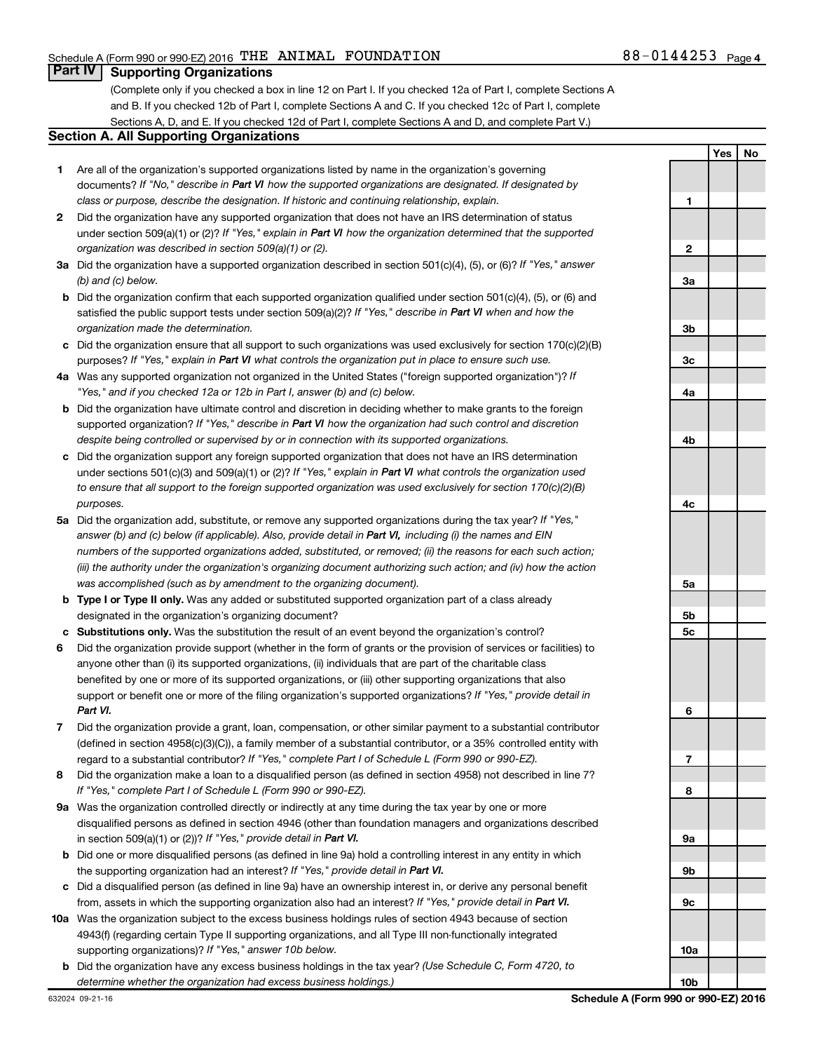**1**

**Yes No**

### **Part IV Supporting Organizations**

(Complete only if you checked a box in line 12 on Part I. If you checked 12a of Part I, complete Sections A and B. If you checked 12b of Part I, complete Sections A and C. If you checked 12c of Part I, complete Sections A, D, and E. If you checked 12d of Part I, complete Sections A and D, and complete Part V.)

#### **Section A. All Supporting Organizations**

- **1** Are all of the organization's supported organizations listed by name in the organization's governing documents? If "No," describe in Part VI how the supported organizations are designated. If designated by *class or purpose, describe the designation. If historic and continuing relationship, explain.*
- **2** Did the organization have any supported organization that does not have an IRS determination of status under section 509(a)(1) or (2)? If "Yes," explain in Part VI how the organization determined that the supported *organization was described in section 509(a)(1) or (2).*
- **3a** Did the organization have a supported organization described in section 501(c)(4), (5), or (6)? If "Yes," answer *(b) and (c) below.*
- **b** Did the organization confirm that each supported organization qualified under section 501(c)(4), (5), or (6) and satisfied the public support tests under section 509(a)(2)? If "Yes," describe in Part VI when and how the *organization made the determination.*
- **c** Did the organization ensure that all support to such organizations was used exclusively for section 170(c)(2)(B) purposes? If "Yes," explain in Part VI what controls the organization put in place to ensure such use.
- **4 a** *If* Was any supported organization not organized in the United States ("foreign supported organization")? *"Yes," and if you checked 12a or 12b in Part I, answer (b) and (c) below.*
- **b** Did the organization have ultimate control and discretion in deciding whether to make grants to the foreign supported organization? If "Yes," describe in Part VI how the organization had such control and discretion *despite being controlled or supervised by or in connection with its supported organizations.*
- **c** Did the organization support any foreign supported organization that does not have an IRS determination under sections 501(c)(3) and 509(a)(1) or (2)? If "Yes," explain in Part VI what controls the organization used *to ensure that all support to the foreign supported organization was used exclusively for section 170(c)(2)(B) purposes.*
- **5a** Did the organization add, substitute, or remove any supported organizations during the tax year? If "Yes," answer (b) and (c) below (if applicable). Also, provide detail in Part VI, including (i) the names and EIN *numbers of the supported organizations added, substituted, or removed; (ii) the reasons for each such action; (iii) the authority under the organization's organizing document authorizing such action; and (iv) how the action was accomplished (such as by amendment to the organizing document).*
- **b** Type I or Type II only. Was any added or substituted supported organization part of a class already designated in the organization's organizing document?
- **c Substitutions only.**  Was the substitution the result of an event beyond the organization's control?
- **6** Did the organization provide support (whether in the form of grants or the provision of services or facilities) to support or benefit one or more of the filing organization's supported organizations? If "Yes," provide detail in anyone other than (i) its supported organizations, (ii) individuals that are part of the charitable class benefited by one or more of its supported organizations, or (iii) other supporting organizations that also *Part VI.*
- **7** Did the organization provide a grant, loan, compensation, or other similar payment to a substantial contributor regard to a substantial contributor? If "Yes," complete Part I of Schedule L (Form 990 or 990-EZ). (defined in section 4958(c)(3)(C)), a family member of a substantial contributor, or a 35% controlled entity with
- **8** Did the organization make a loan to a disqualified person (as defined in section 4958) not described in line 7? *If "Yes," complete Part I of Schedule L (Form 990 or 990-EZ).*
- **9 a** Was the organization controlled directly or indirectly at any time during the tax year by one or more in section 509(a)(1) or (2))? If "Yes," provide detail in Part VI. disqualified persons as defined in section 4946 (other than foundation managers and organizations described
- **b** Did one or more disqualified persons (as defined in line 9a) hold a controlling interest in any entity in which the supporting organization had an interest? If "Yes," provide detail in Part VI.
- **c** Did a disqualified person (as defined in line 9a) have an ownership interest in, or derive any personal benefit from, assets in which the supporting organization also had an interest? If "Yes," provide detail in Part VI.
- **10 a** Was the organization subject to the excess business holdings rules of section 4943 because of section supporting organizations)? If "Yes," answer 10b below. 4943(f) (regarding certain Type II supporting organizations, and all Type III non-functionally integrated
- **b** Did the organization have any excess business holdings in the tax year? (Use Schedule C, Form 4720, to *determine whether the organization had excess business holdings.)*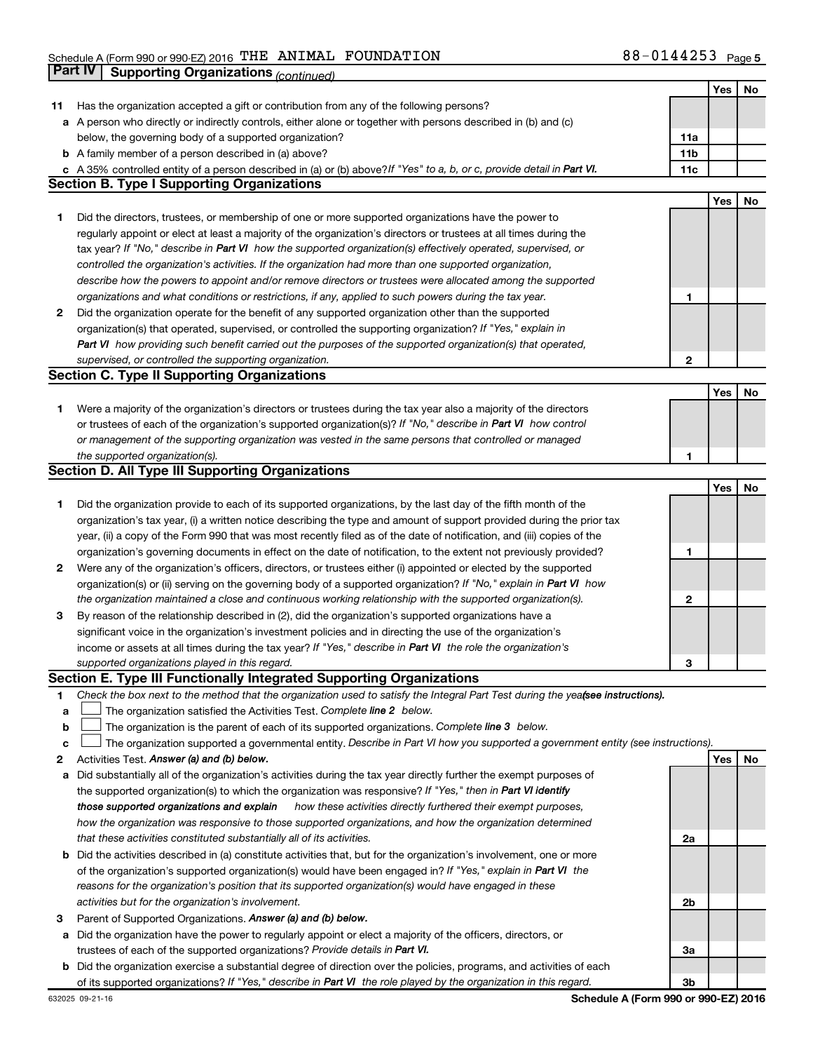|    |                                                                                                                                 |              | Yes | No |
|----|---------------------------------------------------------------------------------------------------------------------------------|--------------|-----|----|
| 11 | Has the organization accepted a gift or contribution from any of the following persons?                                         |              |     |    |
|    | a A person who directly or indirectly controls, either alone or together with persons described in (b) and (c)                  |              |     |    |
|    | below, the governing body of a supported organization?                                                                          | 11a          |     |    |
|    | <b>b</b> A family member of a person described in (a) above?                                                                    | 11b          |     |    |
|    | A 35% controlled entity of a person described in (a) or (b) above?If "Yes" to a, b, or c, provide detail in Part VI.            | 11c          |     |    |
|    | <b>Section B. Type I Supporting Organizations</b>                                                                               |              |     |    |
|    |                                                                                                                                 |              | Yes | No |
| 1. | Did the directors, trustees, or membership of one or more supported organizations have the power to                             |              |     |    |
|    | regularly appoint or elect at least a majority of the organization's directors or trustees at all times during the              |              |     |    |
|    | tax year? If "No," describe in Part VI how the supported organization(s) effectively operated, supervised, or                   |              |     |    |
|    |                                                                                                                                 |              |     |    |
|    | controlled the organization's activities. If the organization had more than one supported organization,                         |              |     |    |
|    | describe how the powers to appoint and/or remove directors or trustees were allocated among the supported                       |              |     |    |
|    | organizations and what conditions or restrictions, if any, applied to such powers during the tax year.                          | 1            |     |    |
| 2  | Did the organization operate for the benefit of any supported organization other than the supported                             |              |     |    |
|    | organization(s) that operated, supervised, or controlled the supporting organization? If "Yes," explain in                      |              |     |    |
|    | Part VI how providing such benefit carried out the purposes of the supported organization(s) that operated,                     |              |     |    |
|    | supervised, or controlled the supporting organization.                                                                          | $\mathbf{2}$ |     |    |
|    | <b>Section C. Type II Supporting Organizations</b>                                                                              |              |     |    |
|    |                                                                                                                                 |              | Yes | No |
| 1. | Were a majority of the organization's directors or trustees during the tax year also a majority of the directors                |              |     |    |
|    | or trustees of each of the organization's supported organization(s)? If "No," describe in Part VI how control                   |              |     |    |
|    | or management of the supporting organization was vested in the same persons that controlled or managed                          |              |     |    |
|    | the supported organization(s).                                                                                                  | 1            |     |    |
|    | <b>Section D. All Type III Supporting Organizations</b>                                                                         |              |     |    |
|    |                                                                                                                                 |              | Yes | No |
| 1  | Did the organization provide to each of its supported organizations, by the last day of the fifth month of the                  |              |     |    |
|    | organization's tax year, (i) a written notice describing the type and amount of support provided during the prior tax           |              |     |    |
|    | year, (ii) a copy of the Form 990 that was most recently filed as of the date of notification, and (iii) copies of the          |              |     |    |
|    | organization's governing documents in effect on the date of notification, to the extent not previously provided?                | 1            |     |    |
| 2  | Were any of the organization's officers, directors, or trustees either (i) appointed or elected by the supported                |              |     |    |
|    | organization(s) or (ii) serving on the governing body of a supported organization? If "No," explain in Part VI how              |              |     |    |
|    | the organization maintained a close and continuous working relationship with the supported organization(s).                     | $\mathbf{2}$ |     |    |
| 3  | By reason of the relationship described in (2), did the organization's supported organizations have a                           |              |     |    |
|    | significant voice in the organization's investment policies and in directing the use of the organization's                      |              |     |    |
|    | income or assets at all times during the tax year? If "Yes," describe in Part VI the role the organization's                    |              |     |    |
|    |                                                                                                                                 | З            |     |    |
|    | supported organizations played in this regard.<br>Section E. Type III Functionally Integrated Supporting Organizations          |              |     |    |
|    |                                                                                                                                 |              |     |    |
| 1. | Check the box next to the method that the organization used to satisfy the Integral Part Test during the yeafsee instructions). |              |     |    |
| а  | The organization satisfied the Activities Test. Complete line 2 below.                                                          |              |     |    |
| b  | The organization is the parent of each of its supported organizations. Complete line 3 below.                                   |              |     |    |
| с  | The organization supported a governmental entity. Describe in Part VI how you supported a government entity (see instructions). |              |     |    |
| 2  | Activities Test. Answer (a) and (b) below.                                                                                      |              | Yes | No |
| а  | Did substantially all of the organization's activities during the tax year directly further the exempt purposes of              |              |     |    |
|    | the supported organization(s) to which the organization was responsive? If "Yes," then in Part VI identify                      |              |     |    |
|    | those supported organizations and explain how these activities directly furthered their exempt purposes,                        |              |     |    |
|    | how the organization was responsive to those supported organizations, and how the organization determined                       |              |     |    |
|    | that these activities constituted substantially all of its activities.                                                          | 2a           |     |    |
| b  | Did the activities described in (a) constitute activities that, but for the organization's involvement, one or more             |              |     |    |
|    | of the organization's supported organization(s) would have been engaged in? If "Yes," explain in Part VI the                    |              |     |    |
|    | reasons for the organization's position that its supported organization(s) would have engaged in these                          |              |     |    |
|    | activities but for the organization's involvement.                                                                              | 2b           |     |    |
| 3  | Parent of Supported Organizations. Answer (a) and (b) below.                                                                    |              |     |    |
| а  | Did the organization have the power to regularly appoint or elect a majority of the officers, directors, or                     |              |     |    |
|    | trustees of each of the supported organizations? Provide details in Part VI.                                                    | За           |     |    |
| b  | Did the organization exercise a substantial degree of direction over the policies, programs, and activities of each             |              |     |    |
|    | of its supported organizations? If "Yes," describe in Part VI the role played by the organization in this regard.               | 3b           |     |    |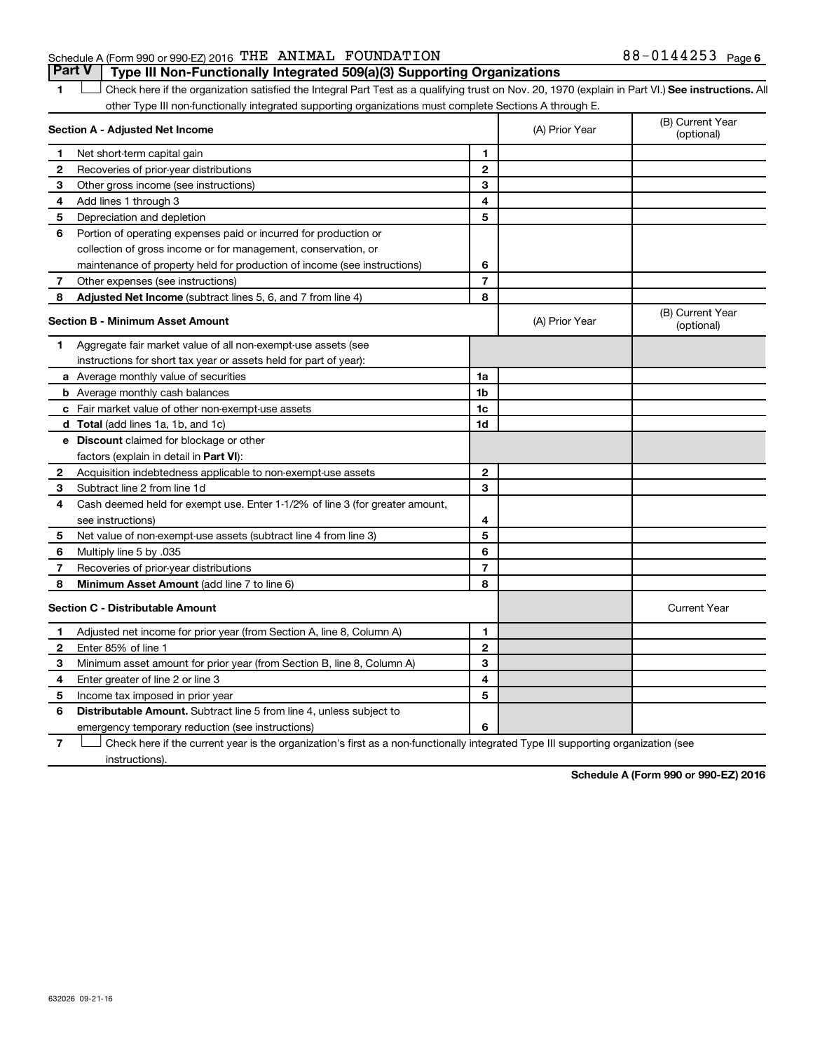#### Schedule A (Form 990 or 990-EZ) 2016 Page THE ANIMAL FOUNDATION 88-0144253**Part V Type III Non-Functionally Integrated 509(a)(3) Supporting Organizations**

1 **Letter See instructions.** All Check here if the organization satisfied the Integral Part Test as a qualifying trust on Nov. 20, 1970 (explain in Part VI.) See instructions. All other Type III non-functionally integrated supporting organizations must complete Sections A through E.

|              | Section A - Adjusted Net Income                                              |                | (A) Prior Year | (B) Current Year<br>(optional) |
|--------------|------------------------------------------------------------------------------|----------------|----------------|--------------------------------|
| 1            | Net short-term capital gain                                                  | 1              |                |                                |
| 2            | Recoveries of prior-year distributions                                       | $\mathbf{2}$   |                |                                |
| з            | Other gross income (see instructions)                                        | 3              |                |                                |
| 4            | Add lines 1 through 3                                                        | 4              |                |                                |
| 5            | Depreciation and depletion                                                   | 5              |                |                                |
| 6            | Portion of operating expenses paid or incurred for production or             |                |                |                                |
|              | collection of gross income or for management, conservation, or               |                |                |                                |
|              | maintenance of property held for production of income (see instructions)     | 6              |                |                                |
| 7            | Other expenses (see instructions)                                            | $\overline{7}$ |                |                                |
| 8            | Adjusted Net Income (subtract lines 5, 6, and 7 from line 4)                 | 8              |                |                                |
|              | <b>Section B - Minimum Asset Amount</b>                                      |                | (A) Prior Year | (B) Current Year<br>(optional) |
| 1.           | Aggregate fair market value of all non-exempt-use assets (see                |                |                |                                |
|              | instructions for short tax year or assets held for part of year):            |                |                |                                |
|              | a Average monthly value of securities                                        | 1a             |                |                                |
|              | <b>b</b> Average monthly cash balances                                       | 1b             |                |                                |
|              | c Fair market value of other non-exempt-use assets                           | 1c             |                |                                |
|              | <b>d</b> Total (add lines 1a, 1b, and 1c)                                    | 1 <sub>d</sub> |                |                                |
|              | e Discount claimed for blockage or other                                     |                |                |                                |
|              | factors (explain in detail in <b>Part VI</b> ):                              |                |                |                                |
| 2            | Acquisition indebtedness applicable to non-exempt-use assets                 | $\mathbf{2}$   |                |                                |
| 3            | Subtract line 2 from line 1d                                                 | 3              |                |                                |
| 4            | Cash deemed held for exempt use. Enter 1-1/2% of line 3 (for greater amount, |                |                |                                |
|              | see instructions)                                                            | 4              |                |                                |
| 5            | Net value of non-exempt-use assets (subtract line 4 from line 3)             | 5              |                |                                |
| 6            | Multiply line 5 by .035                                                      | 6              |                |                                |
| 7            | Recoveries of prior-year distributions                                       | $\overline{7}$ |                |                                |
| 8            | Minimum Asset Amount (add line 7 to line 6)                                  | 8              |                |                                |
|              | <b>Section C - Distributable Amount</b>                                      |                |                | <b>Current Year</b>            |
| 1            | Adjusted net income for prior year (from Section A, line 8, Column A)        | 1              |                |                                |
| $\mathbf{2}$ | Enter 85% of line 1                                                          | $\mathbf{2}$   |                |                                |
| З            | Minimum asset amount for prior year (from Section B, line 8, Column A)       | 3              |                |                                |
| 4            | Enter greater of line 2 or line 3                                            | 4              |                |                                |
| 5            | Income tax imposed in prior year                                             | 5              |                |                                |
| 6            | <b>Distributable Amount.</b> Subtract line 5 from line 4, unless subject to  |                |                |                                |
|              | emergency temporary reduction (see instructions)                             | 6              |                |                                |

**7** Let Check here if the current year is the organization's first as a non-functionally integrated Type III supporting organization (see instructions).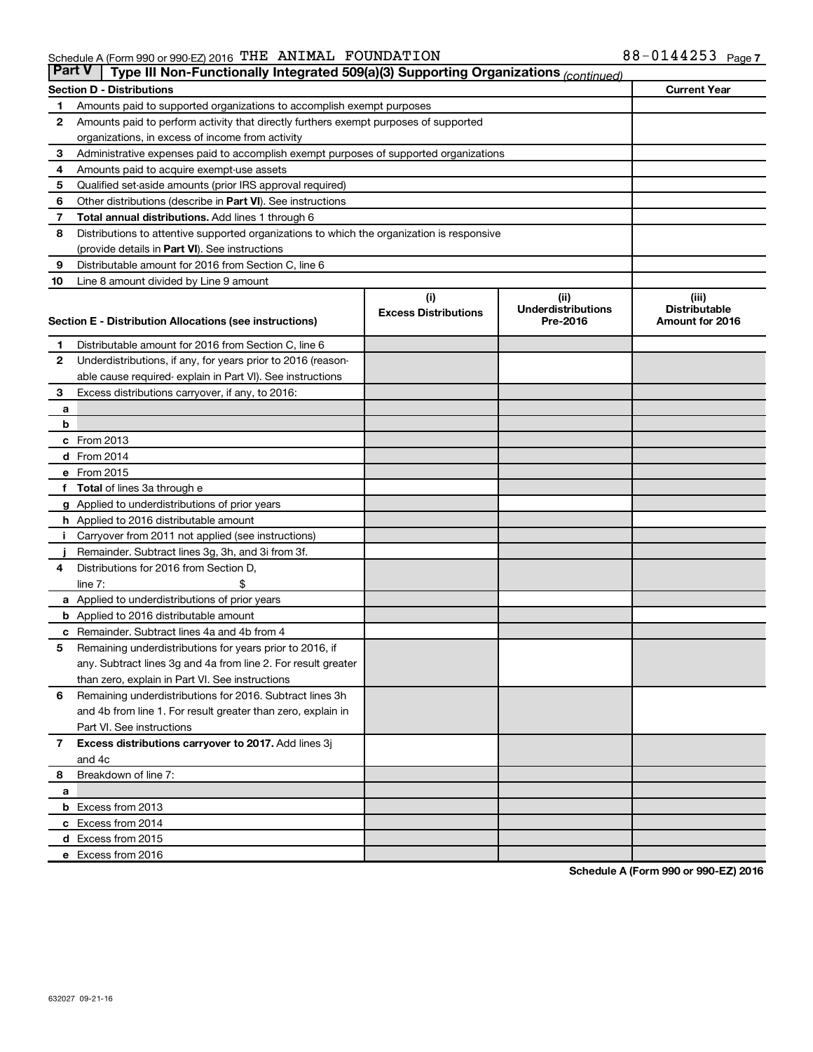| <b>Part V</b>  | Type III Non-Functionally Integrated 509(a)(3) Supporting Organizations (continued)         |                             |                                       |                                         |  |  |
|----------------|---------------------------------------------------------------------------------------------|-----------------------------|---------------------------------------|-----------------------------------------|--|--|
|                | <b>Current Year</b><br><b>Section D - Distributions</b>                                     |                             |                                       |                                         |  |  |
| 1              | Amounts paid to supported organizations to accomplish exempt purposes                       |                             |                                       |                                         |  |  |
| $\mathbf{2}$   | Amounts paid to perform activity that directly furthers exempt purposes of supported        |                             |                                       |                                         |  |  |
|                | organizations, in excess of income from activity                                            |                             |                                       |                                         |  |  |
| 3              | Administrative expenses paid to accomplish exempt purposes of supported organizations       |                             |                                       |                                         |  |  |
| 4              | Amounts paid to acquire exempt-use assets                                                   |                             |                                       |                                         |  |  |
| 5              | Qualified set-aside amounts (prior IRS approval required)                                   |                             |                                       |                                         |  |  |
| 6              | Other distributions (describe in <b>Part VI</b> ). See instructions                         |                             |                                       |                                         |  |  |
| 7              | <b>Total annual distributions.</b> Add lines 1 through 6                                    |                             |                                       |                                         |  |  |
| 8              | Distributions to attentive supported organizations to which the organization is responsive  |                             |                                       |                                         |  |  |
|                | (provide details in Part VI). See instructions                                              |                             |                                       |                                         |  |  |
| 9              | Distributable amount for 2016 from Section C, line 6                                        |                             |                                       |                                         |  |  |
| 10             | Line 8 amount divided by Line 9 amount                                                      |                             |                                       |                                         |  |  |
|                |                                                                                             | (i)                         | (ii)                                  | (iii)                                   |  |  |
|                | Section E - Distribution Allocations (see instructions)                                     | <b>Excess Distributions</b> | <b>Underdistributions</b><br>Pre-2016 | <b>Distributable</b><br>Amount for 2016 |  |  |
|                |                                                                                             |                             |                                       |                                         |  |  |
| 1              | Distributable amount for 2016 from Section C, line 6                                        |                             |                                       |                                         |  |  |
| $\mathbf{2}$   | Underdistributions, if any, for years prior to 2016 (reason-                                |                             |                                       |                                         |  |  |
|                | able cause required- explain in Part VI). See instructions                                  |                             |                                       |                                         |  |  |
| 3              | Excess distributions carryover, if any, to 2016:                                            |                             |                                       |                                         |  |  |
| а              |                                                                                             |                             |                                       |                                         |  |  |
| b              |                                                                                             |                             |                                       |                                         |  |  |
|                | c From 2013                                                                                 |                             |                                       |                                         |  |  |
|                | <b>d</b> From 2014                                                                          |                             |                                       |                                         |  |  |
|                | e From 2015                                                                                 |                             |                                       |                                         |  |  |
|                | f Total of lines 3a through e                                                               |                             |                                       |                                         |  |  |
|                | <b>g</b> Applied to underdistributions of prior years                                       |                             |                                       |                                         |  |  |
|                | h Applied to 2016 distributable amount                                                      |                             |                                       |                                         |  |  |
| Ť.             | Carryover from 2011 not applied (see instructions)                                          |                             |                                       |                                         |  |  |
|                | Remainder. Subtract lines 3g, 3h, and 3i from 3f.<br>Distributions for 2016 from Section D, |                             |                                       |                                         |  |  |
| 4              | line $7:$                                                                                   |                             |                                       |                                         |  |  |
|                | a Applied to underdistributions of prior years                                              |                             |                                       |                                         |  |  |
|                | <b>b</b> Applied to 2016 distributable amount                                               |                             |                                       |                                         |  |  |
| с              | Remainder. Subtract lines 4a and 4b from 4                                                  |                             |                                       |                                         |  |  |
| 5              | Remaining underdistributions for years prior to 2016, if                                    |                             |                                       |                                         |  |  |
|                | any. Subtract lines 3g and 4a from line 2. For result greater                               |                             |                                       |                                         |  |  |
|                | than zero, explain in Part VI. See instructions                                             |                             |                                       |                                         |  |  |
| 6              | Remaining underdistributions for 2016. Subtract lines 3h                                    |                             |                                       |                                         |  |  |
|                | and 4b from line 1. For result greater than zero, explain in                                |                             |                                       |                                         |  |  |
|                | Part VI. See instructions                                                                   |                             |                                       |                                         |  |  |
| $\overline{7}$ | Excess distributions carryover to 2017. Add lines 3j                                        |                             |                                       |                                         |  |  |
|                | and 4c                                                                                      |                             |                                       |                                         |  |  |
| 8              | Breakdown of line 7:                                                                        |                             |                                       |                                         |  |  |
| а              |                                                                                             |                             |                                       |                                         |  |  |
|                | <b>b</b> Excess from 2013                                                                   |                             |                                       |                                         |  |  |
|                | c Excess from 2014                                                                          |                             |                                       |                                         |  |  |
|                | d Excess from 2015                                                                          |                             |                                       |                                         |  |  |
|                | e Excess from 2016                                                                          |                             |                                       |                                         |  |  |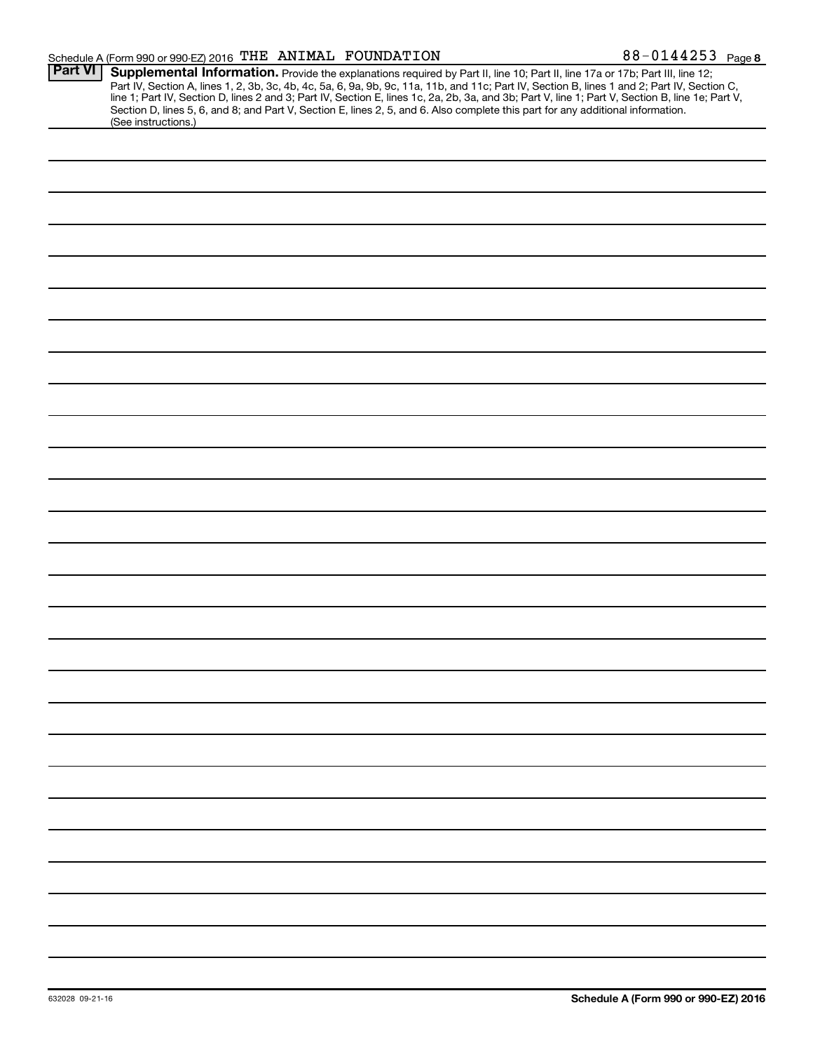| Schedule A (Form 990 or 990-EZ) 2016 THE ANIMAL FOUNDATION |  |  | 88-0144253 $_{Page8}$ |  |
|------------------------------------------------------------|--|--|-----------------------|--|
|------------------------------------------------------------|--|--|-----------------------|--|

|                | $\frac{1}{2}$ contradicts in the sector of $\frac{1}{2}$ such that $\frac{1}{2}$ and $\frac{1}{2}$ control in $\frac{1}{2}$ and $\frac{1}{2}$ and $\frac{1}{2}$ and $\frac{1}{2}$ and $\frac{1}{2}$ and $\frac{1}{2}$ and $\frac{1}{2}$ and $\frac{1}{2}$ and $\frac{1}{2}$ and<br><del>------</del> - 1 ay <del>c</del> 0                                                                                                                                                                                                                                           |
|----------------|----------------------------------------------------------------------------------------------------------------------------------------------------------------------------------------------------------------------------------------------------------------------------------------------------------------------------------------------------------------------------------------------------------------------------------------------------------------------------------------------------------------------------------------------------------------------|
| <b>Part VI</b> | Supplemental Information. Provide the explanations required by Part II, line 10; Part II, line 17a or 17b; Part III, line 12;<br>Part IV, Section A, lines 1, 2, 3b, 3c, 4b, 4c, 5a, 6, 9a, 9b, 9c, 11a, 11b, and 11c; Part IV, Section B, lines 1 and 2; Part IV, Section C,<br>line 1; Part IV, Section D, lines 2 and 3; Part IV, Section E, lines 1c, 2a, 2b, 3a, and 3b; Part V, line 1; Part V, Section B, line 1e; Part V,<br>Section D, lines 5, 6, and 8; and Part V, Section E, lines 2, 5, and 6. Also complete this part for any additional information. |
|                | (See instructions.)                                                                                                                                                                                                                                                                                                                                                                                                                                                                                                                                                  |
|                |                                                                                                                                                                                                                                                                                                                                                                                                                                                                                                                                                                      |
|                |                                                                                                                                                                                                                                                                                                                                                                                                                                                                                                                                                                      |
|                |                                                                                                                                                                                                                                                                                                                                                                                                                                                                                                                                                                      |
|                |                                                                                                                                                                                                                                                                                                                                                                                                                                                                                                                                                                      |
|                |                                                                                                                                                                                                                                                                                                                                                                                                                                                                                                                                                                      |
|                |                                                                                                                                                                                                                                                                                                                                                                                                                                                                                                                                                                      |
|                |                                                                                                                                                                                                                                                                                                                                                                                                                                                                                                                                                                      |
|                |                                                                                                                                                                                                                                                                                                                                                                                                                                                                                                                                                                      |
|                |                                                                                                                                                                                                                                                                                                                                                                                                                                                                                                                                                                      |
|                |                                                                                                                                                                                                                                                                                                                                                                                                                                                                                                                                                                      |
|                |                                                                                                                                                                                                                                                                                                                                                                                                                                                                                                                                                                      |
|                |                                                                                                                                                                                                                                                                                                                                                                                                                                                                                                                                                                      |
|                |                                                                                                                                                                                                                                                                                                                                                                                                                                                                                                                                                                      |
|                |                                                                                                                                                                                                                                                                                                                                                                                                                                                                                                                                                                      |
|                |                                                                                                                                                                                                                                                                                                                                                                                                                                                                                                                                                                      |
|                |                                                                                                                                                                                                                                                                                                                                                                                                                                                                                                                                                                      |
|                |                                                                                                                                                                                                                                                                                                                                                                                                                                                                                                                                                                      |
|                |                                                                                                                                                                                                                                                                                                                                                                                                                                                                                                                                                                      |
|                |                                                                                                                                                                                                                                                                                                                                                                                                                                                                                                                                                                      |
|                |                                                                                                                                                                                                                                                                                                                                                                                                                                                                                                                                                                      |
|                |                                                                                                                                                                                                                                                                                                                                                                                                                                                                                                                                                                      |
|                |                                                                                                                                                                                                                                                                                                                                                                                                                                                                                                                                                                      |
|                |                                                                                                                                                                                                                                                                                                                                                                                                                                                                                                                                                                      |
|                |                                                                                                                                                                                                                                                                                                                                                                                                                                                                                                                                                                      |
|                |                                                                                                                                                                                                                                                                                                                                                                                                                                                                                                                                                                      |
|                |                                                                                                                                                                                                                                                                                                                                                                                                                                                                                                                                                                      |
|                |                                                                                                                                                                                                                                                                                                                                                                                                                                                                                                                                                                      |
|                |                                                                                                                                                                                                                                                                                                                                                                                                                                                                                                                                                                      |
|                |                                                                                                                                                                                                                                                                                                                                                                                                                                                                                                                                                                      |
|                |                                                                                                                                                                                                                                                                                                                                                                                                                                                                                                                                                                      |
|                |                                                                                                                                                                                                                                                                                                                                                                                                                                                                                                                                                                      |
|                |                                                                                                                                                                                                                                                                                                                                                                                                                                                                                                                                                                      |
|                |                                                                                                                                                                                                                                                                                                                                                                                                                                                                                                                                                                      |
|                |                                                                                                                                                                                                                                                                                                                                                                                                                                                                                                                                                                      |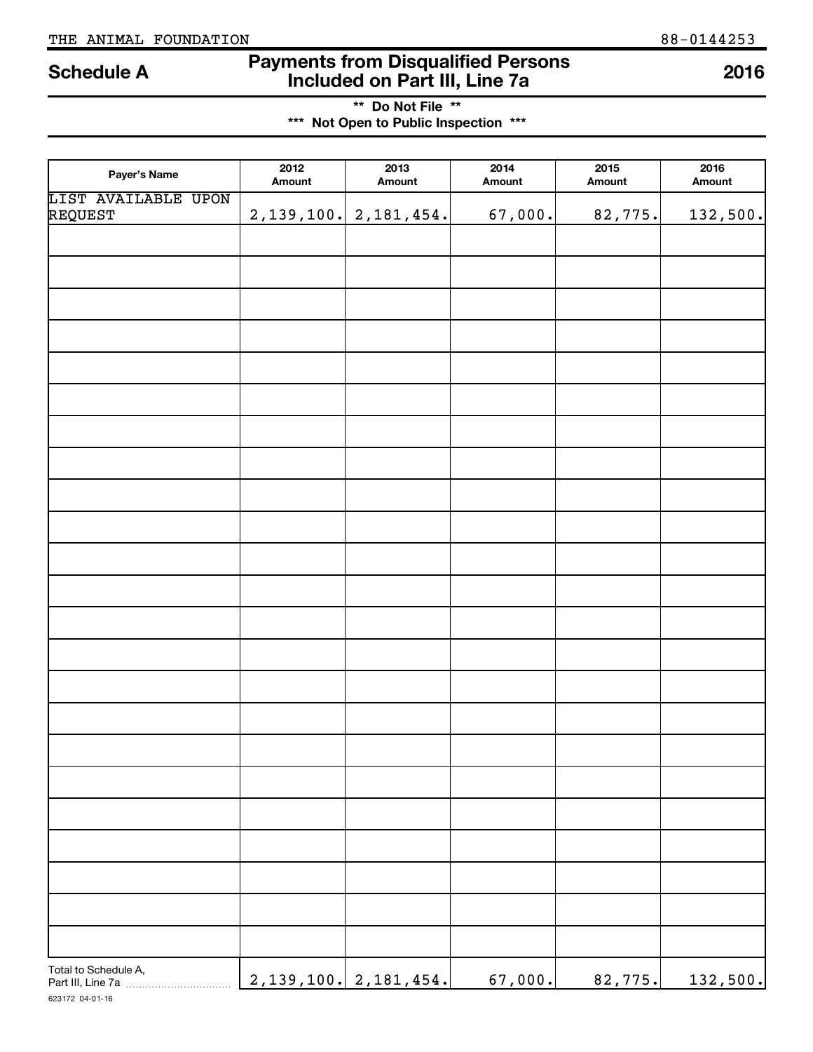# **Payments from Disqualified Persons Included on Part III, Line 7a Schedule A <sup>2016</sup>**

**\*\* Do Not File \*\* \*\*\* Not Open to Public Inspection \*\*\***

| Payer's Name                   | 2012<br>Amount | 2013<br>Amount            | 2014<br>Amount | 2015<br>Amount | 2016<br>Amount |
|--------------------------------|----------------|---------------------------|----------------|----------------|----------------|
| LIST AVAILABLE UPON<br>REQUEST |                | $2,139,100.$ $2,181,454.$ | 67,000.        | 82,775.        | 132,500.       |
|                                |                |                           |                |                |                |
|                                |                |                           |                |                |                |
|                                |                |                           |                |                |                |
|                                |                |                           |                |                |                |
|                                |                |                           |                |                |                |
|                                |                |                           |                |                |                |
|                                |                |                           |                |                |                |
|                                |                |                           |                |                |                |
|                                |                |                           |                |                |                |
|                                |                |                           |                |                |                |
|                                |                |                           |                |                |                |
|                                |                |                           |                |                |                |
|                                |                |                           |                |                |                |
|                                |                |                           |                |                |                |
|                                |                |                           |                |                |                |
|                                |                |                           |                |                |                |
|                                |                |                           |                |                |                |
|                                |                |                           |                |                |                |
|                                |                |                           |                |                |                |
|                                |                |                           |                |                |                |
|                                |                |                           |                |                |                |
|                                |                |                           |                |                |                |
|                                |                |                           |                |                |                |
|                                |                |                           |                |                |                |
|                                |                |                           |                |                |                |
| Total to Schedule A,           |                | $2,139,100.$ $2,181,454.$ | 67,000.        | 82,775.        | 132,500.       |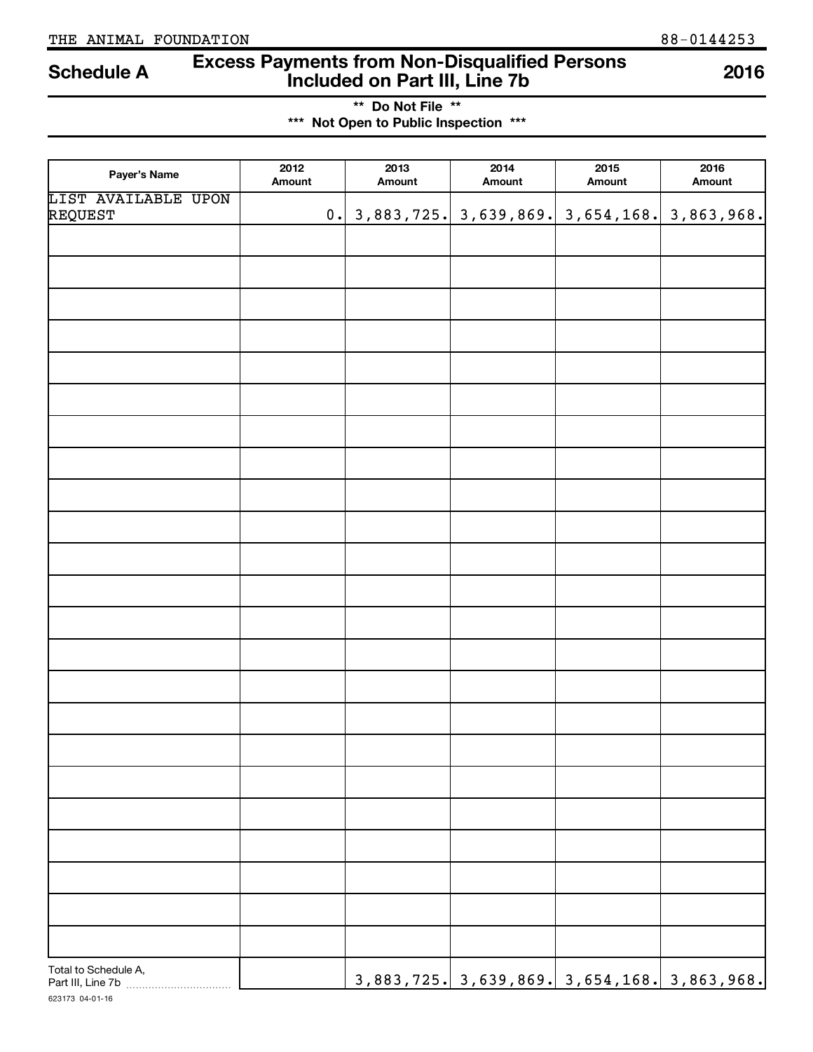# **Excess Payments from Non-Disqualified Persons Included on Part III, Line 7b Schedule A <sup>2016</sup>**

**\*\* Do Not File \*\* \*\*\* Not Open to Public Inspection \*\*\***

| Payer's Name                   | 2012<br>Amount | 2013<br>Amount | 2014<br>Amount                                     | 2015<br>Amount | 2016<br>Amount |
|--------------------------------|----------------|----------------|----------------------------------------------------|----------------|----------------|
| LIST AVAILABLE UPON<br>REQUEST |                |                |                                                    |                |                |
|                                |                |                |                                                    |                |                |
|                                |                |                |                                                    |                |                |
|                                |                |                |                                                    |                |                |
|                                |                |                |                                                    |                |                |
|                                |                |                |                                                    |                |                |
|                                |                |                |                                                    |                |                |
|                                |                |                |                                                    |                |                |
|                                |                |                |                                                    |                |                |
|                                |                |                |                                                    |                |                |
|                                |                |                |                                                    |                |                |
|                                |                |                |                                                    |                |                |
|                                |                |                |                                                    |                |                |
|                                |                |                |                                                    |                |                |
|                                |                |                |                                                    |                |                |
|                                |                |                |                                                    |                |                |
|                                |                |                |                                                    |                |                |
|                                |                |                |                                                    |                |                |
|                                |                |                |                                                    |                |                |
|                                |                |                |                                                    |                |                |
|                                |                |                |                                                    |                |                |
|                                |                |                |                                                    |                |                |
|                                |                |                |                                                    |                |                |
|                                |                |                |                                                    |                |                |
|                                |                |                |                                                    |                |                |
|                                |                |                |                                                    |                |                |
|                                |                |                |                                                    |                |                |
| Total to Schedule A,           |                |                | <u>3,883,725. 3,639,869. 3,654,168. 3,863,968.</u> |                |                |

623173 04-01-16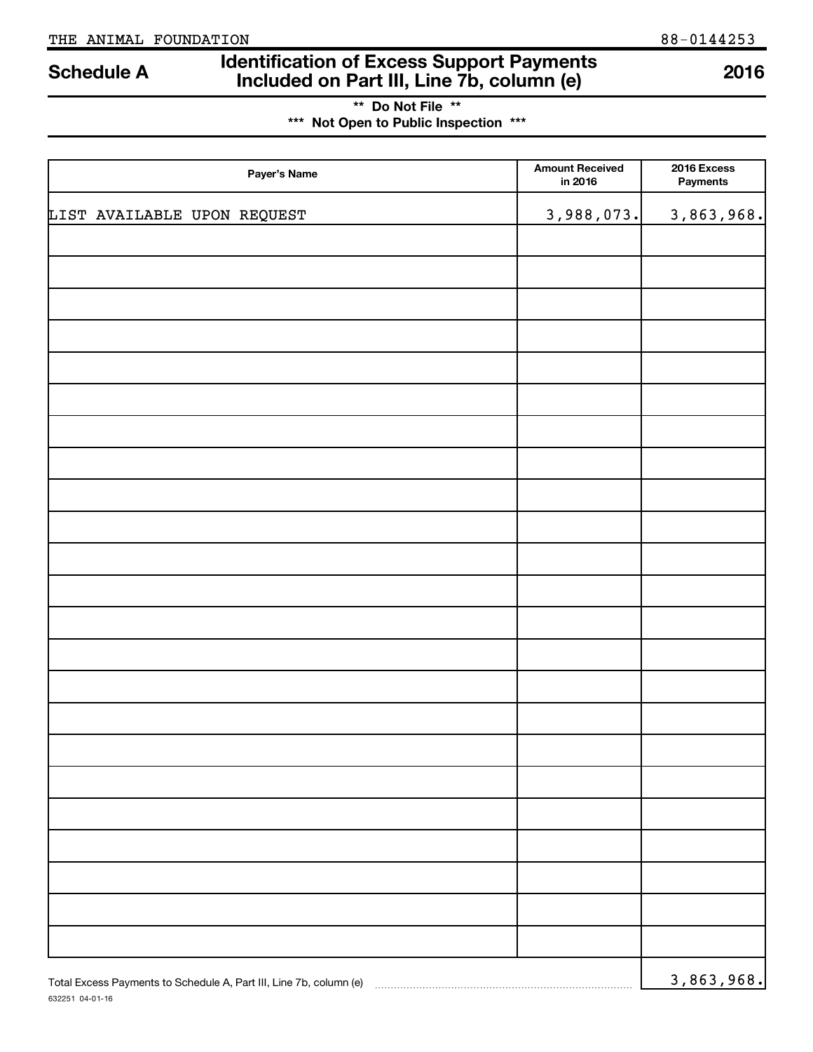632251 04-01-16

# **Identification of Excess Support Payments Included on Part III, Line 7b, column (e) Schedule A <sup>2016</sup>**

**\*\* Do Not File \*\* \*\*\* Not Open to Public Inspection \*\*\***

| Payer's Name                                                       | <b>Amount Received</b><br>in 2016 | 2016 Excess<br>Payments |
|--------------------------------------------------------------------|-----------------------------------|-------------------------|
| LIST AVAILABLE UPON REQUEST                                        | 3,988,073.                        | 3,863,968.              |
|                                                                    |                                   |                         |
|                                                                    |                                   |                         |
|                                                                    |                                   |                         |
|                                                                    |                                   |                         |
|                                                                    |                                   |                         |
|                                                                    |                                   |                         |
|                                                                    |                                   |                         |
|                                                                    |                                   |                         |
|                                                                    |                                   |                         |
|                                                                    |                                   |                         |
|                                                                    |                                   |                         |
|                                                                    |                                   |                         |
|                                                                    |                                   |                         |
|                                                                    |                                   |                         |
|                                                                    |                                   |                         |
|                                                                    |                                   |                         |
|                                                                    |                                   |                         |
|                                                                    |                                   |                         |
|                                                                    |                                   |                         |
|                                                                    |                                   |                         |
|                                                                    |                                   |                         |
|                                                                    |                                   |                         |
|                                                                    |                                   |                         |
| Total Excess Payments to Schedule A, Part III, Line 7b, column (e) |                                   | 3,863,968.              |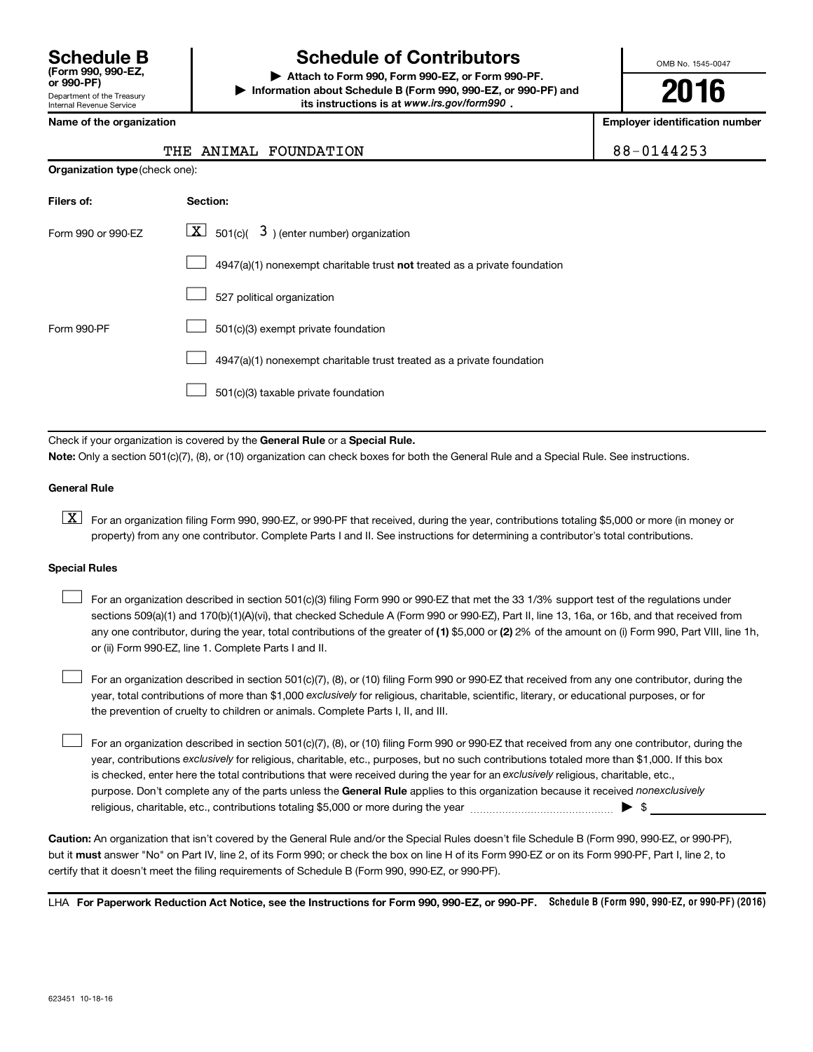Department of the Treasury Internal Revenue Service **(Form 990, 990-EZ,**

# **Schedule B Schedule of Contributors**

**or 990-PF) | Attach to Form 990, Form 990-EZ, or Form 990-PF. | Information about Schedule B (Form 990, 990-EZ, or 990-PF) and** its instructions is at www.irs.gov/form990.

OMB No. 1545-0047

**2016**

**Name of the organization Employer identification number**

|  | lame of the organization |
|--|--------------------------|
|--|--------------------------|

**Organization type** (check one):

#### THE ANIMAL FOUNDATION **88-0144253**

| Filers of:         | Section:                                                                           |
|--------------------|------------------------------------------------------------------------------------|
| Form 990 or 990-EZ | $ \mathbf{X} $ 501(c)( 3) (enter number) organization                              |
|                    | $4947(a)(1)$ nonexempt charitable trust <b>not</b> treated as a private foundation |
|                    | 527 political organization                                                         |
| Form 990-PF        | 501(c)(3) exempt private foundation                                                |
|                    | 4947(a)(1) nonexempt charitable trust treated as a private foundation              |
|                    | 501(c)(3) taxable private foundation                                               |

Check if your organization is covered by the General Rule or a Special Rule.

**Note:**  Only a section 501(c)(7), (8), or (10) organization can check boxes for both the General Rule and a Special Rule. See instructions.

#### **General Rule**

**K** For an organization filing Form 990, 990-EZ, or 990-PF that received, during the year, contributions totaling \$5,000 or more (in money or property) from any one contributor. Complete Parts I and II. See instructions for determining a contributor's total contributions.

#### **Special Rules**

 $\Box$ 

any one contributor, during the year, total contributions of the greater of **(1)** \$5,000 or **(2)** 2% of the amount on (i) Form 990, Part VIII, line 1h, For an organization described in section 501(c)(3) filing Form 990 or 990-EZ that met the 33 1/3% support test of the regulations under sections 509(a)(1) and 170(b)(1)(A)(vi), that checked Schedule A (Form 990 or 990-EZ), Part II, line 13, 16a, or 16b, and that received from or (ii) Form 990-EZ, line 1. Complete Parts I and II.  $\Box$ 

year, total contributions of more than \$1,000 *exclusively* for religious, charitable, scientific, literary, or educational purposes, or for For an organization described in section 501(c)(7), (8), or (10) filing Form 990 or 990-EZ that received from any one contributor, during the the prevention of cruelty to children or animals. Complete Parts I, II, and III.  $\Box$ 

purpose. Don't complete any of the parts unless the General Rule applies to this organization because it received nonexclusively year, contributions exclusively for religious, charitable, etc., purposes, but no such contributions totaled more than \$1,000. If this box is checked, enter here the total contributions that were received during the year for an exclusively religious, charitable, etc., For an organization described in section 501(c)(7), (8), or (10) filing Form 990 or 990-EZ that received from any one contributor, during the religious, charitable, etc., contributions totaling \$5,000 or more during the year  $\ldots$  $\ldots$  $\ldots$  $\ldots$  $\ldots$  $\ldots$ 

**Caution:**  An organization that isn't covered by the General Rule and/or the Special Rules doesn't file Schedule B (Form 990, 990-EZ, or 990-PF),  **must** but it answer "No" on Part IV, line 2, of its Form 990; or check the box on line H of its Form 990-EZ or on its Form 990-PF, Part I, line 2, to certify that it doesn't meet the filing requirements of Schedule B (Form 990, 990-EZ, or 990-PF).

LHA For Paperwork Reduction Act Notice, see the Instructions for Form 990, 990-EZ, or 990-PF. Schedule B (Form 990, 990-EZ, or 990-PF) (2016)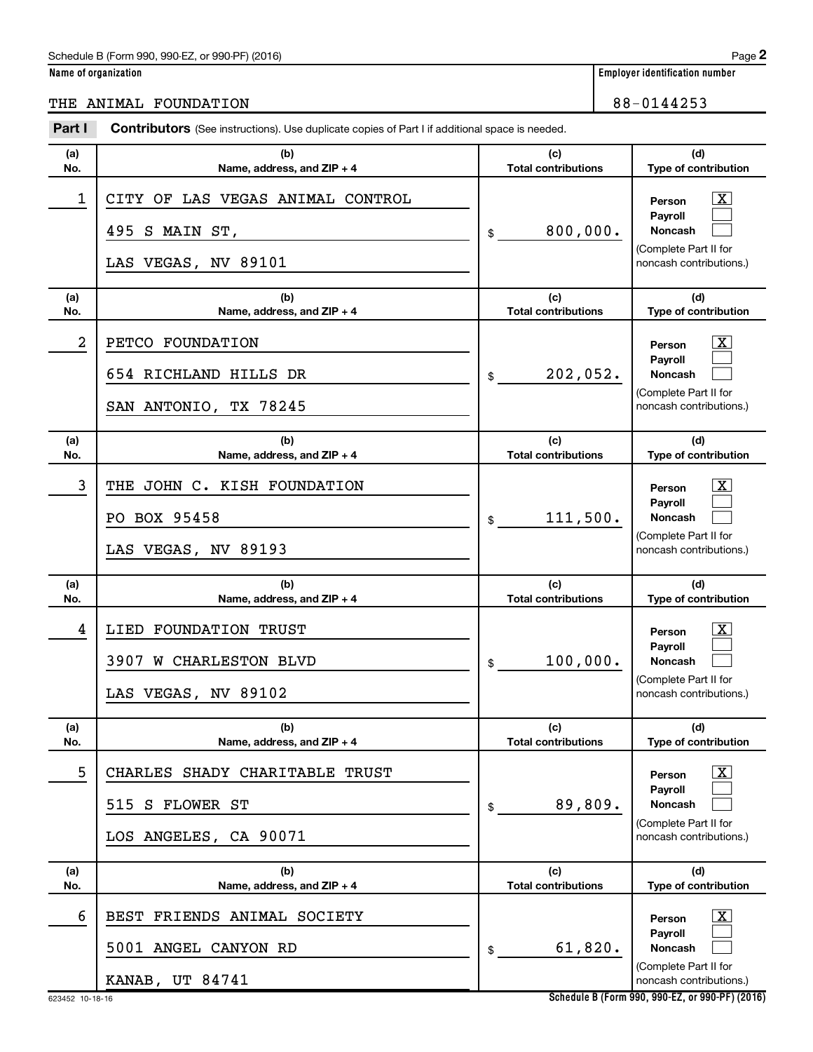**Name of organization Employer identification number**

THE ANIMAL FOUNDATION 88-0144253

| Part I     | <b>Contributors</b> (See instructions). Use duplicate copies of Part I if additional space is needed. |                                              |                                                                                                                             |
|------------|-------------------------------------------------------------------------------------------------------|----------------------------------------------|-----------------------------------------------------------------------------------------------------------------------------|
| (a)<br>No. | (b)<br>Name, address, and ZIP + 4                                                                     | (c)<br><b>Total contributions</b>            | (d)<br>Type of contribution                                                                                                 |
| 1          | CITY OF LAS VEGAS ANIMAL CONTROL<br>495 S MAIN ST,<br>LAS VEGAS, NV 89101                             | 800,000.<br>\$                               | $\mathbf{X}$<br>Person<br>Payroll<br>Noncash<br>(Complete Part II for<br>noncash contributions.)                            |
| (a)<br>No. | (b)<br>Name, address, and ZIP + 4                                                                     | (c)<br><b>Total contributions</b>            | (d)<br>Type of contribution                                                                                                 |
| 2          | PETCO FOUNDATION<br>654 RICHLAND HILLS DR<br>SAN ANTONIO, TX 78245                                    | 202,052.<br>\$                               | $\mathbf{X}$<br>Person<br>Payroll<br><b>Noncash</b><br>(Complete Part II for<br>noncash contributions.)                     |
| (a)<br>No. | (b)<br>Name, address, and $ZIP + 4$                                                                   | (c)<br><b>Total contributions</b>            | (d)<br>Type of contribution                                                                                                 |
| 3          | THE JOHN C. KISH FOUNDATION<br>PO BOX 95458<br>LAS VEGAS, NV 89193                                    | 111,500.<br>\$                               | $\overline{\mathbf{X}}$<br>Person<br>Payroll<br><b>Noncash</b><br>(Complete Part II for<br>noncash contributions.)          |
| (a)        | (b)                                                                                                   | (c)                                          | (d)                                                                                                                         |
| No.<br>4   | Name, address, and ZIP + 4<br>LIED FOUNDATION TRUST<br>3907 W CHARLESTON BLVD<br>LAS VEGAS, NV 89102  | <b>Total contributions</b><br>100,000.<br>\$ | Type of contribution<br><u>x</u><br>Person<br>Payroll<br><b>Noncash</b><br>(Complete Part II for<br>noncash contributions.) |
| (a)<br>No. | (b)<br>Name, address, and ZIP + 4                                                                     | (c)<br><b>Total contributions</b>            | (d)<br>Type of contribution                                                                                                 |
| 5          | CHARLES SHADY CHARITABLE TRUST<br>S FLOWER ST<br>515<br>LOS ANGELES, CA 90071                         | 89,809.<br>\$                                | $\lfloor x \rfloor$<br>Person<br>Payroll<br><b>Noncash</b><br>(Complete Part II for<br>noncash contributions.)              |
| (a)<br>No. | (b)<br>Name, address, and ZIP + 4                                                                     | (c)<br><b>Total contributions</b>            | (d)<br>Type of contribution                                                                                                 |
| 6          | FRIENDS ANIMAL SOCIETY<br>BEST<br>5001 ANGEL CANYON RD<br>KANAB, UT 84741                             | 61,820.<br>\$                                | $\lfloor x \rfloor$<br>Person<br>Payroll<br>Noncash<br>(Complete Part II for<br>noncash contributions.)                     |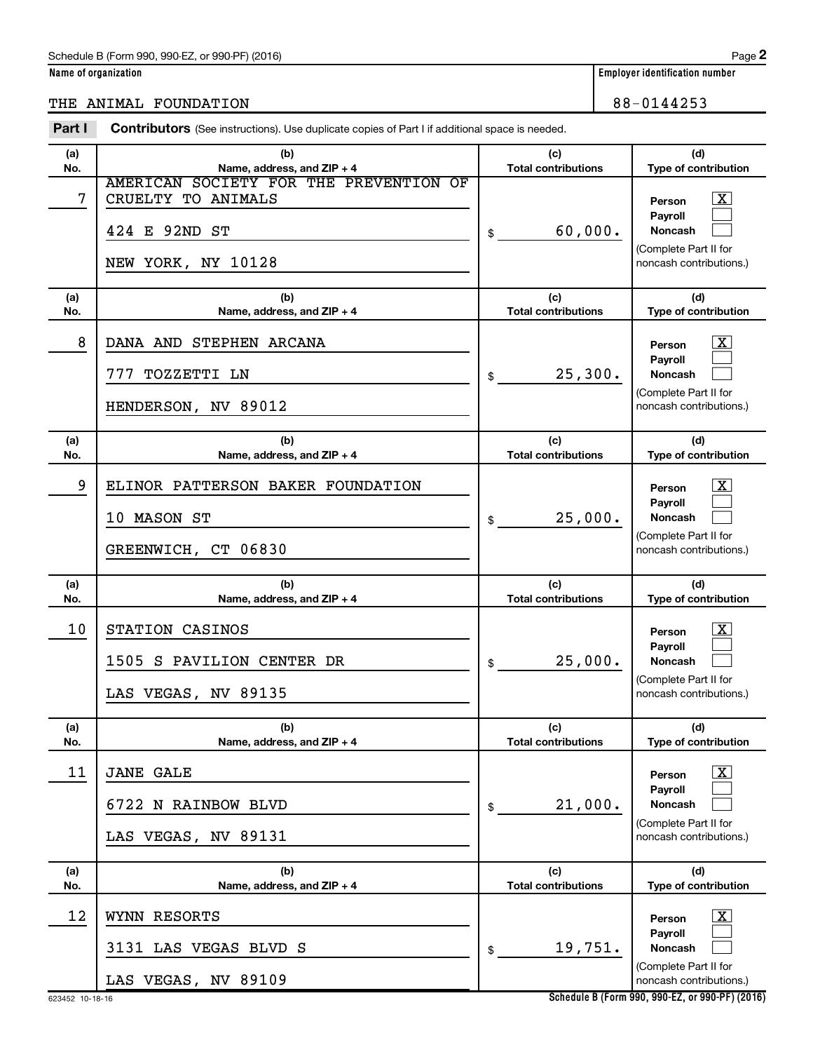**Name of organization Employer identification number**

### THE ANIMAL FOUNDATION 88-0144253

| Part I     | <b>Contributors</b> (See instructions). Use duplicate copies of Part I if additional space is needed. |                                   |                                                                                                                                     |
|------------|-------------------------------------------------------------------------------------------------------|-----------------------------------|-------------------------------------------------------------------------------------------------------------------------------------|
| (a)<br>No. | (b)<br>Name, address, and ZIP + 4                                                                     | (c)<br><b>Total contributions</b> | (d)                                                                                                                                 |
| 7          | AMERICAN SOCIETY FOR THE PREVENTION OF<br>CRUELTY TO ANIMALS<br>424 E 92ND ST<br>NEW YORK, NY 10128   | 60,000.<br>\$                     | Type of contribution<br>$\overline{\mathbf{X}}$<br>Person<br>Payroll<br>Noncash<br>(Complete Part II for<br>noncash contributions.) |
| (a)        | (b)                                                                                                   | (c)                               | (d)                                                                                                                                 |
| No.        | Name, address, and ZIP + 4                                                                            | <b>Total contributions</b>        | Type of contribution                                                                                                                |
| 8          | DANA AND STEPHEN ARCANA<br>777<br>TOZZETTI LN                                                         | 25,300.<br>\$                     | $\overline{\mathbf{X}}$<br>Person<br>Payroll<br><b>Noncash</b>                                                                      |
|            | HENDERSON, NV 89012                                                                                   |                                   | (Complete Part II for<br>noncash contributions.)                                                                                    |
| (a)<br>No. | (b)<br>Name, address, and ZIP + 4                                                                     | (c)<br><b>Total contributions</b> | (d)<br>Type of contribution                                                                                                         |
| 9          | ELINOR PATTERSON BAKER FOUNDATION<br>10 MASON ST<br>GREENWICH, CT 06830                               | 25,000.<br>\$                     | $\overline{\mathbf{X}}$<br>Person<br><b>Payroll</b><br><b>Noncash</b><br>(Complete Part II for<br>noncash contributions.)           |
| (a)<br>No. | (b)<br>Name, address, and ZIP + 4                                                                     | (c)<br><b>Total contributions</b> | (d)<br>Type of contribution                                                                                                         |
| 10         | STATION CASINOS<br>1505 S PAVILION CENTER DR<br>LAS VEGAS, NV 89135                                   | 25,000.<br>\$                     | $\overline{\mathbf{X}}$<br>Person<br><b>Payroll</b><br><b>Noncash</b><br>(Complete Part II for<br>noncash contributions.)           |
| (a)<br>No. | (b)<br>Name, address, and ZIP + 4                                                                     | (c)<br><b>Total contributions</b> | (d)<br>Type of contribution                                                                                                         |
| 11         | <b>JANE GALE</b><br>6722 N RAINBOW BLVD<br>LAS VEGAS, NV 89131                                        | 21,000.<br>\$                     | $\overline{\mathbf{X}}$<br>Person<br><b>Pavroll</b><br>Noncash<br>(Complete Part II for<br>noncash contributions.)                  |
| (a)<br>No. | (b)<br>Name, address, and ZIP + 4                                                                     | (c)<br><b>Total contributions</b> | (d)<br>Type of contribution                                                                                                         |
| 12         | WYNN RESORTS<br>3131 LAS VEGAS BLVD S<br>LAS VEGAS, NV 89109                                          | 19,751.<br>\$                     | $\mathbf{X}$<br>Person<br><b>Payroll</b><br>Noncash<br>(Complete Part II for<br>noncash contributions.)                             |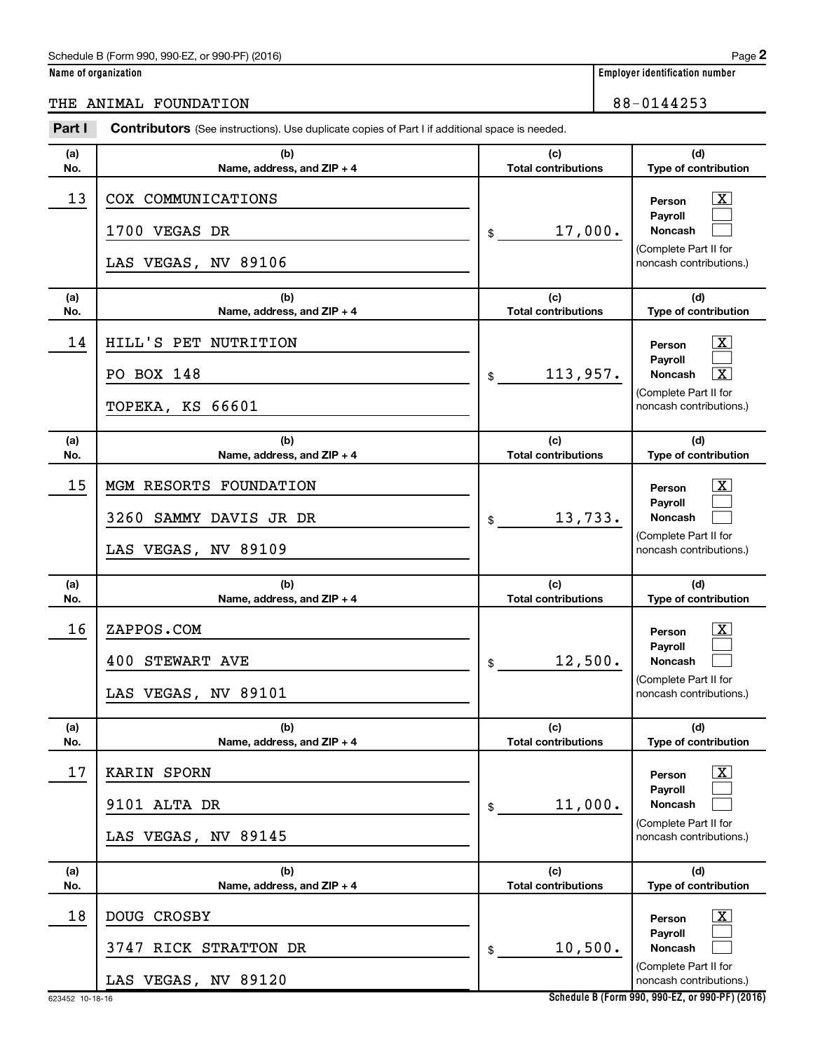**Name of organization Employer identification number**

## THE ANIMAL FOUNDATION 88-0144253

| Part I     | <b>Contributors</b> (See instructions). Use duplicate copies of Part I if additional space is needed. |                                   |                                                                                                                                               |
|------------|-------------------------------------------------------------------------------------------------------|-----------------------------------|-----------------------------------------------------------------------------------------------------------------------------------------------|
| (a)<br>No. | (b)<br>Name, address, and ZIP + 4                                                                     | (c)<br><b>Total contributions</b> | (d)<br>Type of contribution                                                                                                                   |
| 13         | COX COMMUNICATIONS<br>1700 VEGAS DR<br>LAS VEGAS, NV 89106                                            | 17,000.<br>\$                     | $\overline{\mathbf{X}}$<br>Person<br>Payroll<br><b>Noncash</b><br>(Complete Part II for<br>noncash contributions.)                            |
| (a)<br>No. | (b)<br>Name, address, and ZIP + 4                                                                     | (c)<br><b>Total contributions</b> | (d)<br>Type of contribution                                                                                                                   |
| 14         | HILL'S PET NUTRITION<br>PO BOX 148<br><b>TOPEKA, KS 66601</b>                                         | 113,957.<br>\$                    | $\overline{\mathbf{X}}$<br>Person<br>Payroll<br>$\overline{\mathbf{X}}$<br><b>Noncash</b><br>(Complete Part II for<br>noncash contributions.) |
| (a)<br>No. | (b)<br>Name, address, and ZIP + 4                                                                     | (c)<br><b>Total contributions</b> | (d)<br>Type of contribution                                                                                                                   |
| 15         | MGM RESORTS FOUNDATION<br>3260 SAMMY DAVIS JR DR<br>LAS VEGAS, NV 89109                               | 13,733.<br>\$                     | x<br>Person<br>Payroll<br><b>Noncash</b><br>(Complete Part II for<br>noncash contributions.)                                                  |
| (a)<br>No. | (b)<br>Name, address, and ZIP + 4                                                                     | (c)<br><b>Total contributions</b> | (d)<br>Type of contribution                                                                                                                   |
| 16         | ZAPPOS.COM<br><b>400 STEWART AVE</b><br>LAS VEGAS, NV 89101                                           | 12,500.<br>\$                     | x<br>Person<br>Payroll<br><b>Noncash</b><br>(Complete Part II for<br>noncash contributions.)                                                  |
| (a)<br>No. | (b)<br>Name, address, and ZIP + 4                                                                     | (c)<br><b>Total contributions</b> | (d)<br>Type of contribution                                                                                                                   |
| 17         | KARIN SPORN<br>9101 ALTA DR<br>LAS VEGAS, NV 89145                                                    | 11,000.<br>\$                     | x<br>Person<br>Payroll<br><b>Noncash</b><br>(Complete Part II for<br>noncash contributions.)                                                  |
| (a)<br>No. | (b)<br>Name, address, and ZIP + 4                                                                     | (c)<br><b>Total contributions</b> | (d)<br>Type of contribution                                                                                                                   |
| 18         | DOUG CROSBY<br>3747 RICK STRATTON DR<br>LAS VEGAS, NV 89120                                           | 10,500.<br>\$                     | x<br>Person<br>Payroll<br><b>Noncash</b><br>(Complete Part II for<br>noncash contributions.)                                                  |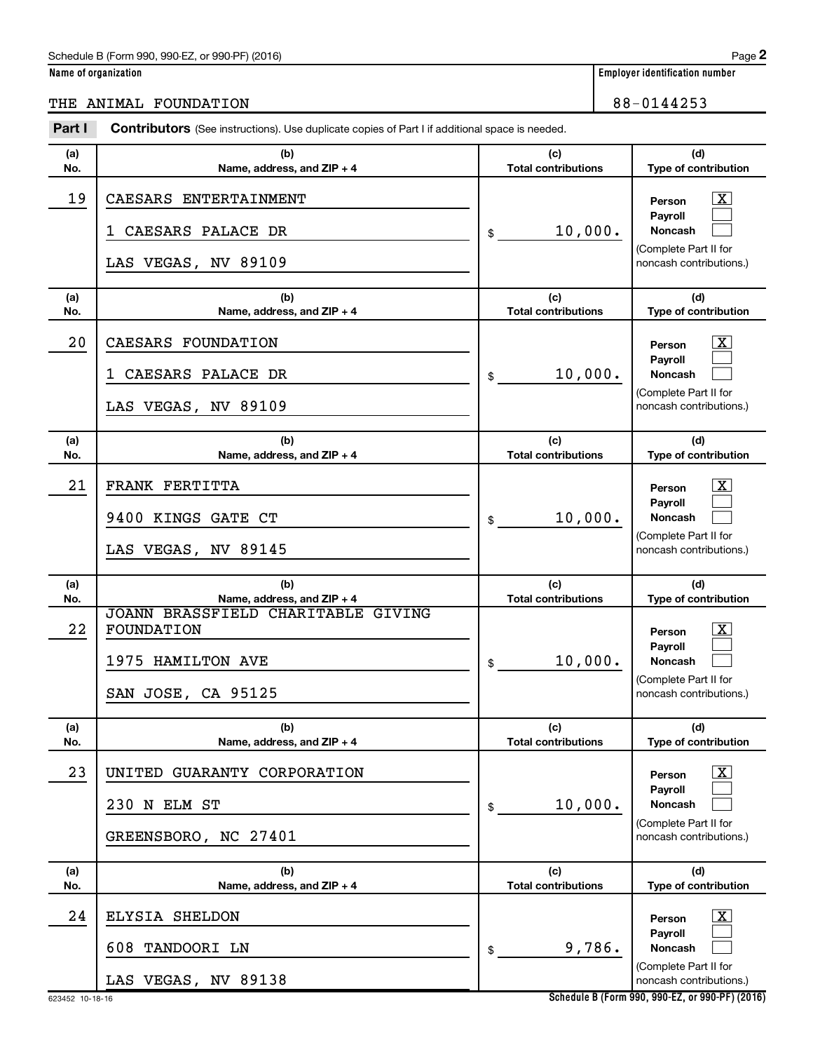**Name of organization Employer identification number**

|                                                                                                                 | 88-0144253<br>THE ANIMAL FOUNDATION                                                                     |  |                                 |  |  |
|-----------------------------------------------------------------------------------------------------------------|---------------------------------------------------------------------------------------------------------|--|---------------------------------|--|--|
| Part I<br><b>Contributors</b> (See instructions). Use duplicate copies of Part I if additional space is needed. |                                                                                                         |  |                                 |  |  |
| (a)<br>No.                                                                                                      | (c)<br>(d)<br>(b)<br>Name, address, and $ZIP + 4$<br>Type of contribution<br><b>Total contributions</b> |  |                                 |  |  |
| 19                                                                                                              | CAESARS ENTERTAINMENT                                                                                   |  | $\overline{\text{X}}$<br>Person |  |  |

| 19         | CAESARS ENTERTAINMENT<br>CAESARS PALACE DR<br>ı<br>LAS VEGAS, NV 89109                         | 10,000.<br>\$                     | <u>x</u><br>Person<br>Payroll<br><b>Noncash</b><br>(Complete Part II for<br>noncash contributions.)              |
|------------|------------------------------------------------------------------------------------------------|-----------------------------------|------------------------------------------------------------------------------------------------------------------|
| (a)<br>No. | (b)<br>Name, address, and ZIP + 4                                                              | (c)<br><b>Total contributions</b> | (d)<br>Type of contribution                                                                                      |
| 20         | CAESARS FOUNDATION<br>CAESARS PALACE DR<br>1<br>LAS VEGAS, NV 89109                            | 10,000.<br>\$                     | $\overline{\text{X}}$<br>Person<br>Payroll<br><b>Noncash</b><br>(Complete Part II for<br>noncash contributions.) |
| (a)<br>No. | (b)<br>Name, address, and ZIP + 4                                                              | (c)<br><b>Total contributions</b> | (d)<br>Type of contribution                                                                                      |
| 21         | FRANK FERTITTA<br>9400<br>KINGS GATE CT<br>LAS VEGAS, NV 89145                                 | 10,000.<br>\$                     | $\overline{\text{X}}$<br>Person<br>Payroll<br><b>Noncash</b><br>(Complete Part II for<br>noncash contributions.) |
| (a)<br>No. | (b)<br>Name, address, and ZIP + 4                                                              | (c)<br><b>Total contributions</b> | (d)<br>Type of contribution                                                                                      |
| 22         | JOANN BRASSFIELD CHARITABLE GIVING<br>FOUNDATION<br>1975<br>HAMILTON AVE<br>SAN JOSE, CA 95125 | 10,000.<br>\$                     | $\overline{\text{X}}$<br>Person<br>Payroll<br>Noncash<br>(Complete Part II for<br>noncash contributions.)        |
| (a)<br>No. | (b)<br>Name, address, and ZIP + 4                                                              | (c)<br><b>Total contributions</b> | (d)<br>Type of contribution                                                                                      |
| 23         | UNITED<br>GUARANTY CORPORATION<br>230 N ELM ST<br>GREENSBORO, NC 27401                         | 10,000.<br>\$                     | $\overline{\mathbf{X}}$<br>Person<br>Payroll<br>Noncash<br>(Complete Part II for<br>noncash contributions.)      |
| (a)<br>No. | (b)<br>Name, address, and ZIP + 4                                                              | (c)<br><b>Total contributions</b> | (d)<br>Type of contribution                                                                                      |
| 24         | ELYSIA SHELDON<br>608 TANDOORI LN                                                              | 9,786.<br>\$                      | $\overline{\text{X}}$<br>Person<br>Payroll<br><b>Noncash</b><br>(Complete Part II for                            |
|            | LAS VEGAS, NV 89138                                                                            |                                   | noncash contributions.)                                                                                          |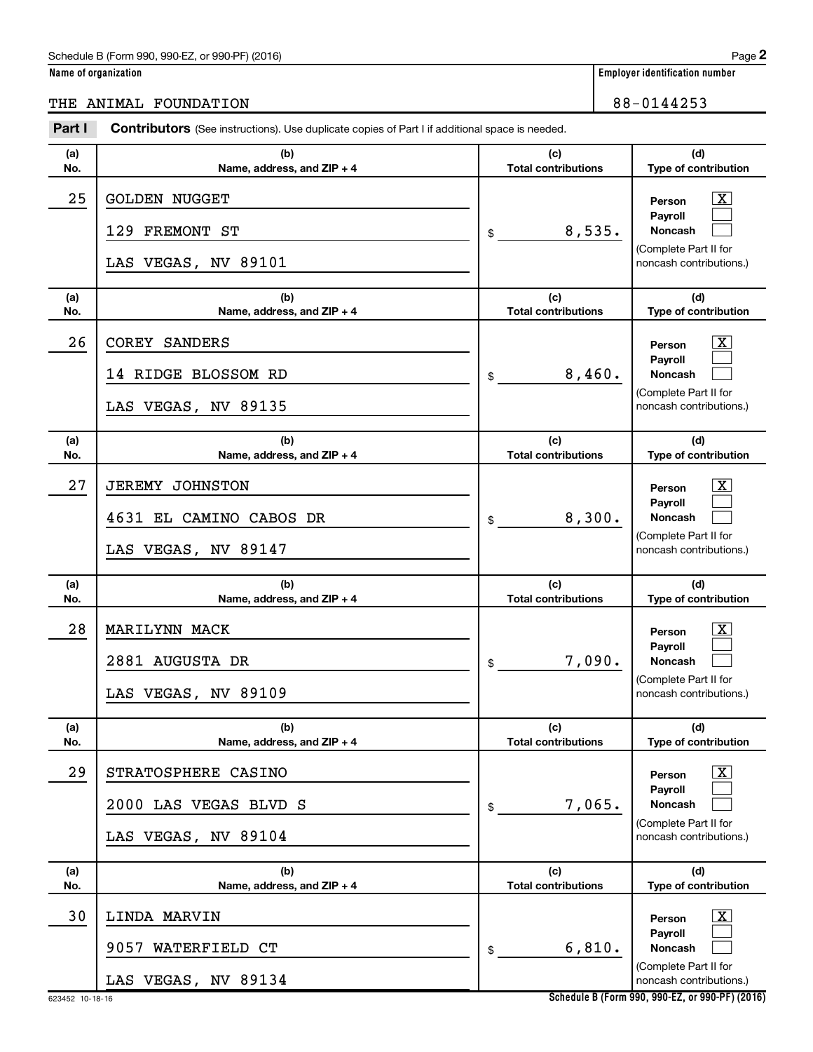**Name of organization Employer identification number**

## THE ANIMAL FOUNDATION 88-0144253

| Part I     | <b>Contributors</b> (See instructions). Use duplicate copies of Part I if additional space is needed. |                                   |                                                                                                                |
|------------|-------------------------------------------------------------------------------------------------------|-----------------------------------|----------------------------------------------------------------------------------------------------------------|
| (a)<br>No. | (b)<br>Name, address, and ZIP + 4                                                                     | (c)<br><b>Total contributions</b> | (d)<br>Type of contribution                                                                                    |
| 25         | <b>GOLDEN NUGGET</b><br>129 FREMONT ST<br>LAS VEGAS, NV 89101                                         | 8,535.<br>\$                      | $\boxed{\text{X}}$<br>Person<br>Payroll<br>Noncash<br>(Complete Part II for<br>noncash contributions.)         |
| (a)<br>No. | (b)<br>Name, address, and ZIP + 4                                                                     | (c)<br><b>Total contributions</b> | (d)<br>Type of contribution                                                                                    |
| 26         | <b>COREY SANDERS</b><br>14 RIDGE BLOSSOM RD<br>LAS VEGAS, NV 89135                                    | 8,460.<br>\$                      | $\boxed{\text{X}}$<br>Person<br>Payroll<br>Noncash<br>(Complete Part II for<br>noncash contributions.)         |
| (a)<br>No. | (b)<br>Name, address, and ZIP + 4                                                                     | (c)<br><b>Total contributions</b> | (d)<br>Type of contribution                                                                                    |
| 27         | <b>JEREMY JOHNSTON</b><br>4631 EL CAMINO CABOS DR<br>LAS VEGAS, NV 89147                              | 8,300.<br>\$                      | $\boxed{\text{X}}$<br>Person<br>Payroll<br>Noncash<br>(Complete Part II for<br>noncash contributions.)         |
| (a)<br>No. | (b)<br>Name, address, and ZIP + 4                                                                     | (c)<br><b>Total contributions</b> | (d)<br>Type of contribution                                                                                    |
| 28         | MARILYNN MACK<br>2881 AUGUSTA DR<br>LAS VEGAS, NV 89109                                               | 7,090.<br>\$                      | $\lfloor x \rfloor$<br>Person<br>Payroll<br><b>Noncash</b><br>(Complete Part II for<br>noncash contributions.) |
| (a)<br>No. | (b)<br>Name, address, and ZIP + 4                                                                     | (c)<br><b>Total contributions</b> | (d)<br>Type of contribution                                                                                    |
| 29         | STRATOSPHERE CASINO<br>2000 LAS VEGAS BLVD S<br>LAS VEGAS, NV 89104                                   | 7,065.<br>\$                      | $\boxed{\text{X}}$<br>Person<br>Payroll<br><b>Noncash</b><br>(Complete Part II for<br>noncash contributions.)  |
| (a)<br>No. | (b)<br>Name, address, and ZIP + 4                                                                     | (c)<br><b>Total contributions</b> | (d)<br>Type of contribution                                                                                    |
| 30         | LINDA MARVIN<br>9057<br>WATERFIELD CT<br>LAS VEGAS, NV 89134                                          | 6,810.<br>\$                      | $\boxed{\text{X}}$<br>Person<br>Payroll<br>Noncash<br>(Complete Part II for<br>noncash contributions.)         |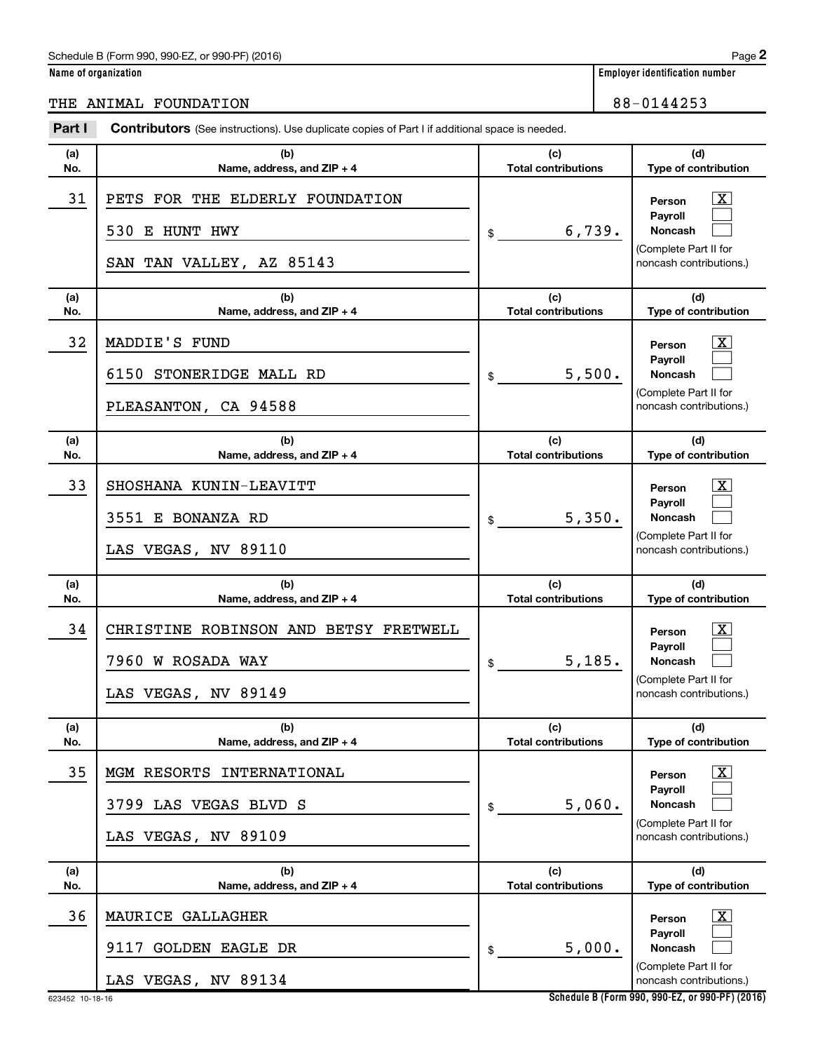**Name of organization** 

## THE ANIMAL FOUNDATION 88-0144253

| Part I     | <b>Contributors</b> (See instructions). Use duplicate copies of Part I if additional space is needed. |                                   |                                                                                                                    |
|------------|-------------------------------------------------------------------------------------------------------|-----------------------------------|--------------------------------------------------------------------------------------------------------------------|
| (a)<br>No. | (b)<br>Name, address, and ZIP + 4                                                                     | (c)<br><b>Total contributions</b> | (d)<br>Type of contribution                                                                                        |
| 31         | PETS FOR THE ELDERLY FOUNDATION<br>530 E HUNT HWY<br>SAN TAN VALLEY, AZ 85143                         | 6,739.<br>\$                      | $\mathbf{X}$<br>Person<br>Payroll<br><b>Noncash</b><br>(Complete Part II for<br>noncash contributions.)            |
| (a)<br>No. | (b)<br>Name, address, and ZIP + 4                                                                     | (c)<br><b>Total contributions</b> | (d)<br>Type of contribution                                                                                        |
| 32         | MADDIE'S FUND<br>6150 STONERIDGE MALL RD<br>PLEASANTON, CA 94588                                      | 5,500.<br>\$                      | $\overline{\mathbf{X}}$<br>Person<br>Payroll<br><b>Noncash</b><br>(Complete Part II for<br>noncash contributions.) |
| (a)<br>No. | (b)<br>Name, address, and ZIP + 4                                                                     | (c)<br><b>Total contributions</b> | (d)<br>Type of contribution                                                                                        |
| 33         | SHOSHANA KUNIN-LEAVITT<br>3551 E BONANZA RD<br>LAS VEGAS, NV 89110                                    | 5,350.<br>\$                      | $\overline{\text{X}}$<br>Person<br>Payroll<br><b>Noncash</b><br>(Complete Part II for<br>noncash contributions.)   |
| (a)<br>No. | (b)<br>Name, address, and ZIP + 4                                                                     | (c)<br><b>Total contributions</b> | (d)<br>Type of contribution                                                                                        |
| 34         | CHRISTINE ROBINSON AND BETSY FRETWELL<br>7960 W ROSADA WAY<br>LAS VEGAS, NV 89149                     | 5,185.<br>\$                      | $\mathbf{X}$<br>Person<br>Payroll<br><b>Noncash</b><br>(Complete Part II for<br>noncash contributions.)            |
| (a)<br>No. | (b)<br>Name, address, and ZIP + 4                                                                     | (c)<br><b>Total contributions</b> | (d)<br>Type of contribution                                                                                        |
| 35         | MGM RESORTS<br>INTERNATIONAL<br>3799 LAS VEGAS BLVD S<br>LAS VEGAS, NV 89109                          | 5,060.<br>\$                      | $\overline{\mathbf{X}}$<br>Person<br>Payroll<br><b>Noncash</b><br>(Complete Part II for<br>noncash contributions.) |
| (a)<br>No. | (b)<br>Name, address, and ZIP + 4                                                                     | (c)<br><b>Total contributions</b> | (d)<br>Type of contribution                                                                                        |
| 36         | MAURICE GALLAGHER<br><b>GOLDEN EAGLE DR</b><br>9117<br>LAS VEGAS, NV 89134                            | 5,000.<br>\$                      | $\overline{\mathbf{X}}$<br>Person<br>Payroll<br>Noncash<br>(Complete Part II for<br>noncash contributions.)        |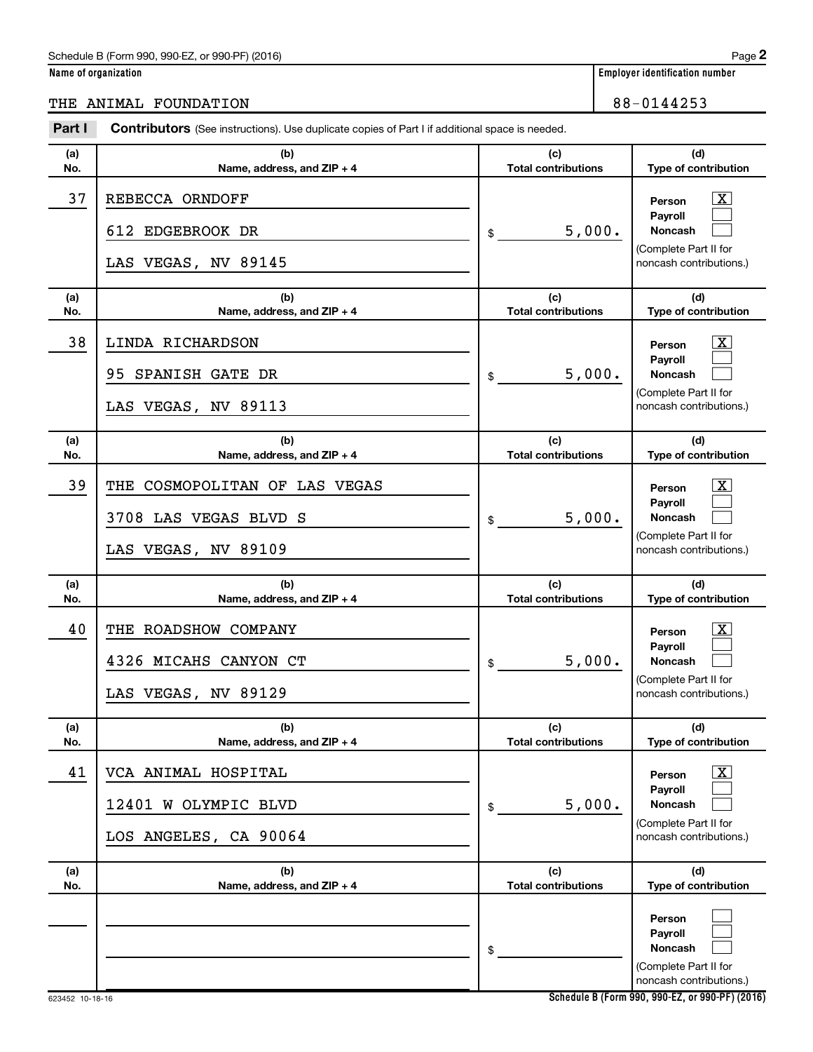| Name of organization |  |  |
|----------------------|--|--|
|                      |  |  |

THE ANIMAL FOUNDATION 88-0144253

#### **(a) No. (b) Name, address, and ZIP + 4 (c) Total contributions (d) Type of contribution Person Payroll Noncash (a) No. (b) Name, address, and ZIP + 4 (c) Total contributions (d) Type of contribution Person Payroll Noncash (a) No. (b) Name, address, and ZIP + 4 (c) Total contributions (d) Type of contribution Person Payroll Noncash (a) No. (b) Name, address, and ZIP + 4 (c) Total contributions (d) Type of contribution Person Payroll Noncash (a) No. (b) Name, address, and ZIP + 4 (c) Total contributions (d) Type of contribution Person Payroll Noncash (a) No. (b) Name, address, and ZIP + 4 (c) Total contributions (d) Type of contribution Person Payroll Noncash Part I** Contributors (See instructions). Use duplicate copies of Part I if additional space is needed. \$ (Complete Part II for noncash contributions.) \$ (Complete Part II for noncash contributions.) \$ (Complete Part II for noncash contributions.) \$ (Complete Part II for noncash contributions.) \$ (Complete Part II for noncash contributions.) \$ (Complete Part II for noncash contributions.) †  $\Box$  $\Box$  $\overline{\mathbf{X}}$  $\Box$  $\Box$  $\boxed{\textbf{X}}$  $\Box$  $\Box$  $\boxed{\textbf{X}}$  $\Box$  $\Box$  $\boxed{\textbf{X}}$  $\Box$  $\Box$  $\Box$  $\Box$  $\Box$ 37 | REBECCA ORNDOFF 612 EDGEBROOK DR  $\vert \text{\$}$  5,000. LAS VEGAS, NV 89145 38 LINDA RICHARDSON X 95 SPANISH GATE DR  $\vert \text{ }$  5,000. LAS VEGAS, NV 89113 39 | THE COSMOPOLITAN OF LAS VEGAS 3708 LAS VEGAS BLVD S  $\vert \text{\$}$  5,000. LAS VEGAS, NV 89109 40 | THE ROADSHOW COMPANY 4326 MICAHS CANYON CT  $\vert \text{\$}$  5,000. LAS VEGAS, NV 89129 41 VCA ANIMAL HOSPITAL X  $12401$  W OLYMPIC BLVD  $\begin{array}{ccc} 1 & 5 & 000 \end{array}$ LOS ANGELES, CA 90064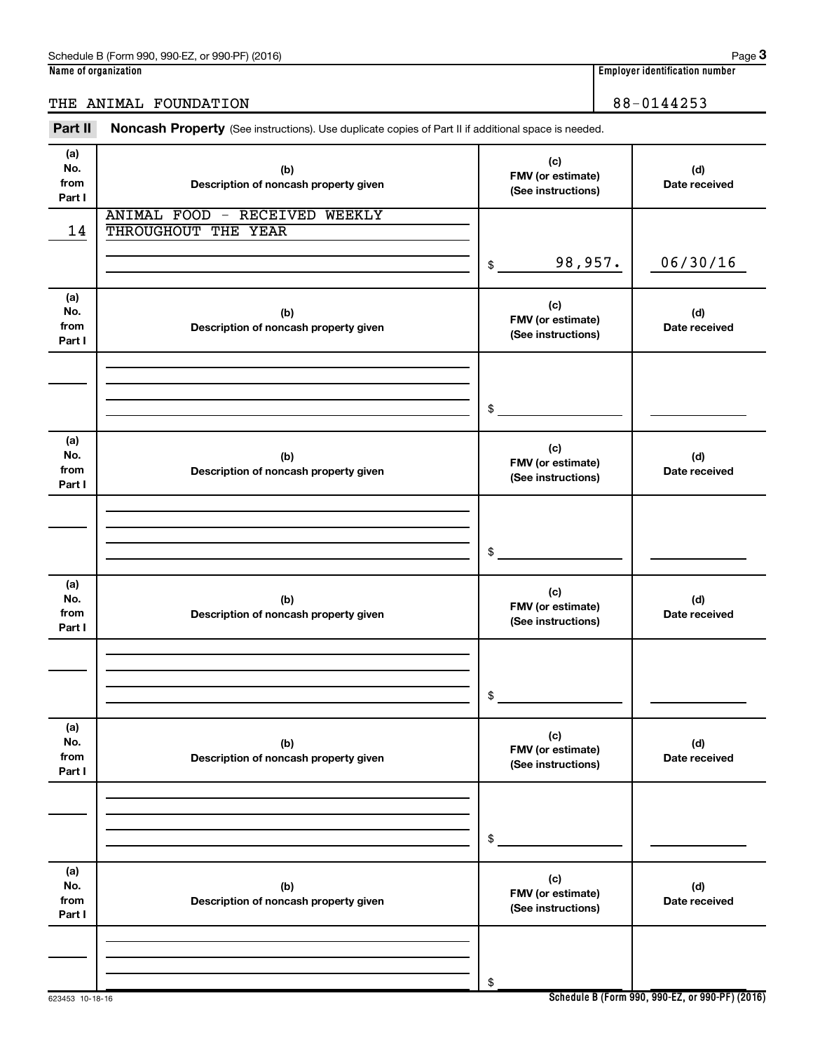### THE ANIMAL FOUNDATION 88-0144253

Part II Noncash Property (See instructions). Use duplicate copies of Part II if additional space is needed.

| (a)<br>No.<br>from<br>Part I | (b)<br>Description of noncash property given         | (c)<br>FMV (or estimate)<br>(See instructions) | (d)<br>Date received |
|------------------------------|------------------------------------------------------|------------------------------------------------|----------------------|
| 14                           | ANIMAL FOOD - RECEIVED WEEKLY<br>THROUGHOUT THE YEAR |                                                |                      |
|                              |                                                      | 98,957.<br>\$                                  | 06/30/16             |
| (a)<br>No.<br>from<br>Part I | (b)<br>Description of noncash property given         | (c)<br>FMV (or estimate)<br>(See instructions) | (d)<br>Date received |
|                              |                                                      | \$                                             |                      |
| (a)<br>No.<br>from<br>Part I | (b)<br>Description of noncash property given         | (c)<br>FMV (or estimate)<br>(See instructions) | (d)<br>Date received |
|                              |                                                      | \$                                             |                      |
| (a)<br>No.<br>from<br>Part I | (b)<br>Description of noncash property given         | (c)<br>FMV (or estimate)<br>(See instructions) | (d)<br>Date received |
|                              |                                                      | \$                                             |                      |
| (a)<br>No.<br>from<br>Part I | (b)<br>Description of noncash property given         | (c)<br>FMV (or estimate)<br>(See instructions) | (d)<br>Date received |
|                              |                                                      | \$                                             |                      |
| (a)<br>No.<br>from<br>Part I | (b)<br>Description of noncash property given         | (c)<br>FMV (or estimate)<br>(See instructions) | (d)<br>Date received |
|                              |                                                      | \$                                             |                      |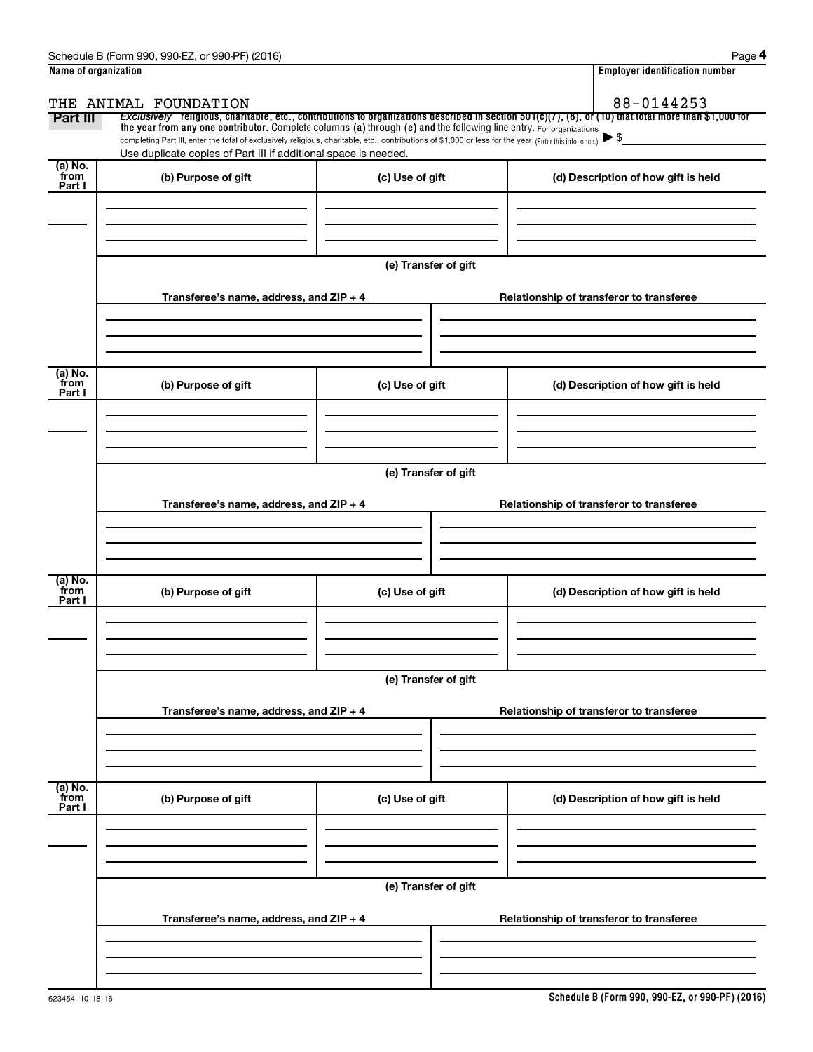| Name of organization |                                                                                                                                                          | <b>Employer identification number</b> |                                                                                                                                                       |  |  |
|----------------------|----------------------------------------------------------------------------------------------------------------------------------------------------------|---------------------------------------|-------------------------------------------------------------------------------------------------------------------------------------------------------|--|--|
|                      | THE ANIMAL FOUNDATION                                                                                                                                    |                                       | 88-0144253                                                                                                                                            |  |  |
| Part III             | the year from any one contributor. Complete columns (a) through (e) and the following line entry. For organizations                                      |                                       | Exclusively religious, charitable, etc., contributions to organizations described in section 501(c)(7), (8), or (10) that total more than \$1,000 for |  |  |
|                      | completing Part III, enter the total of exclusively religious, charitable, etc., contributions of \$1,000 or less for the year. (Enter this info. once.) |                                       | $\blacktriangleright$ \$                                                                                                                              |  |  |
| (a) No.              | Use duplicate copies of Part III if additional space is needed.                                                                                          |                                       |                                                                                                                                                       |  |  |
| from<br>Part I       | (b) Purpose of gift                                                                                                                                      | (c) Use of gift                       | (d) Description of how gift is held                                                                                                                   |  |  |
|                      |                                                                                                                                                          |                                       |                                                                                                                                                       |  |  |
|                      |                                                                                                                                                          |                                       |                                                                                                                                                       |  |  |
|                      |                                                                                                                                                          |                                       |                                                                                                                                                       |  |  |
|                      |                                                                                                                                                          |                                       |                                                                                                                                                       |  |  |
|                      |                                                                                                                                                          | (e) Transfer of gift                  |                                                                                                                                                       |  |  |
|                      | Transferee's name, address, and $ZIP + 4$                                                                                                                |                                       | Relationship of transferor to transferee                                                                                                              |  |  |
|                      |                                                                                                                                                          |                                       |                                                                                                                                                       |  |  |
|                      |                                                                                                                                                          |                                       |                                                                                                                                                       |  |  |
|                      |                                                                                                                                                          |                                       |                                                                                                                                                       |  |  |
| (a) No.              |                                                                                                                                                          |                                       |                                                                                                                                                       |  |  |
| from<br>Part I       | (b) Purpose of gift                                                                                                                                      | (c) Use of gift                       | (d) Description of how gift is held                                                                                                                   |  |  |
|                      |                                                                                                                                                          |                                       |                                                                                                                                                       |  |  |
|                      |                                                                                                                                                          |                                       |                                                                                                                                                       |  |  |
|                      |                                                                                                                                                          |                                       |                                                                                                                                                       |  |  |
|                      |                                                                                                                                                          |                                       |                                                                                                                                                       |  |  |
|                      | (e) Transfer of gift                                                                                                                                     |                                       |                                                                                                                                                       |  |  |
|                      | Transferee's name, address, and ZIP + 4                                                                                                                  |                                       | Relationship of transferor to transferee                                                                                                              |  |  |
|                      |                                                                                                                                                          |                                       |                                                                                                                                                       |  |  |
|                      |                                                                                                                                                          |                                       |                                                                                                                                                       |  |  |
|                      |                                                                                                                                                          |                                       |                                                                                                                                                       |  |  |
| (a) No.<br>from      |                                                                                                                                                          |                                       |                                                                                                                                                       |  |  |
| Part I               | (b) Purpose of gift                                                                                                                                      | (c) Use of gift                       | (d) Description of how gift is held                                                                                                                   |  |  |
|                      |                                                                                                                                                          |                                       |                                                                                                                                                       |  |  |
|                      |                                                                                                                                                          |                                       |                                                                                                                                                       |  |  |
|                      |                                                                                                                                                          |                                       |                                                                                                                                                       |  |  |
|                      | (e) Transfer of gift                                                                                                                                     |                                       |                                                                                                                                                       |  |  |
|                      |                                                                                                                                                          |                                       |                                                                                                                                                       |  |  |
|                      | Transferee's name, address, and ZIP + 4                                                                                                                  |                                       | Relationship of transferor to transferee                                                                                                              |  |  |
|                      |                                                                                                                                                          |                                       |                                                                                                                                                       |  |  |
|                      |                                                                                                                                                          |                                       |                                                                                                                                                       |  |  |
|                      |                                                                                                                                                          |                                       |                                                                                                                                                       |  |  |
| (a) No.<br>from      | (b) Purpose of gift                                                                                                                                      | (c) Use of gift                       | (d) Description of how gift is held                                                                                                                   |  |  |
| Part I               |                                                                                                                                                          |                                       |                                                                                                                                                       |  |  |
|                      |                                                                                                                                                          |                                       |                                                                                                                                                       |  |  |
|                      |                                                                                                                                                          |                                       |                                                                                                                                                       |  |  |
|                      |                                                                                                                                                          |                                       |                                                                                                                                                       |  |  |
|                      |                                                                                                                                                          | (e) Transfer of gift                  |                                                                                                                                                       |  |  |
|                      | Transferee's name, address, and ZIP + 4                                                                                                                  |                                       | Relationship of transferor to transferee                                                                                                              |  |  |
|                      |                                                                                                                                                          |                                       |                                                                                                                                                       |  |  |
|                      |                                                                                                                                                          |                                       |                                                                                                                                                       |  |  |
|                      |                                                                                                                                                          |                                       |                                                                                                                                                       |  |  |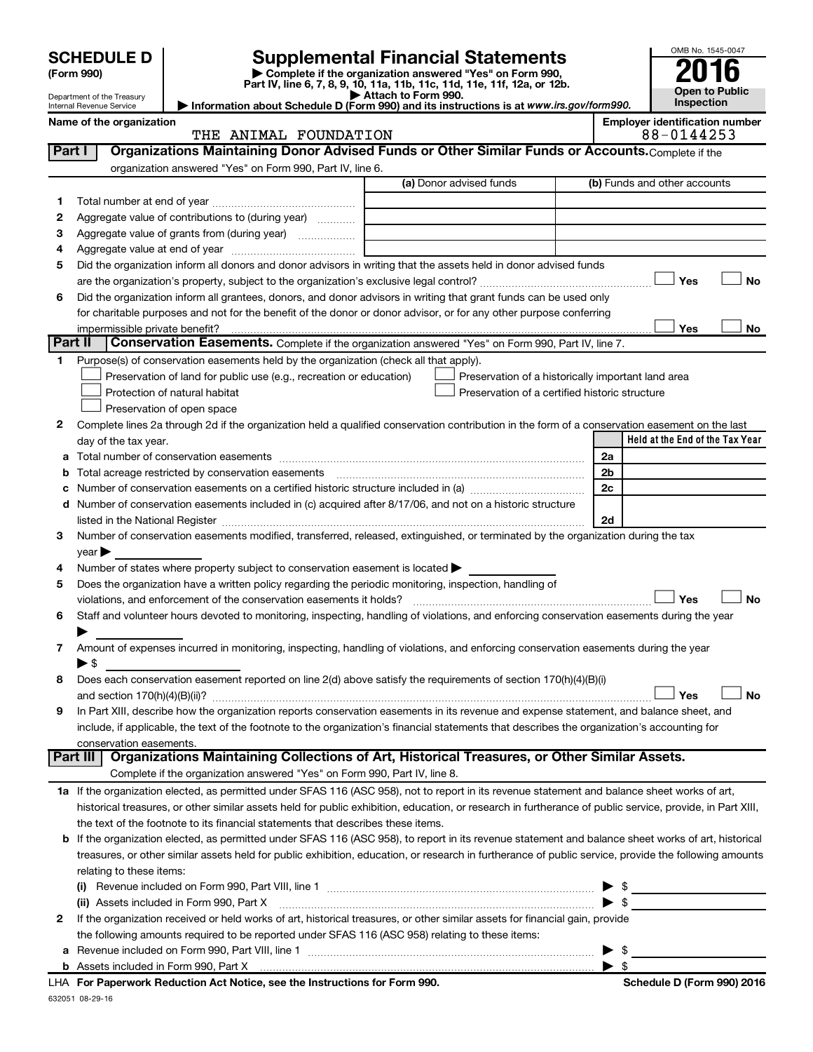|         | <b>SCHEDULE D</b>                                      |                                                                                                        | <b>Supplemental Financial Statements</b>                                                                                                                   |                         | OMB No. 1545-0047                     |
|---------|--------------------------------------------------------|--------------------------------------------------------------------------------------------------------|------------------------------------------------------------------------------------------------------------------------------------------------------------|-------------------------|---------------------------------------|
|         | (Form 990)                                             |                                                                                                        | Complete if the organization answered "Yes" on Form 990,                                                                                                   |                         |                                       |
|         |                                                        |                                                                                                        | Part IV, line 6, 7, 8, 9, 10, 11a, 11b, 11c, 11d, 11e, 11f, 12a, or 12b.                                                                                   |                         | Open to Public                        |
|         | Department of the Treasury<br>Internal Revenue Service |                                                                                                        | Attach to Form 990.<br>Information about Schedule D (Form 990) and its instructions is at www.irs.gov/form990.                                             |                         | <b>Inspection</b>                     |
|         | Name of the organization                               |                                                                                                        |                                                                                                                                                            |                         | <b>Employer identification number</b> |
|         |                                                        | THE ANIMAL FOUNDATION                                                                                  |                                                                                                                                                            |                         | 88-0144253                            |
| Part I  |                                                        |                                                                                                        | Organizations Maintaining Donor Advised Funds or Other Similar Funds or Accounts. Complete if the                                                          |                         |                                       |
|         |                                                        | organization answered "Yes" on Form 990, Part IV, line 6.                                              | (a) Donor advised funds                                                                                                                                    |                         | (b) Funds and other accounts          |
|         |                                                        |                                                                                                        |                                                                                                                                                            |                         |                                       |
| 1       |                                                        |                                                                                                        |                                                                                                                                                            |                         |                                       |
| 2       |                                                        | Aggregate value of contributions to (during year)                                                      |                                                                                                                                                            |                         |                                       |
| З<br>4  |                                                        |                                                                                                        |                                                                                                                                                            |                         |                                       |
| 5       |                                                        |                                                                                                        | Did the organization inform all donors and donor advisors in writing that the assets held in donor advised funds                                           |                         |                                       |
|         |                                                        |                                                                                                        |                                                                                                                                                            |                         | <b>No</b><br>Yes                      |
| 6       |                                                        |                                                                                                        | Did the organization inform all grantees, donors, and donor advisors in writing that grant funds can be used only                                          |                         |                                       |
|         |                                                        |                                                                                                        | for charitable purposes and not for the benefit of the donor or donor advisor, or for any other purpose conferring                                         |                         |                                       |
|         | impermissible private benefit?                         |                                                                                                        |                                                                                                                                                            |                         | No<br>Yes                             |
| Part II |                                                        |                                                                                                        | Conservation Easements. Complete if the organization answered "Yes" on Form 990, Part IV, line 7.                                                          |                         |                                       |
| 1       |                                                        | Purpose(s) of conservation easements held by the organization (check all that apply).                  |                                                                                                                                                            |                         |                                       |
|         |                                                        | Preservation of land for public use (e.g., recreation or education)                                    | Preservation of a historically important land area                                                                                                         |                         |                                       |
|         |                                                        | Protection of natural habitat                                                                          | Preservation of a certified historic structure                                                                                                             |                         |                                       |
|         |                                                        | Preservation of open space                                                                             |                                                                                                                                                            |                         |                                       |
| 2       |                                                        |                                                                                                        | Complete lines 2a through 2d if the organization held a qualified conservation contribution in the form of a conservation easement on the last             |                         |                                       |
|         | day of the tax year.                                   |                                                                                                        |                                                                                                                                                            |                         | Held at the End of the Tax Year       |
| а       |                                                        |                                                                                                        |                                                                                                                                                            | 2a                      |                                       |
| b       |                                                        |                                                                                                        |                                                                                                                                                            | 2 <sub>b</sub>          |                                       |
| с       |                                                        |                                                                                                        | Number of conservation easements on a certified historic structure included in (a) manufacture included in (a)                                             | 2c                      |                                       |
| d       |                                                        |                                                                                                        | Number of conservation easements included in (c) acquired after 8/17/06, and not on a historic structure                                                   |                         |                                       |
|         |                                                        |                                                                                                        |                                                                                                                                                            | 2d                      |                                       |
| 3       |                                                        |                                                                                                        | Number of conservation easements modified, transferred, released, extinguished, or terminated by the organization during the tax                           |                         |                                       |
| 4       | $\vee$ ear $\blacktriangleright$                       | Number of states where property subject to conservation easement is located $\blacktriangleright$      |                                                                                                                                                            |                         |                                       |
| 5       |                                                        | Does the organization have a written policy regarding the periodic monitoring, inspection, handling of |                                                                                                                                                            |                         |                                       |
|         |                                                        | violations, and enforcement of the conservation easements it holds?                                    |                                                                                                                                                            |                         | <b>No</b><br>Yes                      |
| 6       |                                                        |                                                                                                        | Staff and volunteer hours devoted to monitoring, inspecting, handling of violations, and enforcing conservation easements during the year                  |                         |                                       |
|         |                                                        |                                                                                                        |                                                                                                                                                            |                         |                                       |
| 7       |                                                        |                                                                                                        | Amount of expenses incurred in monitoring, inspecting, handling of violations, and enforcing conservation easements during the year                        |                         |                                       |
|         | $\blacktriangleright$ \$                               |                                                                                                        |                                                                                                                                                            |                         |                                       |
| 8       |                                                        |                                                                                                        | Does each conservation easement reported on line 2(d) above satisfy the requirements of section 170(h)(4)(B)(i)                                            |                         |                                       |
|         |                                                        |                                                                                                        |                                                                                                                                                            |                         | Yes<br>No                             |
| 9       |                                                        |                                                                                                        | In Part XIII, describe how the organization reports conservation easements in its revenue and expense statement, and balance sheet, and                    |                         |                                       |
|         |                                                        |                                                                                                        | include, if applicable, the text of the footnote to the organization's financial statements that describes the organization's accounting for               |                         |                                       |
|         | conservation easements.                                |                                                                                                        |                                                                                                                                                            |                         |                                       |
|         | Part III                                               |                                                                                                        | Organizations Maintaining Collections of Art, Historical Treasures, or Other Similar Assets.                                                               |                         |                                       |
|         |                                                        | Complete if the organization answered "Yes" on Form 990, Part IV, line 8.                              |                                                                                                                                                            |                         |                                       |
|         |                                                        |                                                                                                        | 1a If the organization elected, as permitted under SFAS 116 (ASC 958), not to report in its revenue statement and balance sheet works of art,              |                         |                                       |
|         |                                                        |                                                                                                        | historical treasures, or other similar assets held for public exhibition, education, or research in furtherance of public service, provide, in Part XIII,  |                         |                                       |
|         |                                                        | the text of the footnote to its financial statements that describes these items.                       |                                                                                                                                                            |                         |                                       |
|         |                                                        |                                                                                                        | <b>b</b> If the organization elected, as permitted under SFAS 116 (ASC 958), to report in its revenue statement and balance sheet works of art, historical |                         |                                       |
|         |                                                        |                                                                                                        | treasures, or other similar assets held for public exhibition, education, or research in furtherance of public service, provide the following amounts      |                         |                                       |
|         | relating to these items:                               |                                                                                                        |                                                                                                                                                            | -\$                     |                                       |
|         |                                                        | (ii) Assets included in Form 990, Part X                                                               |                                                                                                                                                            | $\blacktriangleright$ s |                                       |
| 2       |                                                        |                                                                                                        | If the organization received or held works of art, historical treasures, or other similar assets for financial gain, provide                               |                         |                                       |
|         |                                                        | the following amounts required to be reported under SFAS 116 (ASC 958) relating to these items:        |                                                                                                                                                            |                         |                                       |
| а       |                                                        |                                                                                                        |                                                                                                                                                            | -\$<br>▸                |                                       |
|         |                                                        |                                                                                                        |                                                                                                                                                            |                         |                                       |

632051 08-29-16 **For Paperwork Reduction Act Notice, see the Instructions for Form 990. Schedule D (Form 990) 2016** LHA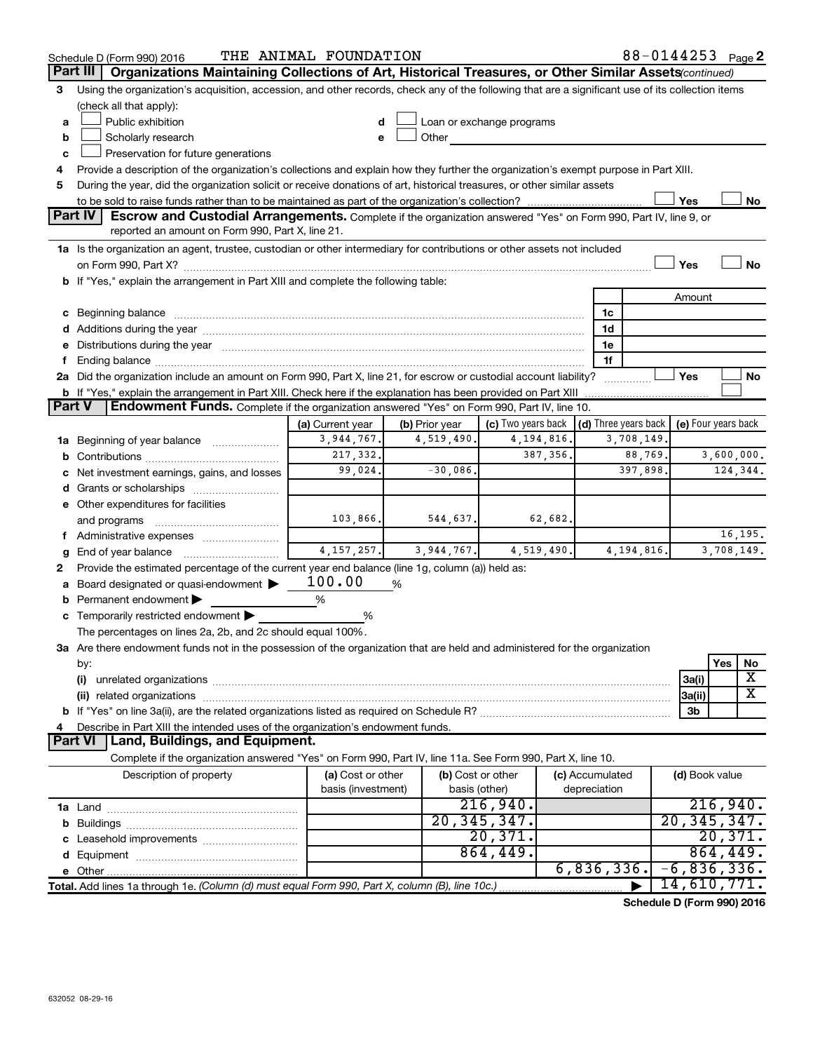|               | Schedule D (Form 990) 2016                                                                                                                                                                                                     | THE ANIMAL FOUNDATION                   |                |                                    |                                 |         | 88-0144253 Page 2   |           |            |
|---------------|--------------------------------------------------------------------------------------------------------------------------------------------------------------------------------------------------------------------------------|-----------------------------------------|----------------|------------------------------------|---------------------------------|---------|---------------------|-----------|------------|
|               | Part III<br>Organizations Maintaining Collections of Art, Historical Treasures, or Other Similar Assets (continued)                                                                                                            |                                         |                |                                    |                                 |         |                     |           |            |
| 3             | Using the organization's acquisition, accession, and other records, check any of the following that are a significant use of its collection items                                                                              |                                         |                |                                    |                                 |         |                     |           |            |
|               | (check all that apply):                                                                                                                                                                                                        |                                         |                |                                    |                                 |         |                     |           |            |
| a             | Public exhibition                                                                                                                                                                                                              | d                                       |                | Loan or exchange programs          |                                 |         |                     |           |            |
| b             | Scholarly research                                                                                                                                                                                                             | e                                       | Other          |                                    |                                 |         |                     |           |            |
| c             | Preservation for future generations                                                                                                                                                                                            |                                         |                |                                    |                                 |         |                     |           |            |
|               | Provide a description of the organization's collections and explain how they further the organization's exempt purpose in Part XIII.                                                                                           |                                         |                |                                    |                                 |         |                     |           |            |
| 5             | During the year, did the organization solicit or receive donations of art, historical treasures, or other similar assets                                                                                                       |                                         |                |                                    |                                 |         |                     |           |            |
|               |                                                                                                                                                                                                                                |                                         |                |                                    |                                 |         | Yes                 |           | No         |
|               | <b>Part IV</b><br>Escrow and Custodial Arrangements. Complete if the organization answered "Yes" on Form 990, Part IV, line 9, or                                                                                              |                                         |                |                                    |                                 |         |                     |           |            |
|               | reported an amount on Form 990, Part X, line 21.                                                                                                                                                                               |                                         |                |                                    |                                 |         |                     |           |            |
|               | 1a Is the organization an agent, trustee, custodian or other intermediary for contributions or other assets not included                                                                                                       |                                         |                |                                    |                                 |         |                     |           |            |
|               |                                                                                                                                                                                                                                |                                         |                |                                    |                                 |         | Yes                 |           | <b>No</b>  |
|               | b If "Yes," explain the arrangement in Part XIII and complete the following table:                                                                                                                                             |                                         |                |                                    |                                 |         |                     |           |            |
|               |                                                                                                                                                                                                                                |                                         |                |                                    |                                 |         | Amount              |           |            |
|               | c Beginning balance                                                                                                                                                                                                            |                                         |                |                                    | 1c                              |         |                     |           |            |
|               |                                                                                                                                                                                                                                |                                         |                |                                    | 1d                              |         |                     |           |            |
|               | Distributions during the year manufactured and an according to the state of the state of the state of the state of the state of the state of the state of the state of the state of the state of the state of the state of the |                                         |                |                                    | 1e                              |         |                     |           |            |
|               |                                                                                                                                                                                                                                |                                         |                |                                    | 1f                              |         |                     |           |            |
|               | 2a Did the organization include an amount on Form 990, Part X, line 21, for escrow or custodial account liability?                                                                                                             |                                         |                |                                    |                                 |         | Yes                 |           | No         |
| <b>Part V</b> | <b>b</b> If "Yes," explain the arrangement in Part XIII. Check here if the explanation has been provided on Part XIII<br>Endowment Funds. Complete if the organization answered "Yes" on Form 990, Part IV, line 10.           |                                         |                |                                    |                                 |         |                     |           |            |
|               |                                                                                                                                                                                                                                |                                         |                |                                    |                                 |         |                     |           |            |
|               |                                                                                                                                                                                                                                | (a) Current year<br>3,944,767.          | (b) Prior year | (c) Two years back<br>4, 194, 816. | $\vert$ (d) Three years back    |         | (e) Four years back |           |            |
|               | 1a Beginning of year balance                                                                                                                                                                                                   | 217,332.                                | 4,519,490.     | 387, 356.                          | 3,708,149.                      | 88,769. | 3,600,000.          |           |            |
| b             |                                                                                                                                                                                                                                | 99,024.                                 | $-30,086$ .    |                                    |                                 | 397,898 | 124,344.            |           |            |
|               | Net investment earnings, gains, and losses                                                                                                                                                                                     |                                         |                |                                    |                                 |         |                     |           |            |
|               | e Other expenditures for facilities                                                                                                                                                                                            |                                         |                |                                    |                                 |         |                     |           |            |
|               |                                                                                                                                                                                                                                | 103,866.                                | 544,637.       | 62,682.                            |                                 |         |                     |           |            |
|               | and programs                                                                                                                                                                                                                   |                                         |                |                                    |                                 |         |                     |           | 16,195.    |
|               | End of year balance                                                                                                                                                                                                            | 4, 157, 257.                            | 3,944,767.     | 4,519,490.                         | 4, 194, 816.                    |         |                     |           | 3,708,149. |
| 2             | Provide the estimated percentage of the current year end balance (line 1g, column (a)) held as:                                                                                                                                |                                         |                |                                    |                                 |         |                     |           |            |
|               | Board designated or quasi-endowment                                                                                                                                                                                            | 100.00                                  | %              |                                    |                                 |         |                     |           |            |
|               | Permanent endowment                                                                                                                                                                                                            | %                                       |                |                                    |                                 |         |                     |           |            |
|               | c Temporarily restricted endowment $\blacktriangleright$                                                                                                                                                                       | %                                       |                |                                    |                                 |         |                     |           |            |
|               | The percentages on lines 2a, 2b, and 2c should equal 100%.                                                                                                                                                                     |                                         |                |                                    |                                 |         |                     |           |            |
|               | 3a Are there endowment funds not in the possession of the organization that are held and administered for the organization                                                                                                     |                                         |                |                                    |                                 |         |                     |           |            |
|               | by:                                                                                                                                                                                                                            |                                         |                |                                    |                                 |         |                     | Yes       | No         |
|               | (i)                                                                                                                                                                                                                            |                                         |                |                                    |                                 |         | 3a(i)               |           | X          |
|               |                                                                                                                                                                                                                                |                                         |                |                                    |                                 |         | 3a(ii)              |           | х          |
|               |                                                                                                                                                                                                                                |                                         |                |                                    |                                 |         | 3b                  |           |            |
|               | Describe in Part XIII the intended uses of the organization's endowment funds.                                                                                                                                                 |                                         |                |                                    |                                 |         |                     |           |            |
|               | Land, Buildings, and Equipment.<br><b>Part VI</b>                                                                                                                                                                              |                                         |                |                                    |                                 |         |                     |           |            |
|               | Complete if the organization answered "Yes" on Form 990, Part IV, line 11a. See Form 990, Part X, line 10.                                                                                                                     |                                         |                |                                    |                                 |         |                     |           |            |
|               | Description of property                                                                                                                                                                                                        | (a) Cost or other<br>basis (investment) |                | (b) Cost or other<br>basis (other) | (c) Accumulated<br>depreciation |         | (d) Book value      |           |            |
|               |                                                                                                                                                                                                                                |                                         |                | 216,940.                           |                                 |         |                     |           | 216,940.   |
|               |                                                                                                                                                                                                                                |                                         |                | 20, 345, 347.                      |                                 |         | 20, 345, 347.       |           |            |
|               |                                                                                                                                                                                                                                |                                         |                | 20,371.                            |                                 |         |                     |           | 20,371.    |
|               |                                                                                                                                                                                                                                |                                         |                | 864,449.                           |                                 |         |                     | 864, 449. |            |
|               |                                                                                                                                                                                                                                |                                         |                |                                    | 6,836,336.                      |         | $-6,836,336.$       |           |            |
|               | Total. Add lines 1a through 1e. (Column (d) must equal Form 990, Part X, column (B), line 10c.)                                                                                                                                |                                         |                |                                    |                                 |         | 14,610,771.         |           |            |
|               |                                                                                                                                                                                                                                |                                         |                |                                    |                                 |         |                     |           |            |

**Schedule D (Form 990) 2016**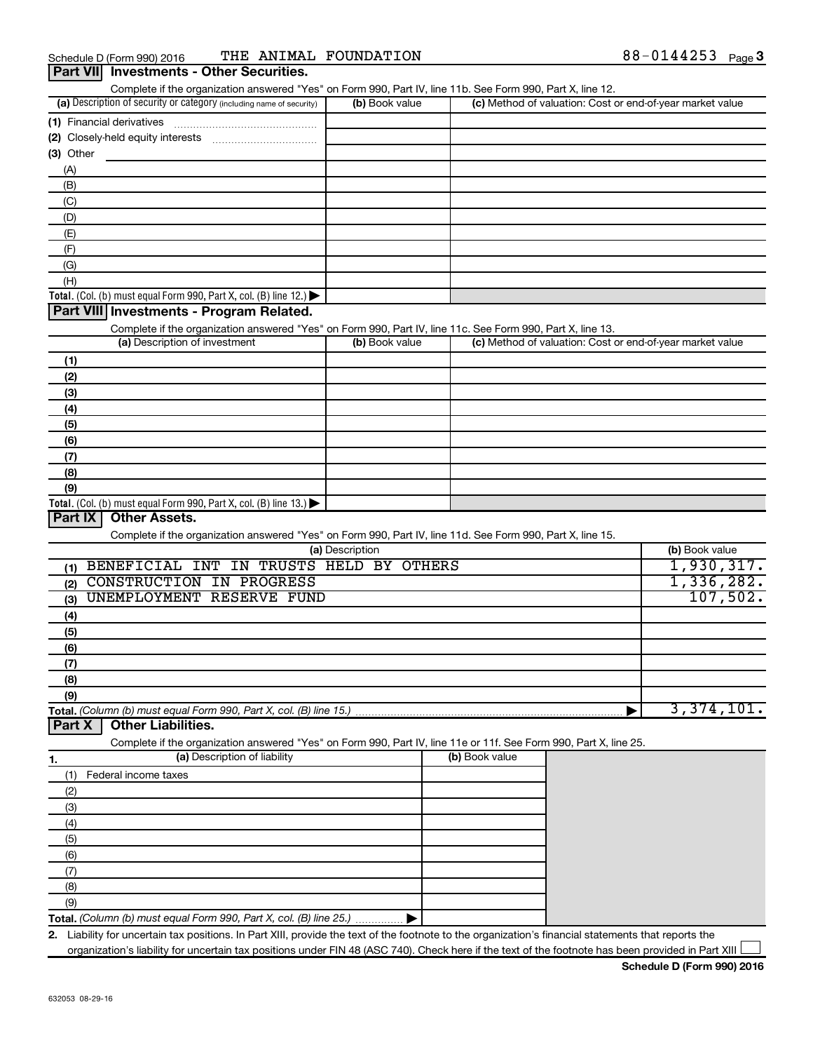| (a) Description of security or category (including name of security)                                                                                                                                                                           | (b) Book value  |                |                                                           | (c) Method of valuation: Cost or end-of-year market value |
|------------------------------------------------------------------------------------------------------------------------------------------------------------------------------------------------------------------------------------------------|-----------------|----------------|-----------------------------------------------------------|-----------------------------------------------------------|
|                                                                                                                                                                                                                                                |                 |                |                                                           |                                                           |
|                                                                                                                                                                                                                                                |                 |                |                                                           |                                                           |
| (3) Other                                                                                                                                                                                                                                      |                 |                |                                                           |                                                           |
| (A)                                                                                                                                                                                                                                            |                 |                |                                                           |                                                           |
| (B)                                                                                                                                                                                                                                            |                 |                |                                                           |                                                           |
| (C)                                                                                                                                                                                                                                            |                 |                |                                                           |                                                           |
| (D)                                                                                                                                                                                                                                            |                 |                |                                                           |                                                           |
| (E)                                                                                                                                                                                                                                            |                 |                |                                                           |                                                           |
| (F)                                                                                                                                                                                                                                            |                 |                |                                                           |                                                           |
|                                                                                                                                                                                                                                                |                 |                |                                                           |                                                           |
| (G)                                                                                                                                                                                                                                            |                 |                |                                                           |                                                           |
| (H)                                                                                                                                                                                                                                            |                 |                |                                                           |                                                           |
| Total. (Col. (b) must equal Form 990, Part X, col. (B) line $12$ .)                                                                                                                                                                            |                 |                |                                                           |                                                           |
| Part VIII Investments - Program Related.                                                                                                                                                                                                       |                 |                |                                                           |                                                           |
| Complete if the organization answered "Yes" on Form 990, Part IV, line 11c. See Form 990, Part X, line 13.                                                                                                                                     |                 |                |                                                           |                                                           |
| (a) Description of investment                                                                                                                                                                                                                  | (b) Book value  |                | (c) Method of valuation: Cost or end-of-year market value |                                                           |
| (1)                                                                                                                                                                                                                                            |                 |                |                                                           |                                                           |
| (2)                                                                                                                                                                                                                                            |                 |                |                                                           |                                                           |
| (3)                                                                                                                                                                                                                                            |                 |                |                                                           |                                                           |
| (4)                                                                                                                                                                                                                                            |                 |                |                                                           |                                                           |
| (5)                                                                                                                                                                                                                                            |                 |                |                                                           |                                                           |
| (6)                                                                                                                                                                                                                                            |                 |                |                                                           |                                                           |
| (7)                                                                                                                                                                                                                                            |                 |                |                                                           |                                                           |
|                                                                                                                                                                                                                                                |                 |                |                                                           |                                                           |
|                                                                                                                                                                                                                                                |                 |                |                                                           |                                                           |
| (8)                                                                                                                                                                                                                                            |                 |                |                                                           |                                                           |
| (9)<br>Total. (Col. (b) must equal Form 990, Part X, col. (B) line 13.) $\blacktriangleright$<br>Part IX<br><b>Other Assets.</b><br>Complete if the organization answered "Yes" on Form 990, Part IV, line 11d. See Form 990, Part X, line 15. |                 |                |                                                           |                                                           |
| BENEFICIAL INT IN TRUSTS HELD BY OTHERS<br>(1)                                                                                                                                                                                                 | (a) Description |                |                                                           | (b) Book value<br>1,930,317.                              |
| CONSTRUCTION IN PROGRESS<br>(2)                                                                                                                                                                                                                |                 |                |                                                           | 1,336,282.                                                |
| UNEMPLOYMENT RESERVE FUND<br>(3)                                                                                                                                                                                                               |                 |                |                                                           |                                                           |
| (4)                                                                                                                                                                                                                                            |                 |                |                                                           |                                                           |
| (5)                                                                                                                                                                                                                                            |                 |                |                                                           |                                                           |
|                                                                                                                                                                                                                                                |                 |                |                                                           |                                                           |
| (6)                                                                                                                                                                                                                                            |                 |                |                                                           |                                                           |
| (7)                                                                                                                                                                                                                                            |                 |                |                                                           |                                                           |
| (8)                                                                                                                                                                                                                                            |                 |                |                                                           | 107,502.                                                  |
| (9)<br>Total. (Column (b) must equal Form 990, Part X, col. (B) line 15.)<br><b>Other Liabilities.</b><br>Part X                                                                                                                               |                 |                |                                                           | 3,374,101.                                                |
| Complete if the organization answered "Yes" on Form 990, Part IV, line 11e or 11f. See Form 990, Part X, line 25.                                                                                                                              |                 |                |                                                           |                                                           |
| (a) Description of liability                                                                                                                                                                                                                   |                 | (b) Book value |                                                           |                                                           |
| Federal income taxes<br>(1)                                                                                                                                                                                                                    |                 |                |                                                           |                                                           |
|                                                                                                                                                                                                                                                |                 |                |                                                           |                                                           |
| (2)                                                                                                                                                                                                                                            |                 |                |                                                           |                                                           |
| (3)                                                                                                                                                                                                                                            |                 |                |                                                           |                                                           |
| (4)                                                                                                                                                                                                                                            |                 |                |                                                           |                                                           |
| (5)                                                                                                                                                                                                                                            |                 |                |                                                           |                                                           |
| (6)                                                                                                                                                                                                                                            |                 |                |                                                           |                                                           |
| (7)                                                                                                                                                                                                                                            |                 |                |                                                           |                                                           |
| 1.<br>(8)                                                                                                                                                                                                                                      |                 |                |                                                           |                                                           |
| (9)                                                                                                                                                                                                                                            |                 |                |                                                           |                                                           |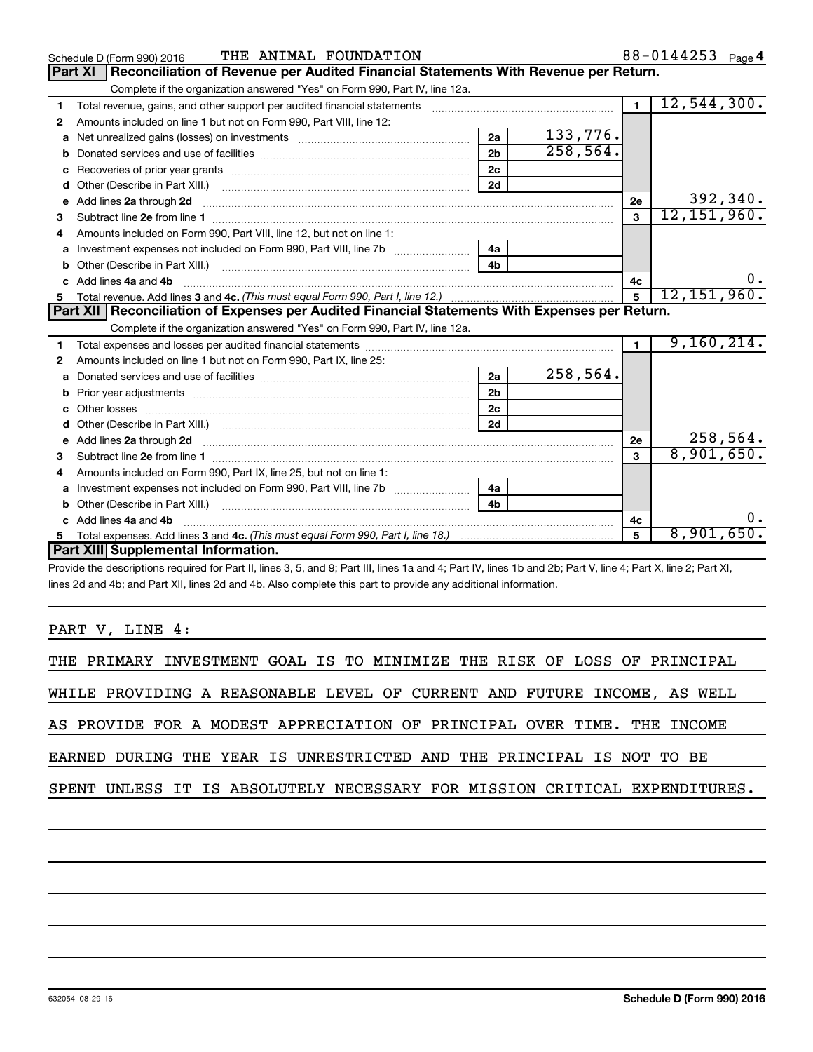|              | THE ANIMAL FOUNDATION<br>Schedule D (Form 990) 2016                                                                                                                                                                                 |                |          |                | 88-0144253 Page 4 |
|--------------|-------------------------------------------------------------------------------------------------------------------------------------------------------------------------------------------------------------------------------------|----------------|----------|----------------|-------------------|
|              | Reconciliation of Revenue per Audited Financial Statements With Revenue per Return.<br><b>Part XI</b>                                                                                                                               |                |          |                |                   |
|              | Complete if the organization answered "Yes" on Form 990, Part IV, line 12a.                                                                                                                                                         |                |          |                |                   |
| 1            | Total revenue, gains, and other support per audited financial statements [[[[[[[[[[[[[[[[[[[[[[[[]]]]]]]]]]]]                                                                                                                       |                |          | $\blacksquare$ | 12,544,300.       |
| $\mathbf{2}$ | Amounts included on line 1 but not on Form 990, Part VIII, line 12:                                                                                                                                                                 |                |          |                |                   |
| a            |                                                                                                                                                                                                                                     | 2a             | 133,776. |                |                   |
| b            |                                                                                                                                                                                                                                     | 2 <sub>h</sub> | 258,564. |                |                   |
| с            |                                                                                                                                                                                                                                     | 2c             |          |                |                   |
| d            |                                                                                                                                                                                                                                     | 2d             |          |                |                   |
| e            | Add lines 2a through 2d                                                                                                                                                                                                             |                |          | 2e             | 392,340.          |
| з            |                                                                                                                                                                                                                                     |                |          | 3              | 12, 151, 960.     |
|              | Amounts included on Form 990, Part VIII, line 12, but not on line 1:                                                                                                                                                                |                |          |                |                   |
| a            |                                                                                                                                                                                                                                     | 4a             |          |                |                   |
| b            |                                                                                                                                                                                                                                     | 4 <sub>b</sub> |          |                |                   |
|              | Add lines 4a and 4b                                                                                                                                                                                                                 |                |          | 4c             |                   |
| 5.           |                                                                                                                                                                                                                                     |                |          | 5              | 12, 151, 960.     |
|              | Part XII   Reconciliation of Expenses per Audited Financial Statements With Expenses per Return.                                                                                                                                    |                |          |                |                   |
|              | Complete if the organization answered "Yes" on Form 990, Part IV, line 12a.                                                                                                                                                         |                |          |                |                   |
| 1            |                                                                                                                                                                                                                                     |                |          | $\blacksquare$ | 9,160,214.        |
| $\mathbf{2}$ | Amounts included on line 1 but not on Form 990, Part IX, line 25:                                                                                                                                                                   |                |          |                |                   |
| a            |                                                                                                                                                                                                                                     | 2a             | 258,564. |                |                   |
| b            |                                                                                                                                                                                                                                     | 2 <sub>b</sub> |          |                |                   |
| c            |                                                                                                                                                                                                                                     | 2c             |          |                |                   |
|              |                                                                                                                                                                                                                                     | 2d             |          |                |                   |
| е            | Add lines 2a through 2d <b>contained a contained a contained a contained a</b> contained a contained a contained a contained a contained a contained a contained a contained a contained a contained a contained a contained a cont |                |          | 2e             | 258,564.          |
| з            |                                                                                                                                                                                                                                     |                |          | $\mathbf{a}$   | 8,901,650.        |
| 4            | Amounts included on Form 990, Part IX, line 25, but not on line 1:                                                                                                                                                                  |                |          |                |                   |
| a            | Investment expenses not included on Form 990, Part VIII, line 7b                                                                                                                                                                    | 4a             |          |                |                   |
| b            |                                                                                                                                                                                                                                     | 4h.            |          |                |                   |
|              | Add lines 4a and 4b                                                                                                                                                                                                                 |                |          | 4с             |                   |
|              |                                                                                                                                                                                                                                     |                |          | 5              | 8,901,650.        |
|              | Part XIII Supplemental Information.                                                                                                                                                                                                 |                |          |                |                   |

Provide the descriptions required for Part II, lines 3, 5, and 9; Part III, lines 1a and 4; Part IV, lines 1b and 2b; Part V, line 4; Part X, line 2; Part XI, lines 2d and 4b; and Part XII, lines 2d and 4b. Also complete this part to provide any additional information.

PART V, LINE 4:

|  |  | THE PRIMARY INVESTMENT GOAL IS TO MINIMIZE THE RISK OF LOSS OF PRINCIPAL |  |  |  |  |  |                                                                            |
|--|--|--------------------------------------------------------------------------|--|--|--|--|--|----------------------------------------------------------------------------|
|  |  | WHILE PROVIDING A REASONABLE LEVEL OF CURRENT AND FUTURE INCOME, AS WELL |  |  |  |  |  |                                                                            |
|  |  | AS PROVIDE FOR A MODEST APPRECIATION OF PRINCIPAL OVER TIME. THE INCOME  |  |  |  |  |  |                                                                            |
|  |  | EARNED DURING THE YEAR IS UNRESTRICTED AND THE PRINCIPAL IS NOT TO BE    |  |  |  |  |  |                                                                            |
|  |  |                                                                          |  |  |  |  |  | SPENT UNLESS IT IS ABSOLUTELY NECESSARY FOR MISSION CRITICAL EXPENDITURES. |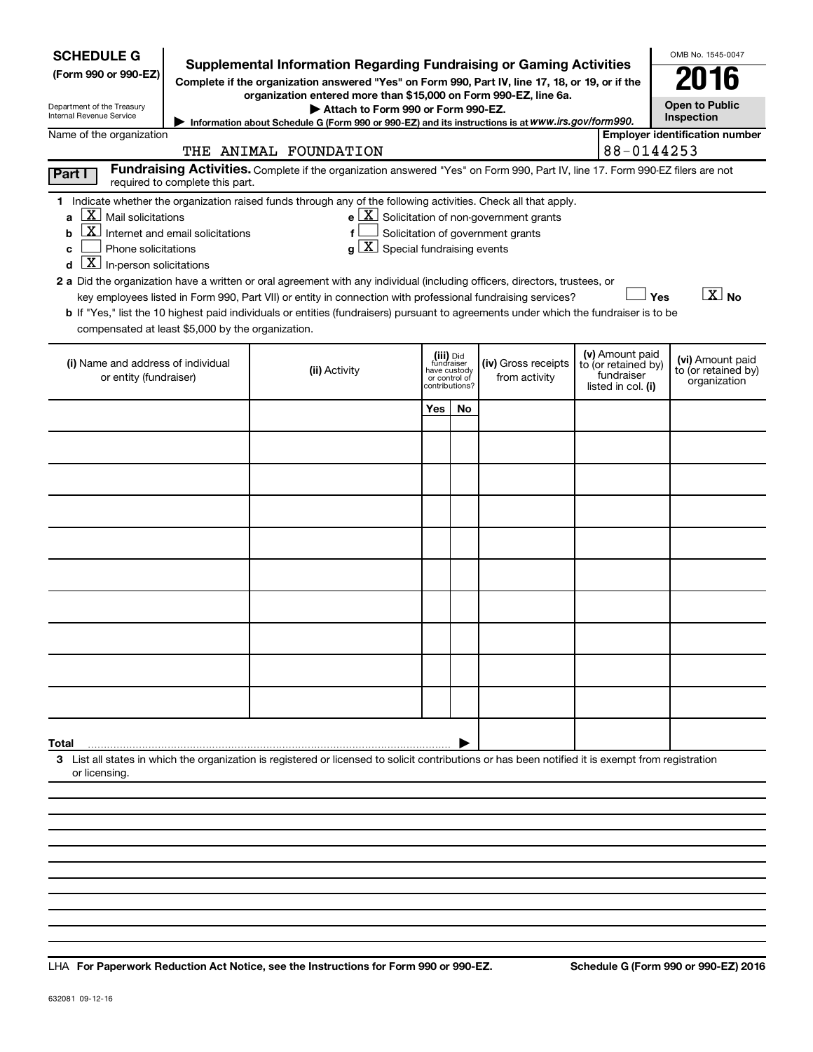| <b>SCHEDULE G</b><br>Supplemental Information Regarding Fundraising or Gaming Activities<br>(Form 990 or 990-EZ)<br>Complete if the organization answered "Yes" on Form 990, Part IV, line 17, 18, or 19, or if the<br>organization entered more than \$15,000 on Form 990-EZ, line 6a.<br>Department of the Treasury<br>Internal Revenue Service                                                                                                                                                                                                                                                                                                                                                   |                                                                                                                                                                                                                   | OMB No. 1545-0047<br><b>Open to Public</b><br>Inspection |    |                                                                                                   |                                                         |            |                                       |  |  |
|-----------------------------------------------------------------------------------------------------------------------------------------------------------------------------------------------------------------------------------------------------------------------------------------------------------------------------------------------------------------------------------------------------------------------------------------------------------------------------------------------------------------------------------------------------------------------------------------------------------------------------------------------------------------------------------------------------|-------------------------------------------------------------------------------------------------------------------------------------------------------------------------------------------------------------------|----------------------------------------------------------|----|---------------------------------------------------------------------------------------------------|---------------------------------------------------------|------------|---------------------------------------|--|--|
| Name of the organization                                                                                                                                                                                                                                                                                                                                                                                                                                                                                                                                                                                                                                                                            | Information about Schedule G (Form 990 or 990-EZ) and its instructions is at WWW.irs.gov/form990.<br>THE ANIMAL FOUNDATION                                                                                        |                                                          |    |                                                                                                   |                                                         | 88-0144253 | <b>Employer identification number</b> |  |  |
| Part I<br>required to complete this part.                                                                                                                                                                                                                                                                                                                                                                                                                                                                                                                                                                                                                                                           | Fundraising Activities. Complete if the organization answered "Yes" on Form 990, Part IV, line 17. Form 990-EZ filers are not                                                                                     |                                                          |    |                                                                                                   |                                                         |            |                                       |  |  |
| 1 Indicate whether the organization raised funds through any of the following activities. Check all that apply.<br>$X$ Mail solicitations<br>Internet and email solicitations<br>b<br>Phone solicitations<br>C<br>$\overline{X}$ In-person solicitations<br>2 a Did the organization have a written or oral agreement with any individual (including officers, directors, trustees, or<br>key employees listed in Form 990, Part VII) or entity in connection with professional fundraising services?<br>b If "Yes," list the 10 highest paid individuals or entities (fundraisers) pursuant to agreements under which the fundraiser is to be<br>compensated at least \$5,000 by the organization. | f<br>$g\left[\overline{X}\right]$ Special fundraising events                                                                                                                                                      |                                                          |    | $e$ $\boxed{\text{X}}$ Solicitation of non-government grants<br>Solicitation of government grants |                                                         |            | $\boxed{\text{X}}$ No<br>Yes          |  |  |
| (i) Name and address of individual<br>or entity (fundraiser)                                                                                                                                                                                                                                                                                                                                                                                                                                                                                                                                                                                                                                        | (v) Amount paid<br>(iii) Did<br>fundraiser<br>(iv) Gross receipts<br>to (or retained by)<br>(ii) Activity<br>have custody<br>fundraiser<br>from activity<br>or control of<br>?contributions<br>listed in col. (i) |                                                          |    |                                                                                                   | (vi) Amount paid<br>to (or retained by)<br>organization |            |                                       |  |  |
|                                                                                                                                                                                                                                                                                                                                                                                                                                                                                                                                                                                                                                                                                                     |                                                                                                                                                                                                                   | Yes                                                      | No |                                                                                                   |                                                         |            |                                       |  |  |
|                                                                                                                                                                                                                                                                                                                                                                                                                                                                                                                                                                                                                                                                                                     |                                                                                                                                                                                                                   |                                                          |    |                                                                                                   |                                                         |            |                                       |  |  |
|                                                                                                                                                                                                                                                                                                                                                                                                                                                                                                                                                                                                                                                                                                     |                                                                                                                                                                                                                   |                                                          |    |                                                                                                   |                                                         |            |                                       |  |  |
|                                                                                                                                                                                                                                                                                                                                                                                                                                                                                                                                                                                                                                                                                                     |                                                                                                                                                                                                                   |                                                          |    |                                                                                                   |                                                         |            |                                       |  |  |
|                                                                                                                                                                                                                                                                                                                                                                                                                                                                                                                                                                                                                                                                                                     |                                                                                                                                                                                                                   |                                                          |    |                                                                                                   |                                                         |            |                                       |  |  |
|                                                                                                                                                                                                                                                                                                                                                                                                                                                                                                                                                                                                                                                                                                     |                                                                                                                                                                                                                   |                                                          |    |                                                                                                   |                                                         |            |                                       |  |  |
|                                                                                                                                                                                                                                                                                                                                                                                                                                                                                                                                                                                                                                                                                                     |                                                                                                                                                                                                                   |                                                          |    |                                                                                                   |                                                         |            |                                       |  |  |
|                                                                                                                                                                                                                                                                                                                                                                                                                                                                                                                                                                                                                                                                                                     |                                                                                                                                                                                                                   |                                                          |    |                                                                                                   |                                                         |            |                                       |  |  |
|                                                                                                                                                                                                                                                                                                                                                                                                                                                                                                                                                                                                                                                                                                     |                                                                                                                                                                                                                   |                                                          |    |                                                                                                   |                                                         |            |                                       |  |  |
|                                                                                                                                                                                                                                                                                                                                                                                                                                                                                                                                                                                                                                                                                                     |                                                                                                                                                                                                                   |                                                          |    |                                                                                                   |                                                         |            |                                       |  |  |
| Total                                                                                                                                                                                                                                                                                                                                                                                                                                                                                                                                                                                                                                                                                               |                                                                                                                                                                                                                   |                                                          |    |                                                                                                   |                                                         |            |                                       |  |  |
| 3 List all states in which the organization is registered or licensed to solicit contributions or has been notified it is exempt from registration<br>or licensing                                                                                                                                                                                                                                                                                                                                                                                                                                                                                                                                  |                                                                                                                                                                                                                   |                                                          |    |                                                                                                   |                                                         |            |                                       |  |  |
|                                                                                                                                                                                                                                                                                                                                                                                                                                                                                                                                                                                                                                                                                                     |                                                                                                                                                                                                                   |                                                          |    |                                                                                                   |                                                         |            |                                       |  |  |
|                                                                                                                                                                                                                                                                                                                                                                                                                                                                                                                                                                                                                                                                                                     |                                                                                                                                                                                                                   |                                                          |    |                                                                                                   |                                                         |            |                                       |  |  |
|                                                                                                                                                                                                                                                                                                                                                                                                                                                                                                                                                                                                                                                                                                     |                                                                                                                                                                                                                   |                                                          |    |                                                                                                   |                                                         |            |                                       |  |  |

**For Paperwork Reduction Act Notice, see the Instructions for Form 990 or 990-EZ. Schedule G (Form 990 or 990-EZ) 2016** LHA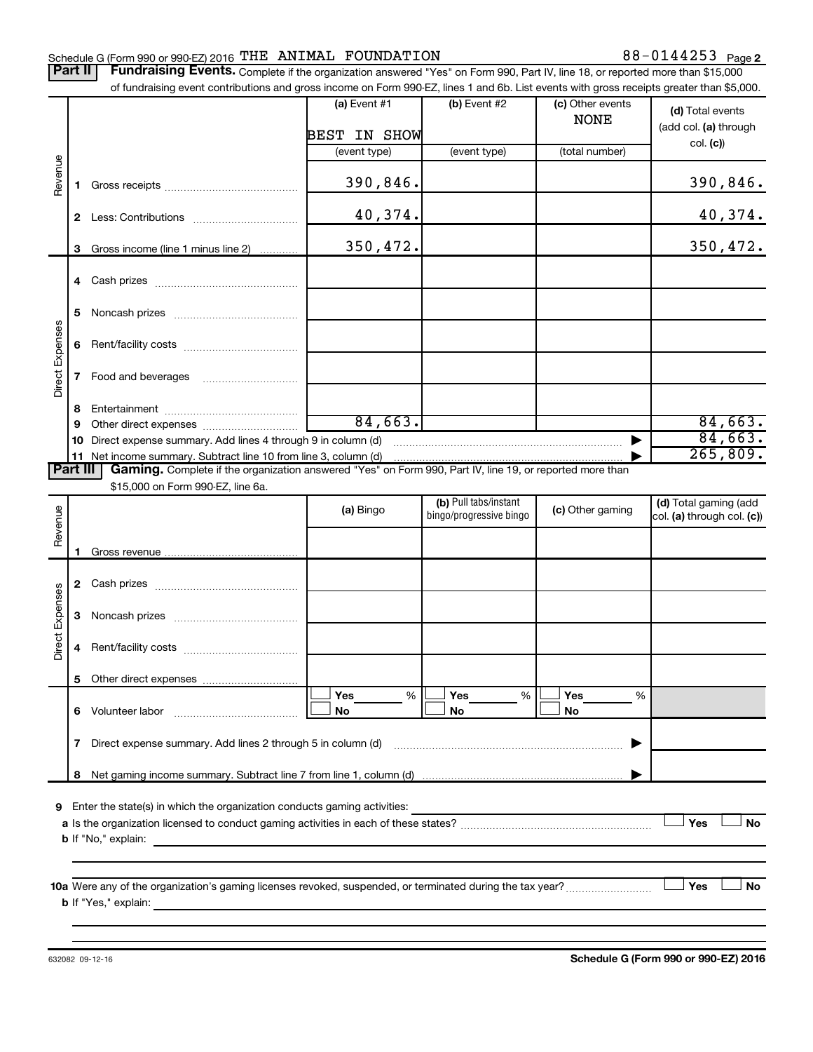#### Schedule G (Form 990 or 990-EZ) 2016 Page THE ANIMAL FOUNDATION 88-0144253

Part II | Fundraising Events. Complete if the organization answered "Yes" on Form 990, Part IV, line 18, or reported more than \$15,000 of fundraising event contributions and gross income on Form 990-EZ, lines 1 and 6b. List events with gross receipts greater than \$5,000.

|                        |    | of fundraising event contributions and gross income on Form 990-EZ, lines T and 6D. List events with gross receipts greater than \$5,000.                                                                                                 |                |                                                  |                                 |                                                     |
|------------------------|----|-------------------------------------------------------------------------------------------------------------------------------------------------------------------------------------------------------------------------------------------|----------------|--------------------------------------------------|---------------------------------|-----------------------------------------------------|
|                        |    |                                                                                                                                                                                                                                           | (a) Event $#1$ | $(b)$ Event #2                                   | (c) Other events<br><b>NONE</b> | (d) Total events<br>(add col. (a) through           |
|                        |    |                                                                                                                                                                                                                                           | BEST IN SHOW   |                                                  |                                 | col. (c)                                            |
|                        |    |                                                                                                                                                                                                                                           | (event type)   | (event type)                                     | (total number)                  |                                                     |
| Revenue                | 1. |                                                                                                                                                                                                                                           | 390,846.       |                                                  |                                 | 390,846.                                            |
|                        |    |                                                                                                                                                                                                                                           | 40,374.        |                                                  |                                 | 40,374.                                             |
|                        | 3  | Gross income (line 1 minus line 2)                                                                                                                                                                                                        | 350,472.       |                                                  |                                 | 350,472.                                            |
|                        |    |                                                                                                                                                                                                                                           |                |                                                  |                                 |                                                     |
|                        |    |                                                                                                                                                                                                                                           |                |                                                  |                                 |                                                     |
|                        | 5  |                                                                                                                                                                                                                                           |                |                                                  |                                 |                                                     |
|                        | 6  |                                                                                                                                                                                                                                           |                |                                                  |                                 |                                                     |
| Direct Expenses        | 7  |                                                                                                                                                                                                                                           |                |                                                  |                                 |                                                     |
|                        |    |                                                                                                                                                                                                                                           |                |                                                  |                                 |                                                     |
|                        | 8  |                                                                                                                                                                                                                                           |                |                                                  |                                 |                                                     |
|                        | 9  |                                                                                                                                                                                                                                           | 84,663.        |                                                  |                                 | 84,663.                                             |
|                        |    | 10 Direct expense summary. Add lines 4 through 9 in column (d)                                                                                                                                                                            |                |                                                  |                                 | 84,663.                                             |
|                        |    |                                                                                                                                                                                                                                           |                |                                                  |                                 | 265,809.                                            |
| <b>Part III</b>        |    | Gaming. Complete if the organization answered "Yes" on Form 990, Part IV, line 19, or reported more than                                                                                                                                  |                |                                                  |                                 |                                                     |
|                        |    | \$15,000 on Form 990-EZ, line 6a.                                                                                                                                                                                                         |                |                                                  |                                 |                                                     |
|                        |    |                                                                                                                                                                                                                                           | (a) Bingo      | (b) Pull tabs/instant<br>bingo/progressive bingo | (c) Other gaming                | (d) Total gaming (add<br>col. (a) through col. (c)) |
| Revenue                |    |                                                                                                                                                                                                                                           |                |                                                  |                                 |                                                     |
|                        |    |                                                                                                                                                                                                                                           |                |                                                  |                                 |                                                     |
|                        | 1. |                                                                                                                                                                                                                                           |                |                                                  |                                 |                                                     |
|                        |    |                                                                                                                                                                                                                                           |                |                                                  |                                 |                                                     |
|                        | 3  |                                                                                                                                                                                                                                           |                |                                                  |                                 |                                                     |
| <b>Direct Expenses</b> |    |                                                                                                                                                                                                                                           |                |                                                  |                                 |                                                     |
|                        | 4  |                                                                                                                                                                                                                                           |                |                                                  |                                 |                                                     |
|                        | 5  |                                                                                                                                                                                                                                           |                |                                                  |                                 |                                                     |
|                        |    |                                                                                                                                                                                                                                           | Yes<br>%       | Yes<br>%                                         | Yes<br>%                        |                                                     |
|                        |    |                                                                                                                                                                                                                                           | No             | No                                               | No                              |                                                     |
|                        | 7  | Direct expense summary. Add lines 2 through 5 in column (d)                                                                                                                                                                               |                |                                                  |                                 |                                                     |
|                        |    |                                                                                                                                                                                                                                           |                |                                                  |                                 |                                                     |
|                        | 8  |                                                                                                                                                                                                                                           |                |                                                  |                                 |                                                     |
|                        |    | 9 Enter the state(s) in which the organization conducts gaming activities:                                                                                                                                                                |                |                                                  |                                 |                                                     |
|                        |    |                                                                                                                                                                                                                                           |                |                                                  |                                 | Yes<br>No                                           |
|                        |    |                                                                                                                                                                                                                                           |                |                                                  |                                 |                                                     |
|                        |    |                                                                                                                                                                                                                                           |                |                                                  |                                 |                                                     |
|                        |    |                                                                                                                                                                                                                                           |                |                                                  |                                 |                                                     |
|                        |    |                                                                                                                                                                                                                                           |                |                                                  |                                 | Yes<br>No                                           |
|                        |    | <b>b</b> If "Yes," explain: <u>contract and a set of the set of the set of the set of the set of the set of the set of the set of the set of the set of the set of the set of the set of the set of the set of the set of the set of </u> |                |                                                  |                                 |                                                     |
|                        |    |                                                                                                                                                                                                                                           |                |                                                  |                                 |                                                     |
|                        |    |                                                                                                                                                                                                                                           |                |                                                  |                                 |                                                     |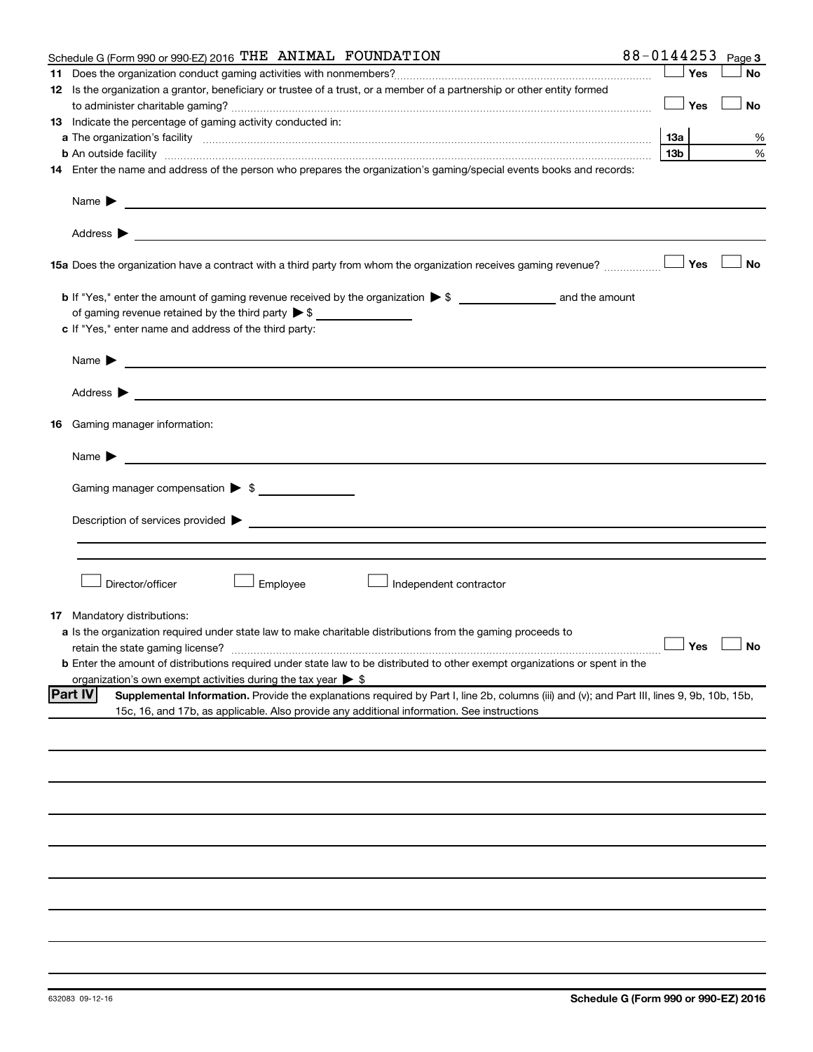|    | Schedule G (Form 990 or 990-EZ) 2016 THE ANIMAL FOUNDATION                                                                                                                                                                                | 88-0144253 |       |     | Page 3               |
|----|-------------------------------------------------------------------------------------------------------------------------------------------------------------------------------------------------------------------------------------------|------------|-------|-----|----------------------|
|    |                                                                                                                                                                                                                                           |            |       | Yes | <b>No</b>            |
|    | 12 Is the organization a grantor, beneficiary or trustee of a trust, or a member of a partnership or other entity formed                                                                                                                  |            |       |     |                      |
|    |                                                                                                                                                                                                                                           |            |       | Yes | No                   |
|    | 13 Indicate the percentage of gaming activity conducted in:                                                                                                                                                                               |            |       |     |                      |
|    | a The organization's facility <i>measurement assemble to the companion of the companisation</i> in the state of the companion of the companion of the companion of the companion of the companion of the companion of the companion       |            |       |     | %                    |
|    | <b>b</b> An outside facility <i>www.communically.communically.communically.communically.communically.communically.communically.communically.communically.communically.communically.communically.communically.communically.communicall</i> |            | 13b l |     | %                    |
|    | 14 Enter the name and address of the person who prepares the organization's gaming/special events books and records:                                                                                                                      |            |       |     |                      |
|    | Name $\blacktriangleright$<br><u> 1989 - Johann Barbara, marka a shekara tsa 1989 - An tsa 1989 - An tsa 1989 - An tsa 1989 - An tsa 1989 - An</u>                                                                                        |            |       |     |                      |
|    |                                                                                                                                                                                                                                           |            |       |     |                      |
|    |                                                                                                                                                                                                                                           |            |       |     | ∣ No                 |
|    |                                                                                                                                                                                                                                           |            |       |     |                      |
|    | of gaming revenue retained by the third party $\triangleright$ \$                                                                                                                                                                         |            |       |     |                      |
|    | c If "Yes," enter name and address of the third party:                                                                                                                                                                                    |            |       |     |                      |
|    | Name $\blacktriangleright$<br><u> 1980 - Johann Barbara, martin amerikan basal dan berasal dan berasal dalam basal dan berasal dan berasal dan</u>                                                                                        |            |       |     |                      |
|    |                                                                                                                                                                                                                                           |            |       |     |                      |
|    | 16 Gaming manager information:                                                                                                                                                                                                            |            |       |     |                      |
|    | Name $\triangleright$                                                                                                                                                                                                                     |            |       |     |                      |
|    | Gaming manager compensation > \$                                                                                                                                                                                                          |            |       |     |                      |
|    |                                                                                                                                                                                                                                           |            |       |     |                      |
|    |                                                                                                                                                                                                                                           |            |       |     |                      |
|    |                                                                                                                                                                                                                                           |            |       |     |                      |
|    |                                                                                                                                                                                                                                           |            |       |     |                      |
|    |                                                                                                                                                                                                                                           |            |       |     |                      |
|    | Director/officer<br>Employee<br>Independent contractor                                                                                                                                                                                    |            |       |     |                      |
| 17 | Mandatory distributions:                                                                                                                                                                                                                  |            |       |     |                      |
|    | a Is the organization required under state law to make charitable distributions from the gaming proceeds to                                                                                                                               |            |       |     |                      |
|    |                                                                                                                                                                                                                                           |            |       |     | $\Box$ Yes $\Box$ No |
|    | <b>b</b> Enter the amount of distributions required under state law to be distributed to other exempt organizations or spent in the                                                                                                       |            |       |     |                      |
|    | organization's own exempt activities during the tax year $\triangleright$ \$                                                                                                                                                              |            |       |     |                      |
|    | <b>Part IV</b><br>Supplemental Information. Provide the explanations required by Part I, line 2b, columns (iii) and (v); and Part III, lines 9, 9b, 10b, 15b,                                                                             |            |       |     |                      |
|    | 15c, 16, and 17b, as applicable. Also provide any additional information. See instructions                                                                                                                                                |            |       |     |                      |
|    |                                                                                                                                                                                                                                           |            |       |     |                      |
|    |                                                                                                                                                                                                                                           |            |       |     |                      |
|    |                                                                                                                                                                                                                                           |            |       |     |                      |
|    |                                                                                                                                                                                                                                           |            |       |     |                      |
|    |                                                                                                                                                                                                                                           |            |       |     |                      |
|    |                                                                                                                                                                                                                                           |            |       |     |                      |
|    |                                                                                                                                                                                                                                           |            |       |     |                      |
|    |                                                                                                                                                                                                                                           |            |       |     |                      |
|    |                                                                                                                                                                                                                                           |            |       |     |                      |
|    |                                                                                                                                                                                                                                           |            |       |     |                      |
|    |                                                                                                                                                                                                                                           |            |       |     |                      |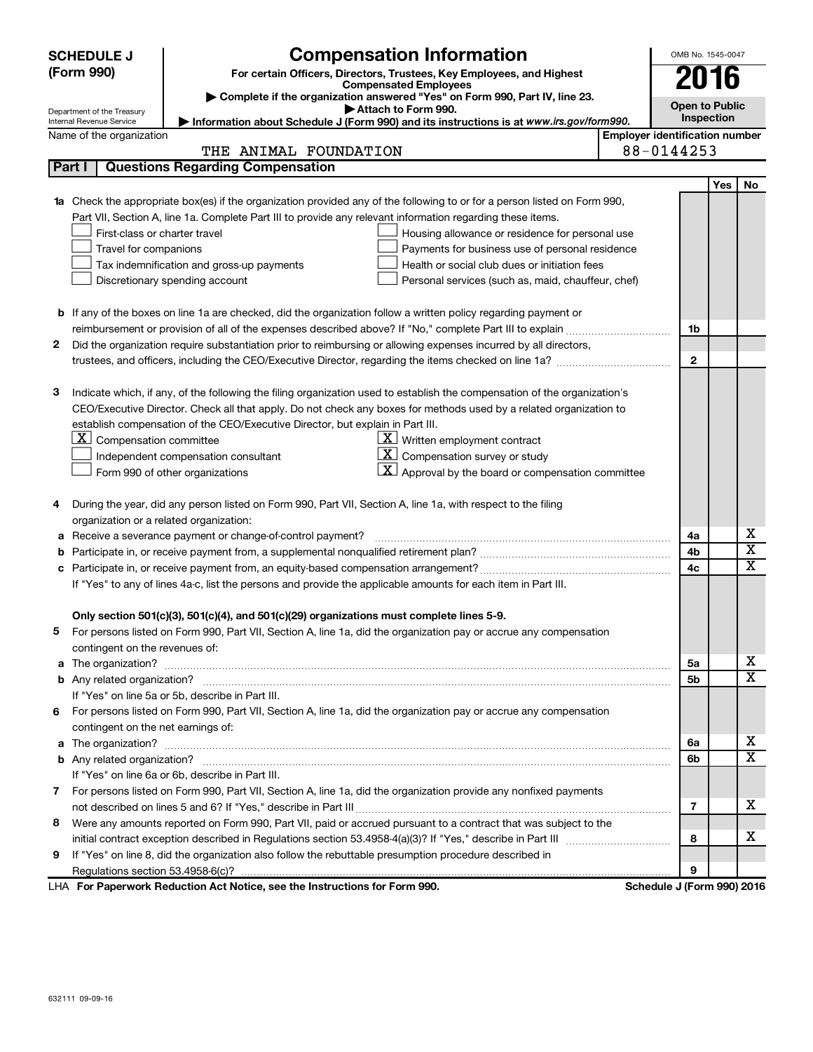|                                     | <b>SCHEDULE J</b>                                                                                               | <b>Compensation Information</b>                                                                                           |                                       | OMB No. 1545-0047     |     |                         |  |
|-------------------------------------|-----------------------------------------------------------------------------------------------------------------|---------------------------------------------------------------------------------------------------------------------------|---------------------------------------|-----------------------|-----|-------------------------|--|
|                                     | (Form 990)                                                                                                      | For certain Officers, Directors, Trustees, Key Employees, and Highest                                                     |                                       | 2016                  |     |                         |  |
|                                     |                                                                                                                 | <b>Compensated Employees</b>                                                                                              |                                       |                       |     |                         |  |
|                                     | Department of the Treasury                                                                                      | Complete if the organization answered "Yes" on Form 990, Part IV, line 23.<br>Attach to Form 990.                         |                                       | <b>Open to Public</b> |     |                         |  |
|                                     | <b>Internal Revenue Service</b>                                                                                 | Information about Schedule J (Form 990) and its instructions is at www.irs.gov/form990.                                   |                                       | Inspection            |     |                         |  |
|                                     | Name of the organization                                                                                        |                                                                                                                           | <b>Employer identification number</b> |                       |     |                         |  |
| 88-0144253<br>THE ANIMAL FOUNDATION |                                                                                                                 |                                                                                                                           |                                       |                       |     |                         |  |
| Part I                              |                                                                                                                 | <b>Questions Regarding Compensation</b>                                                                                   |                                       |                       |     |                         |  |
|                                     |                                                                                                                 |                                                                                                                           |                                       |                       | Yes | No                      |  |
| 1a                                  |                                                                                                                 | Check the appropriate box(es) if the organization provided any of the following to or for a person listed on Form 990,    |                                       |                       |     |                         |  |
|                                     |                                                                                                                 | Part VII, Section A, line 1a. Complete Part III to provide any relevant information regarding these items.                |                                       |                       |     |                         |  |
|                                     | First-class or charter travel                                                                                   | Housing allowance or residence for personal use                                                                           |                                       |                       |     |                         |  |
|                                     | Travel for companions                                                                                           | Payments for business use of personal residence                                                                           |                                       |                       |     |                         |  |
|                                     |                                                                                                                 | Health or social club dues or initiation fees<br>Tax indemnification and gross-up payments                                |                                       |                       |     |                         |  |
|                                     |                                                                                                                 | Discretionary spending account<br>Personal services (such as, maid, chauffeur, chef)                                      |                                       |                       |     |                         |  |
|                                     |                                                                                                                 |                                                                                                                           |                                       |                       |     |                         |  |
|                                     |                                                                                                                 | <b>b</b> If any of the boxes on line 1a are checked, did the organization follow a written policy regarding payment or    |                                       |                       |     |                         |  |
|                                     |                                                                                                                 |                                                                                                                           |                                       | 1b                    |     |                         |  |
| 2                                   |                                                                                                                 | Did the organization require substantiation prior to reimbursing or allowing expenses incurred by all directors,          |                                       |                       |     |                         |  |
|                                     |                                                                                                                 | trustees, and officers, including the CEO/Executive Director, regarding the items checked on line 1a?                     |                                       | $\mathbf{2}$          |     |                         |  |
|                                     |                                                                                                                 |                                                                                                                           |                                       |                       |     |                         |  |
| з                                   |                                                                                                                 | Indicate which, if any, of the following the filing organization used to establish the compensation of the organization's |                                       |                       |     |                         |  |
|                                     |                                                                                                                 | CEO/Executive Director. Check all that apply. Do not check any boxes for methods used by a related organization to        |                                       |                       |     |                         |  |
|                                     | establish compensation of the CEO/Executive Director, but explain in Part III.<br> X <br>Compensation committee |                                                                                                                           |                                       |                       |     |                         |  |
|                                     |                                                                                                                 | $\underline{\mathbf{X}}$ Written employment contract<br>$\underline{\mathbf{X}}$ Compensation survey or study             |                                       |                       |     |                         |  |
|                                     |                                                                                                                 | Independent compensation consultant<br>$\mathbf{X}$ Approval by the board or compensation committee                       |                                       |                       |     |                         |  |
|                                     |                                                                                                                 | Form 990 of other organizations                                                                                           |                                       |                       |     |                         |  |
| 4                                   |                                                                                                                 | During the year, did any person listed on Form 990, Part VII, Section A, line 1a, with respect to the filing              |                                       |                       |     |                         |  |
|                                     | organization or a related organization:                                                                         |                                                                                                                           |                                       |                       |     |                         |  |
| а                                   |                                                                                                                 | Receive a severance payment or change-of-control payment?                                                                 |                                       | 4a                    |     | х                       |  |
| b                                   |                                                                                                                 |                                                                                                                           |                                       | 4b                    |     | $\overline{\mathbf{x}}$ |  |
| с                                   |                                                                                                                 |                                                                                                                           |                                       | 4c                    |     | X                       |  |
|                                     |                                                                                                                 | If "Yes" to any of lines 4a-c, list the persons and provide the applicable amounts for each item in Part III.             |                                       |                       |     |                         |  |
|                                     |                                                                                                                 |                                                                                                                           |                                       |                       |     |                         |  |
|                                     |                                                                                                                 | Only section 501(c)(3), 501(c)(4), and 501(c)(29) organizations must complete lines 5-9.                                  |                                       |                       |     |                         |  |
|                                     |                                                                                                                 | 5 For persons listed on Form 990, Part VII, Section A, line 1a, did the organization pay or accrue any compensation       |                                       |                       |     |                         |  |
|                                     | contingent on the revenues of:                                                                                  |                                                                                                                           |                                       |                       |     |                         |  |
|                                     |                                                                                                                 |                                                                                                                           |                                       | 5a                    |     | х                       |  |
|                                     |                                                                                                                 |                                                                                                                           |                                       | 5b                    |     | $\overline{\mathbf{X}}$ |  |
|                                     |                                                                                                                 | If "Yes" on line 5a or 5b, describe in Part III.                                                                          |                                       |                       |     |                         |  |
| 6                                   |                                                                                                                 | For persons listed on Form 990, Part VII, Section A, line 1a, did the organization pay or accrue any compensation         |                                       |                       |     |                         |  |
|                                     | contingent on the net earnings of:                                                                              |                                                                                                                           |                                       |                       |     |                         |  |
| a                                   |                                                                                                                 |                                                                                                                           |                                       |                       |     | х                       |  |
|                                     |                                                                                                                 |                                                                                                                           |                                       | 6b                    |     | х                       |  |
|                                     |                                                                                                                 | If "Yes" on line 6a or 6b, describe in Part III.                                                                          |                                       |                       |     |                         |  |
|                                     |                                                                                                                 | 7 For persons listed on Form 990, Part VII, Section A, line 1a, did the organization provide any nonfixed payments        |                                       |                       |     |                         |  |
|                                     |                                                                                                                 |                                                                                                                           |                                       | 7                     |     | х                       |  |
| 8                                   |                                                                                                                 | Were any amounts reported on Form 990, Part VII, paid or accrued pursuant to a contract that was subject to the           |                                       |                       |     |                         |  |
|                                     |                                                                                                                 |                                                                                                                           |                                       | 8                     |     | х                       |  |
| 9                                   |                                                                                                                 | If "Yes" on line 8, did the organization also follow the rebuttable presumption procedure described in                    |                                       |                       |     |                         |  |
|                                     |                                                                                                                 | Departually Deduction Act Notice, and the Instructions for Form 000                                                       | Cabadule <i>LIFarm 000)</i> 0046      | 9                     |     |                         |  |

**For Paperwork Reduction Act Notice, see the Instructions for Form 990. Schedule J (Form 990) 2016** LHA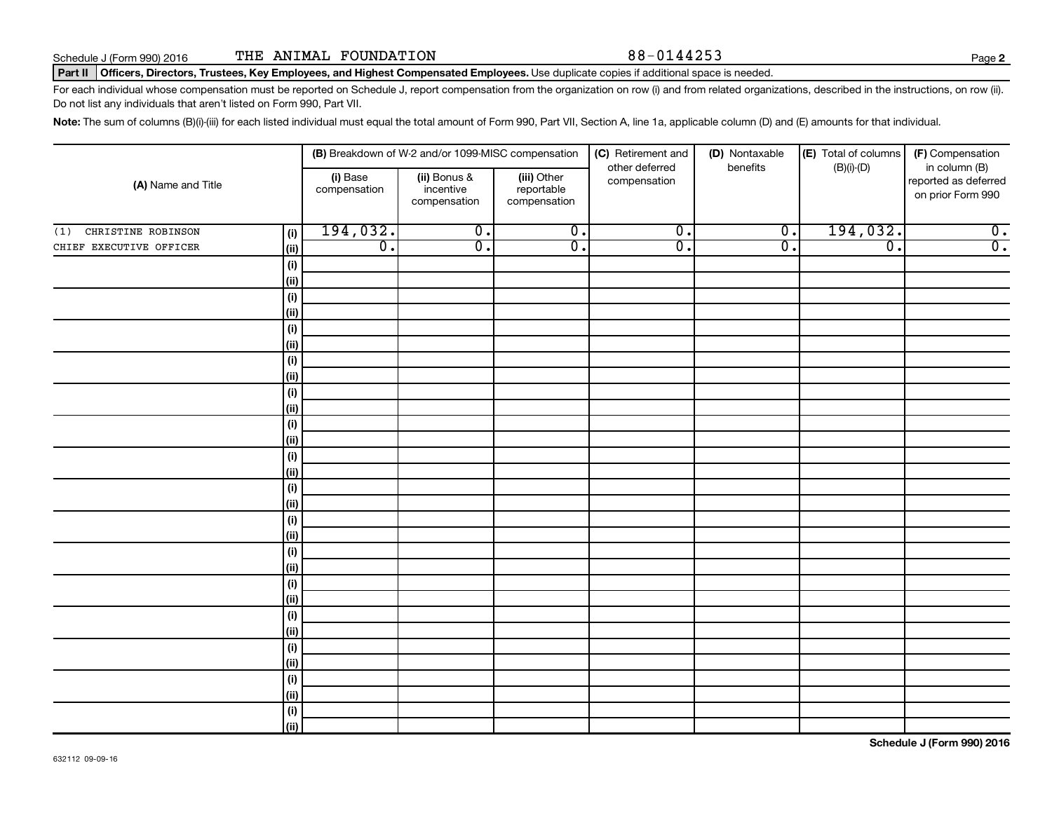#### Part II | Officers, Directors, Trustees, Key Employees, and Highest Compensated Employees. Use duplicate copies if additional space is needed.

For each individual whose compensation must be reported on Schedule J, report compensation from the organization on row (i) and from related organizations, described in the instructions, on row (ii). Do not list any individuals that aren't listed on Form 990, Part VII.

Note: The sum of columns (B)(i)-(iii) for each listed individual must equal the total amount of Form 990, Part VII, Section A, line 1a, applicable column (D) and (E) amounts for that individual.

|                                  |                          | (B) Breakdown of W-2 and/or 1099-MISC compensation |                                           | (C) Retirement and             | (D) Nontaxable              | (E) Total of columns        | (F) Compensation                                           |  |
|----------------------------------|--------------------------|----------------------------------------------------|-------------------------------------------|--------------------------------|-----------------------------|-----------------------------|------------------------------------------------------------|--|
| (A) Name and Title               | (i) Base<br>compensation | (ii) Bonus &<br>incentive<br>compensation          | (iii) Other<br>reportable<br>compensation | other deferred<br>compensation | benefits                    | $(B)(i)-(D)$                | in column (B)<br>reported as deferred<br>on prior Form 990 |  |
| CHRISTINE ROBINSON<br>(1)<br>(i) | 194,032.                 | $\overline{0}$ .                                   | $\overline{0}$ .                          | $\overline{0}$ .               | $\overline{\mathfrak{o}}$ . | 194,032.                    | $\overline{\mathbf{0}}$ .                                  |  |
| CHIEF EXECUTIVE OFFICER<br>(ii)  | $\overline{0}$ .         | $\overline{0}$ .                                   | $\overline{0}$ .                          | $\overline{0}$ .               | $\overline{0}$              | $\overline{\mathfrak{o}}$ . | $\overline{0}$ .                                           |  |
| (i)                              |                          |                                                    |                                           |                                |                             |                             |                                                            |  |
| (ii)                             |                          |                                                    |                                           |                                |                             |                             |                                                            |  |
| (i)                              |                          |                                                    |                                           |                                |                             |                             |                                                            |  |
| (ii)                             |                          |                                                    |                                           |                                |                             |                             |                                                            |  |
| (i)                              |                          |                                                    |                                           |                                |                             |                             |                                                            |  |
| (ii)                             |                          |                                                    |                                           |                                |                             |                             |                                                            |  |
| $(\sf{i})$                       |                          |                                                    |                                           |                                |                             |                             |                                                            |  |
| (ii)                             |                          |                                                    |                                           |                                |                             |                             |                                                            |  |
| (i)<br>(ii)                      |                          |                                                    |                                           |                                |                             |                             |                                                            |  |
| (i)                              |                          |                                                    |                                           |                                |                             |                             |                                                            |  |
| (ii)                             |                          |                                                    |                                           |                                |                             |                             |                                                            |  |
| (i)                              |                          |                                                    |                                           |                                |                             |                             |                                                            |  |
| (ii)                             |                          |                                                    |                                           |                                |                             |                             |                                                            |  |
| (i)                              |                          |                                                    |                                           |                                |                             |                             |                                                            |  |
| (ii)                             |                          |                                                    |                                           |                                |                             |                             |                                                            |  |
| (i)                              |                          |                                                    |                                           |                                |                             |                             |                                                            |  |
| (ii)                             |                          |                                                    |                                           |                                |                             |                             |                                                            |  |
| (i)                              |                          |                                                    |                                           |                                |                             |                             |                                                            |  |
| (ii)                             |                          |                                                    |                                           |                                |                             |                             |                                                            |  |
| (i)                              |                          |                                                    |                                           |                                |                             |                             |                                                            |  |
| (ii)                             |                          |                                                    |                                           |                                |                             |                             |                                                            |  |
| (i)                              |                          |                                                    |                                           |                                |                             |                             |                                                            |  |
| (ii)<br>(i)                      |                          |                                                    |                                           |                                |                             |                             |                                                            |  |
| (ii)                             |                          |                                                    |                                           |                                |                             |                             |                                                            |  |
| (i)                              |                          |                                                    |                                           |                                |                             |                             |                                                            |  |
| (ii)                             |                          |                                                    |                                           |                                |                             |                             |                                                            |  |
| $(\sf{i})$                       |                          |                                                    |                                           |                                |                             |                             |                                                            |  |
| (ii)                             |                          |                                                    |                                           |                                |                             |                             |                                                            |  |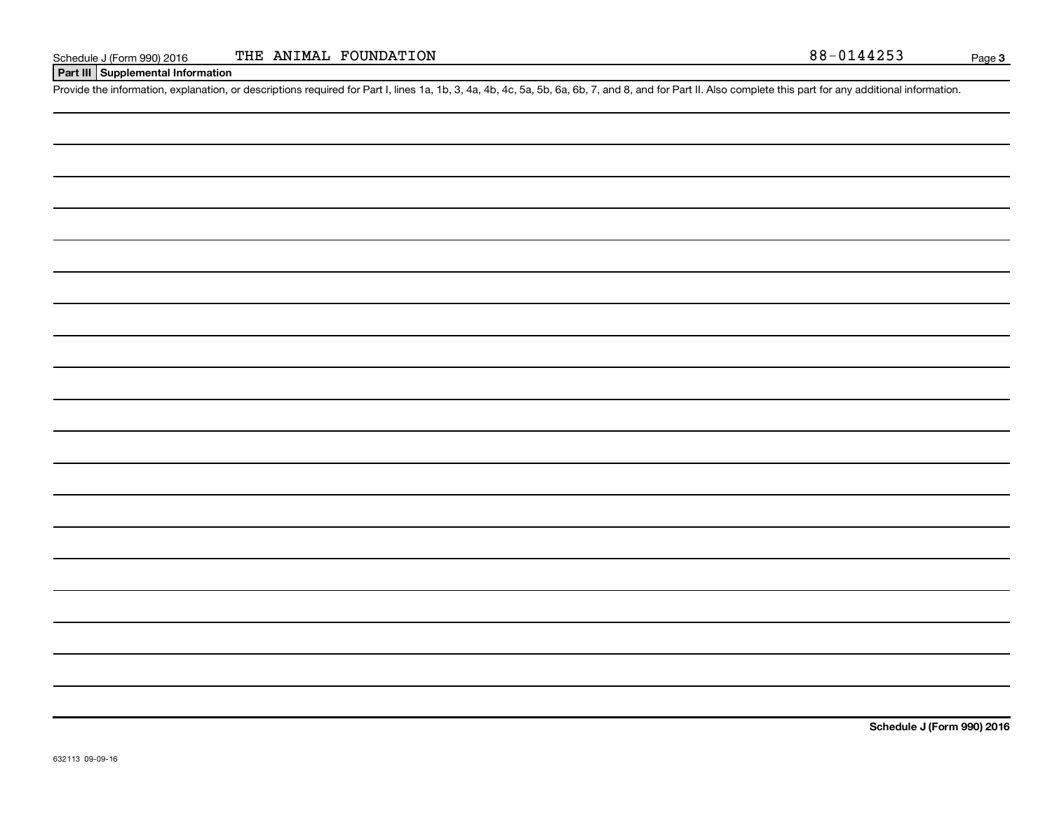**Part III Supplemental Information**

Provide the information, explanation, or descriptions required for Part I, lines 1a, 1b, 3, 4a, 4b, 4c, 5a, 5b, 6a, 6b, 7, and 8, and for Part II. Also complete this part for any additional information.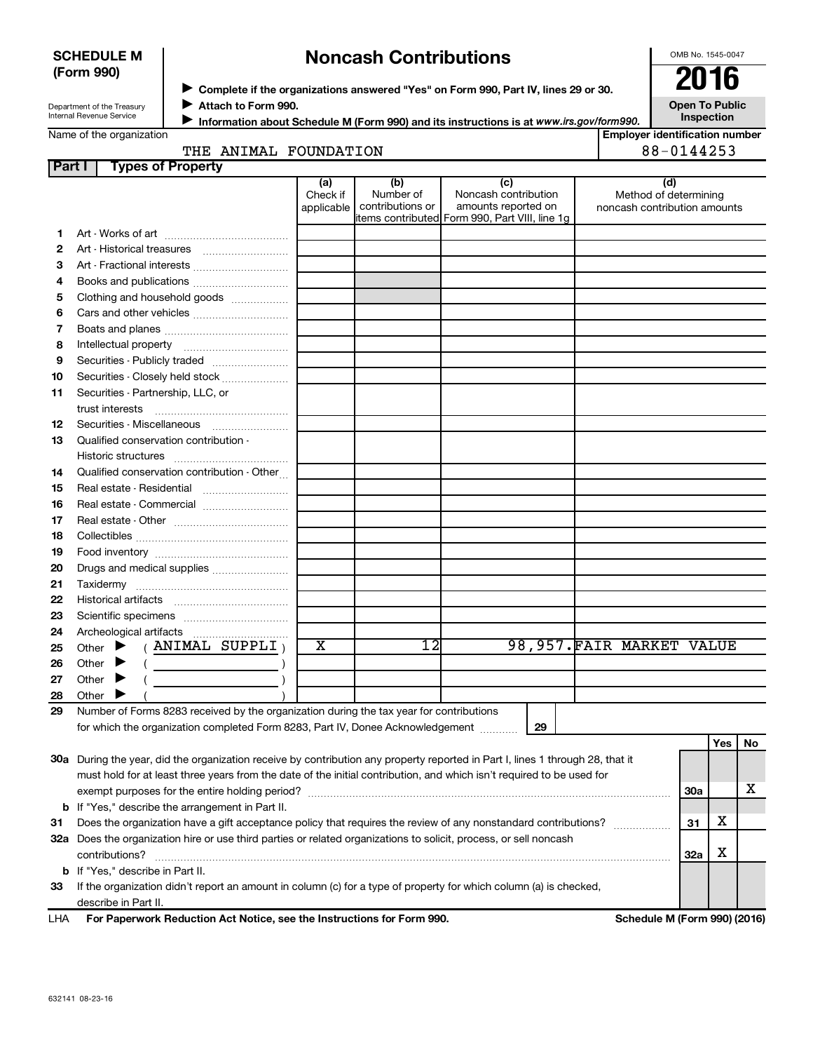#### **SCHEDULE M (Form 990)**

# **Noncash Contributions**

OMB No. 1545-0047

| Department of the Treasury |
|----------------------------|
| Internal Revenue Service   |

◆ Complete if the organizations answered "Yes" on Form 990, Part IV, lines 29 or 30.<br>● Complete if the organizations answered "Yes" on Form 990, Part IV, lines 29 or 30. **Attach to Form 990.**  $\blacktriangleright$ 

**Open To Public Inspection**

|  | Name of the organization |
|--|--------------------------|
|  |                          |
|  |                          |

**Information about Schedule M (Form 990) and its instructions is at www.irs.gov/form990.** 

| THE ANIMAL FOUNDA |  |
|-------------------|--|

|              | <b>Employer identification number</b> |
|--------------|---------------------------------------|
| <b>ATION</b> | 88-0144253                            |

| Part I | <b>Types of Property</b>                                                                                                       |                               |                                      |                                                                                                      |                                                              |     |     |    |
|--------|--------------------------------------------------------------------------------------------------------------------------------|-------------------------------|--------------------------------------|------------------------------------------------------------------------------------------------------|--------------------------------------------------------------|-----|-----|----|
|        |                                                                                                                                | (a)<br>Check if<br>applicable | (b)<br>Number of<br>contributions or | (c)<br>Noncash contribution<br>amounts reported on<br>items contributed Form 990, Part VIII, line 1g | (d)<br>Method of determining<br>noncash contribution amounts |     |     |    |
| 1      |                                                                                                                                |                               |                                      |                                                                                                      |                                                              |     |     |    |
| 2      | Art - Historical treasures                                                                                                     |                               |                                      |                                                                                                      |                                                              |     |     |    |
| З      | Art - Fractional interests                                                                                                     |                               |                                      |                                                                                                      |                                                              |     |     |    |
| 4      | Books and publications                                                                                                         |                               |                                      |                                                                                                      |                                                              |     |     |    |
| 5      | Clothing and household goods                                                                                                   |                               |                                      |                                                                                                      |                                                              |     |     |    |
| 6      |                                                                                                                                |                               |                                      |                                                                                                      |                                                              |     |     |    |
| 7      |                                                                                                                                |                               |                                      |                                                                                                      |                                                              |     |     |    |
| 8      |                                                                                                                                |                               |                                      |                                                                                                      |                                                              |     |     |    |
| 9      | Securities - Publicly traded                                                                                                   |                               |                                      |                                                                                                      |                                                              |     |     |    |
| 10     | Securities - Closely held stock                                                                                                |                               |                                      |                                                                                                      |                                                              |     |     |    |
| 11     | Securities - Partnership, LLC, or                                                                                              |                               |                                      |                                                                                                      |                                                              |     |     |    |
|        | trust interests                                                                                                                |                               |                                      |                                                                                                      |                                                              |     |     |    |
| 12     | Securities - Miscellaneous                                                                                                     |                               |                                      |                                                                                                      |                                                              |     |     |    |
| 13     | Qualified conservation contribution -                                                                                          |                               |                                      |                                                                                                      |                                                              |     |     |    |
|        |                                                                                                                                |                               |                                      |                                                                                                      |                                                              |     |     |    |
| 14     | Qualified conservation contribution - Other                                                                                    |                               |                                      |                                                                                                      |                                                              |     |     |    |
| 15     |                                                                                                                                |                               |                                      |                                                                                                      |                                                              |     |     |    |
| 16     | Real estate - Commercial                                                                                                       |                               |                                      |                                                                                                      |                                                              |     |     |    |
| 17     |                                                                                                                                |                               |                                      |                                                                                                      |                                                              |     |     |    |
| 18     |                                                                                                                                |                               |                                      |                                                                                                      |                                                              |     |     |    |
| 19     |                                                                                                                                |                               |                                      |                                                                                                      |                                                              |     |     |    |
| 20     | Drugs and medical supplies                                                                                                     |                               |                                      |                                                                                                      |                                                              |     |     |    |
| 21     |                                                                                                                                |                               |                                      |                                                                                                      |                                                              |     |     |    |
| 22     |                                                                                                                                |                               |                                      |                                                                                                      |                                                              |     |     |    |
| 23     |                                                                                                                                |                               |                                      |                                                                                                      |                                                              |     |     |    |
| 24     |                                                                                                                                |                               |                                      |                                                                                                      |                                                              |     |     |    |
| 25     | $(ANIMAL$ SUPPLI $)$<br>Other $\blacktriangleright$                                                                            | х                             | $\overline{12}$                      |                                                                                                      | 98,957.FAIR MARKET VALUE                                     |     |     |    |
| 26     | Other $\blacktriangleright$                                                                                                    |                               |                                      |                                                                                                      |                                                              |     |     |    |
| 27     | Other $\blacktriangleright$                                                                                                    |                               |                                      |                                                                                                      |                                                              |     |     |    |
| 28     | Other                                                                                                                          |                               |                                      |                                                                                                      |                                                              |     |     |    |
| 29     | Number of Forms 8283 received by the organization during the tax year for contributions                                        |                               |                                      |                                                                                                      |                                                              |     |     |    |
|        | for which the organization completed Form 8283, Part IV, Donee Acknowledgement                                                 |                               |                                      | 29                                                                                                   |                                                              |     |     |    |
|        |                                                                                                                                |                               |                                      |                                                                                                      |                                                              |     | Yes | No |
|        | 30a During the year, did the organization receive by contribution any property reported in Part I, lines 1 through 28, that it |                               |                                      |                                                                                                      |                                                              |     |     |    |
|        | must hold for at least three years from the date of the initial contribution, and which isn't required to be used for          |                               |                                      |                                                                                                      |                                                              |     |     |    |
|        |                                                                                                                                |                               |                                      |                                                                                                      |                                                              | 30a |     | х  |
|        | <b>b</b> If "Yes," describe the arrangement in Part II.                                                                        |                               |                                      |                                                                                                      |                                                              |     |     |    |
| 31     | Does the organization have a gift acceptance policy that requires the review of any nonstandard contributions?                 |                               |                                      | 31                                                                                                   | х                                                            |     |     |    |
|        | 32a Does the organization hire or use third parties or related organizations to solicit, process, or sell noncash              |                               |                                      |                                                                                                      |                                                              |     |     |    |
|        | contributions?                                                                                                                 |                               |                                      |                                                                                                      |                                                              | 32a | х   |    |
|        | <b>b</b> If "Yes," describe in Part II.                                                                                        |                               |                                      |                                                                                                      |                                                              |     |     |    |
| 33     | If the organization didn't report an amount in column (c) for a type of property for which column (a) is checked,              |                               |                                      |                                                                                                      |                                                              |     |     |    |
|        | describe in Part II.                                                                                                           |                               |                                      |                                                                                                      |                                                              |     |     |    |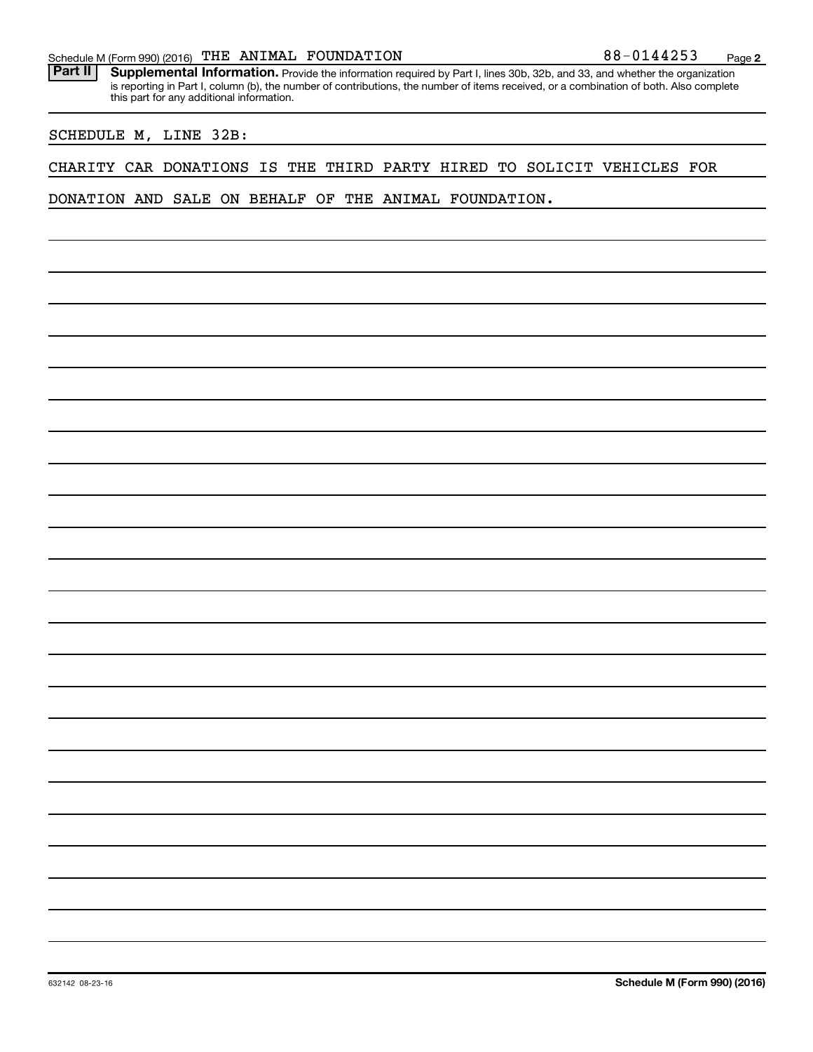#### Schedule M (Form 990) (2016)  $\sqrt{THE}$  ANIMAL FOUNDATION  $88-0144253$  Page

Part II | Supplemental Information. Provide the information required by Part I, lines 30b, 32b, and 33, and whether the organization is reporting in Part I, column (b), the number of contributions, the number of items received, or a combination of both. Also complete this part for any additional information.

### SCHEDULE M, LINE 32B:

#### CHARITY CAR DONATIONS IS THE THIRD PARTY HIRED TO SOLICIT VEHICLES FOR

DONATION AND SALE ON BEHALF OF THE ANIMAL FOUNDATION.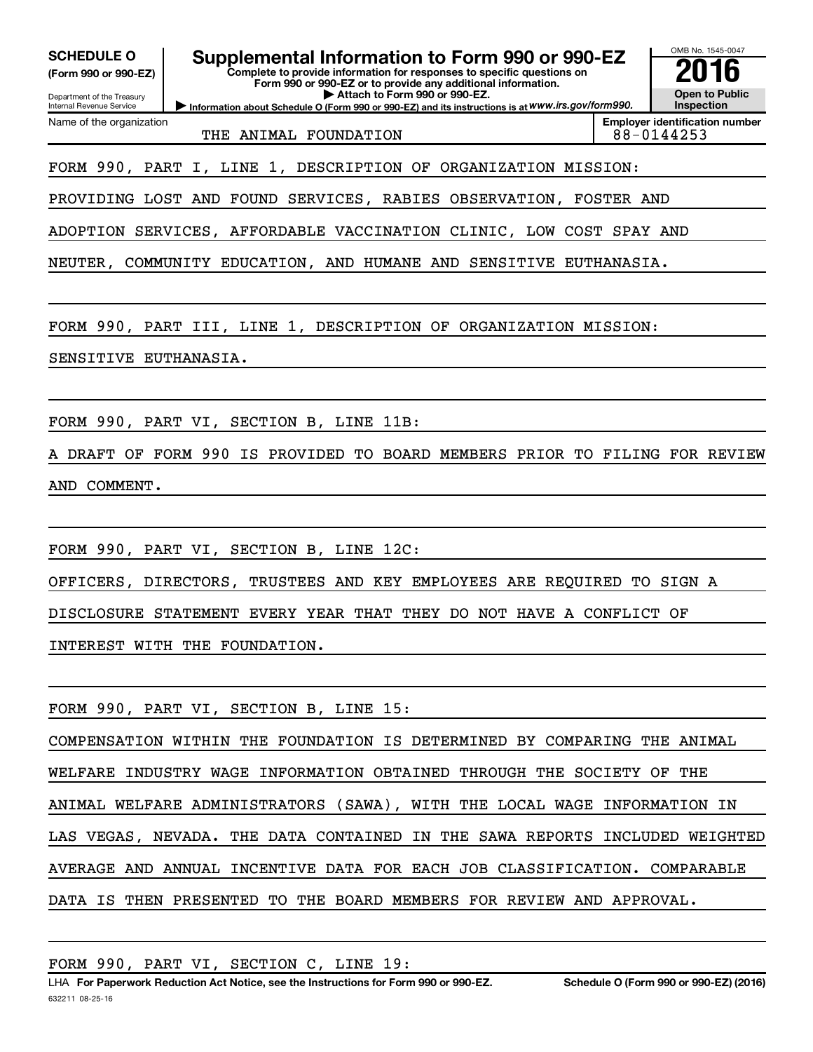| OMB No. 1545-0047<br>Supplemental Information to Form 990 or 990-EZ<br><b>SCHEDULE O</b><br>Complete to provide information for responses to specific questions on<br>(Form 990 or 990-EZ)<br>Form 990 or 990-EZ or to provide any additional information.<br><b>Open to Public</b><br>Attach to Form 990 or 990-EZ.<br>Department of the Treasury<br><b>Inspection</b><br>Information about Schedule O (Form 990 or 990-EZ) and its instructions is at WWW.irs.gov/form990.<br><b>Internal Revenue Service</b> |  |  |  |  |
|-----------------------------------------------------------------------------------------------------------------------------------------------------------------------------------------------------------------------------------------------------------------------------------------------------------------------------------------------------------------------------------------------------------------------------------------------------------------------------------------------------------------|--|--|--|--|
| <b>Employer identification number</b><br>Name of the organization<br>88-0144253<br>THE ANIMAL FOUNDATION                                                                                                                                                                                                                                                                                                                                                                                                        |  |  |  |  |
| FORM 990, PART I, LINE 1, DESCRIPTION OF ORGANIZATION MISSION:                                                                                                                                                                                                                                                                                                                                                                                                                                                  |  |  |  |  |
| PROVIDING LOST AND FOUND SERVICES, RABIES OBSERVATION, FOSTER AND                                                                                                                                                                                                                                                                                                                                                                                                                                               |  |  |  |  |
| ADOPTION SERVICES, AFFORDABLE VACCINATION CLINIC, LOW COST SPAY AND                                                                                                                                                                                                                                                                                                                                                                                                                                             |  |  |  |  |
| NEUTER, COMMUNITY EDUCATION, AND HUMANE AND SENSITIVE EUTHANASIA.                                                                                                                                                                                                                                                                                                                                                                                                                                               |  |  |  |  |
| FORM 990, PART III, LINE 1, DESCRIPTION OF ORGANIZATION MISSION:                                                                                                                                                                                                                                                                                                                                                                                                                                                |  |  |  |  |
| SENSITIVE EUTHANASIA.                                                                                                                                                                                                                                                                                                                                                                                                                                                                                           |  |  |  |  |
|                                                                                                                                                                                                                                                                                                                                                                                                                                                                                                                 |  |  |  |  |
| FORM 990, PART VI, SECTION B, LINE 11B:                                                                                                                                                                                                                                                                                                                                                                                                                                                                         |  |  |  |  |
| A DRAFT OF FORM 990 IS PROVIDED TO BOARD MEMBERS PRIOR TO FILING FOR REVIEW                                                                                                                                                                                                                                                                                                                                                                                                                                     |  |  |  |  |
| AND COMMENT.                                                                                                                                                                                                                                                                                                                                                                                                                                                                                                    |  |  |  |  |
|                                                                                                                                                                                                                                                                                                                                                                                                                                                                                                                 |  |  |  |  |
| FORM 990, PART VI, SECTION B, LINE 12C:                                                                                                                                                                                                                                                                                                                                                                                                                                                                         |  |  |  |  |
| OFFICERS, DIRECTORS, TRUSTEES AND KEY EMPLOYEES ARE REQUIRED TO SIGN A                                                                                                                                                                                                                                                                                                                                                                                                                                          |  |  |  |  |
| DISCLOSURE STATEMENT EVERY YEAR THAT THEY DO NOT HAVE A CONFLICT OF                                                                                                                                                                                                                                                                                                                                                                                                                                             |  |  |  |  |
| INTEREST WITH THE FOUNDATION.                                                                                                                                                                                                                                                                                                                                                                                                                                                                                   |  |  |  |  |
|                                                                                                                                                                                                                                                                                                                                                                                                                                                                                                                 |  |  |  |  |
| FORM 990, PART VI, SECTION B, LINE 15:                                                                                                                                                                                                                                                                                                                                                                                                                                                                          |  |  |  |  |
| COMPENSATION WITHIN THE FOUNDATION IS DETERMINED BY COMPARING THE ANIMAL                                                                                                                                                                                                                                                                                                                                                                                                                                        |  |  |  |  |
| WELFARE INDUSTRY WAGE INFORMATION OBTAINED THROUGH THE SOCIETY OF<br>THE                                                                                                                                                                                                                                                                                                                                                                                                                                        |  |  |  |  |
| ANIMAL WELFARE ADMINISTRATORS (SAWA), WITH THE LOCAL WAGE INFORMATION IN                                                                                                                                                                                                                                                                                                                                                                                                                                        |  |  |  |  |
| LAS VEGAS, NEVADA. THE DATA CONTAINED IN THE SAWA REPORTS INCLUDED WEIGHTED                                                                                                                                                                                                                                                                                                                                                                                                                                     |  |  |  |  |
| AVERAGE AND ANNUAL INCENTIVE DATA FOR EACH JOB CLASSIFICATION. COMPARABLE                                                                                                                                                                                                                                                                                                                                                                                                                                       |  |  |  |  |
| DATA IS THEN PRESENTED TO THE BOARD MEMBERS FOR REVIEW AND APPROVAL.                                                                                                                                                                                                                                                                                                                                                                                                                                            |  |  |  |  |
|                                                                                                                                                                                                                                                                                                                                                                                                                                                                                                                 |  |  |  |  |

FORM 990, PART VI, SECTION C, LINE 19: